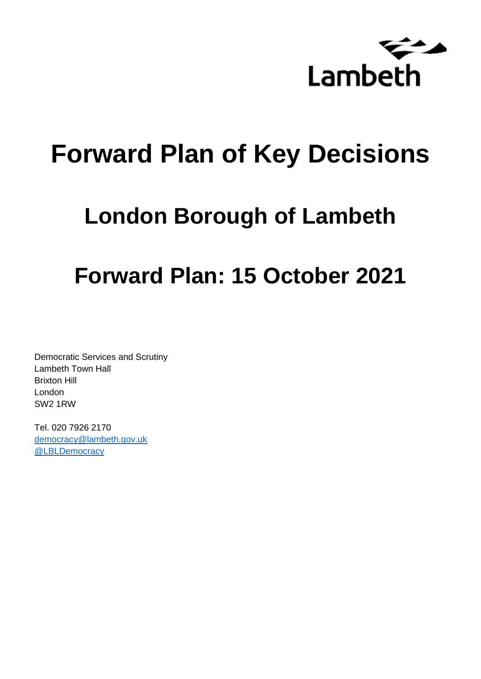

# **Forward Plan of Key Decisions**

# **London Borough of Lambeth**

# **Forward Plan: 15 October 2021**

Democratic Services and Scrutiny Lambeth Town Hall Brixton Hill London SW2 1RW

Tel. 020 7926 2170 [democracy@lambeth.gov.uk](mailto:democracy@lambeth.gov.uk) [@LBLDemocracy](https://twitter.com/LBLDemocracy?lang=en)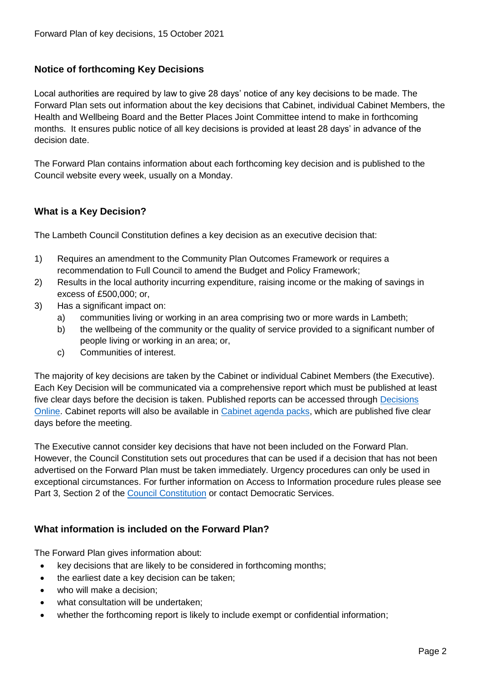### **Notice of forthcoming Key Decisions**

Local authorities are required by law to give 28 days' notice of any key decisions to be made. The Forward Plan sets out information about the key decisions that Cabinet, individual Cabinet Members, the Health and Wellbeing Board and the Better Places Joint Committee intend to make in forthcoming months. It ensures public notice of all key decisions is provided at least 28 days' in advance of the decision date.

The Forward Plan contains information about each forthcoming key decision and is published to the Council website every week, usually on a Monday.

#### **What is a Key Decision?**

The Lambeth Council Constitution defines a key decision as an executive decision that:

- 1) Requires an amendment to the Community Plan Outcomes Framework or requires a recommendation to Full Council to amend the Budget and Policy Framework;
- 2) Results in the local authority incurring expenditure, raising income or the making of savings in excess of £500,000; or,
- 3) Has a significant impact on:
	- a) communities living or working in an area comprising two or more wards in Lambeth;
	- b) the wellbeing of the community or the quality of service provided to a significant number of people living or working in an area; or,
	- c) Communities of interest.

The majority of key decisions are taken by the Cabinet or individual Cabinet Members (the Executive). Each Key Decision will be communicated via a comprehensive report which must be published at least five clear days before the decision is taken. Published reports can be accessed through Decisions [Online.](http://moderngov.lambeth.gov.uk/mgDelegatedDecisions.aspx?bcr=1&DM=0&DS=2&K=0&DR=&V=0) Cabinet reports will also be available in [Cabinet agenda packs,](https://moderngov.lambeth.gov.uk/ieListMeetings.aspx?CommitteeId=225) which are published five clear days before the meeting.

The Executive cannot consider key decisions that have not been included on the Forward Plan. However, the Council Constitution sets out procedures that can be used if a decision that has not been advertised on the Forward Plan must be taken immediately. Urgency procedures can only be used in exceptional circumstances. For further information on Access to Information procedure rules please see Part 3, Section 2 of the [Council Constitution](http://moderngov.lambeth.gov.uk/ieListMeetings.aspx?CId=738&info=1&MD=Constitution) or contact Democratic Services.

#### **What information is included on the Forward Plan?**

The Forward Plan gives information about:

- key decisions that are likely to be considered in forthcoming months;
- the earliest date a key decision can be taken;
- who will make a decision;
- what consultation will be undertaken;
- whether the forthcoming report is likely to include exempt or confidential information;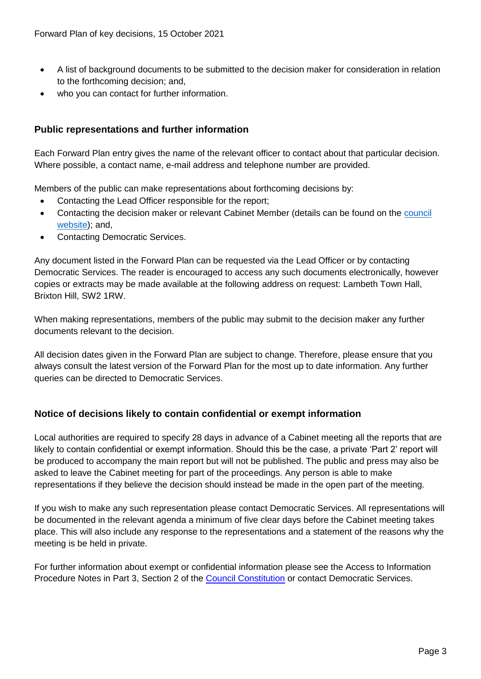- A list of background documents to be submitted to the decision maker for consideration in relation to the forthcoming decision; and,
- who you can contact for further information.

## **Public representations and further information**

Each Forward Plan entry gives the name of the relevant officer to contact about that particular decision. Where possible, a contact name, e-mail address and telephone number are provided.

Members of the public can make representations about forthcoming decisions by:

- Contacting the Lead Officer responsible for the report;
- Contacting the decision maker or relevant Cabinet Member (details can be found on the council [website\)](http://moderngov.lambeth.gov.uk/mgMemberIndex.aspx?bcr=1); and,
- Contacting Democratic Services.

Any document listed in the Forward Plan can be requested via the Lead Officer or by contacting Democratic Services. The reader is encouraged to access any such documents electronically, however copies or extracts may be made available at the following address on request: Lambeth Town Hall, Brixton Hill, SW2 1RW.

When making representations, members of the public may submit to the decision maker any further documents relevant to the decision.

All decision dates given in the Forward Plan are subject to change. Therefore, please ensure that you always consult the latest version of the Forward Plan for the most up to date information. Any further queries can be directed to Democratic Services.

## **Notice of decisions likely to contain confidential or exempt information**

Local authorities are required to specify 28 days in advance of a Cabinet meeting all the reports that are likely to contain confidential or exempt information. Should this be the case, a private 'Part 2' report will be produced to accompany the main report but will not be published. The public and press may also be asked to leave the Cabinet meeting for part of the proceedings. Any person is able to make representations if they believe the decision should instead be made in the open part of the meeting.

If you wish to make any such representation please contact Democratic Services. All representations will be documented in the relevant agenda a minimum of five clear days before the Cabinet meeting takes place. This will also include any response to the representations and a statement of the reasons why the meeting is be held in private.

For further information about exempt or confidential information please see the Access to Information Procedure Notes in Part 3, Section 2 of the [Council Constitution](http://moderngov.lambeth.gov.uk/ieListMeetings.aspx?CId=738&info=1&MD=Constitution) or contact Democratic Services.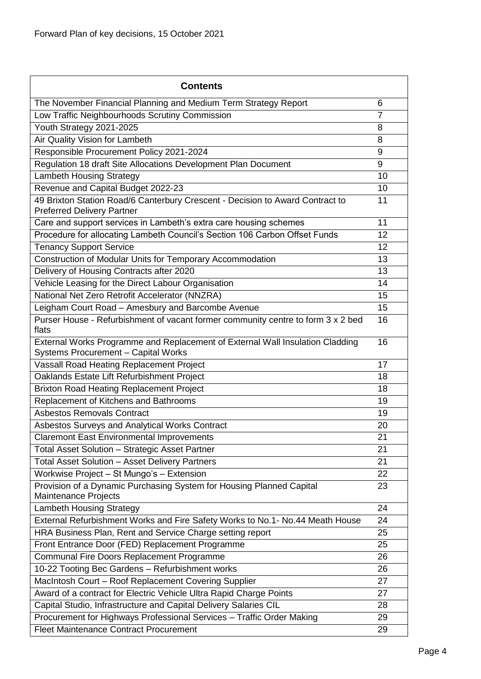| <b>Contents</b>                                                                                                      |                |
|----------------------------------------------------------------------------------------------------------------------|----------------|
| The November Financial Planning and Medium Term Strategy Report                                                      | 6              |
| Low Traffic Neighbourhoods Scrutiny Commission                                                                       | $\overline{7}$ |
| Youth Strategy 2021-2025                                                                                             | 8              |
| Air Quality Vision for Lambeth                                                                                       | 8              |
| Responsible Procurement Policy 2021-2024                                                                             | 9              |
| Regulation 18 draft Site Allocations Development Plan Document                                                       | 9              |
| <b>Lambeth Housing Strategy</b>                                                                                      | 10             |
| Revenue and Capital Budget 2022-23                                                                                   | 10             |
| 49 Brixton Station Road/6 Canterbury Crescent - Decision to Award Contract to<br><b>Preferred Delivery Partner</b>   | 11             |
| Care and support services in Lambeth's extra care housing schemes                                                    | 11             |
| Procedure for allocating Lambeth Council's Section 106 Carbon Offset Funds                                           | 12             |
| <b>Tenancy Support Service</b>                                                                                       | 12             |
| Construction of Modular Units for Temporary Accommodation                                                            | 13             |
| Delivery of Housing Contracts after 2020                                                                             | 13             |
| Vehicle Leasing for the Direct Labour Organisation                                                                   | 14             |
| National Net Zero Retrofit Accelerator (NNZRA)                                                                       | 15             |
| Leigham Court Road - Amesbury and Barcombe Avenue                                                                    | 15             |
| Purser House - Refurbishment of vacant former community centre to form 3 x 2 bed<br>flats                            | 16             |
| External Works Programme and Replacement of External Wall Insulation Cladding<br>Systems Procurement - Capital Works | 16             |
| Vassall Road Heating Replacement Project                                                                             | 17             |
| Oaklands Estate Lift Refurbishment Project                                                                           | 18             |
| <b>Brixton Road Heating Replacement Project</b>                                                                      | 18             |
| Replacement of Kitchens and Bathrooms                                                                                | 19             |
| <b>Asbestos Removals Contract</b>                                                                                    | 19             |
| Asbestos Surveys and Analytical Works Contract                                                                       | 20             |
| <b>Claremont East Environmental Improvements</b>                                                                     | 21             |
| Total Asset Solution - Strategic Asset Partner                                                                       | 21             |
| Total Asset Solution - Asset Delivery Partners                                                                       | 21             |
| Workwise Project - St Mungo's - Extension                                                                            | 22             |
| Provision of a Dynamic Purchasing System for Housing Planned Capital<br>Maintenance Projects                         | 23             |
| <b>Lambeth Housing Strategy</b>                                                                                      | 24             |
| External Refurbishment Works and Fire Safety Works to No.1- No.44 Meath House                                        | 24             |
| HRA Business Plan, Rent and Service Charge setting report                                                            | 25             |
| Front Entrance Door (FED) Replacement Programme                                                                      | 25             |
| Communal Fire Doors Replacement Programme                                                                            | 26             |
| 10-22 Tooting Bec Gardens - Refurbishment works                                                                      | 26             |
| MacIntosh Court - Roof Replacement Covering Supplier                                                                 | 27             |
| Award of a contract for Electric Vehicle Ultra Rapid Charge Points                                                   | 27             |
| Capital Studio, Infrastructure and Capital Delivery Salaries CIL                                                     | 28             |
| Procurement for Highways Professional Services - Traffic Order Making                                                | 29             |
| <b>Fleet Maintenance Contract Procurement</b>                                                                        | 29             |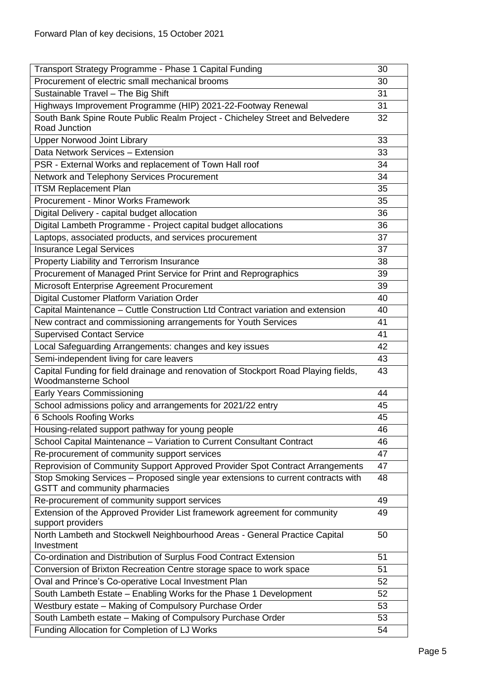| Transport Strategy Programme - Phase 1 Capital Funding                                                             | 30       |  |
|--------------------------------------------------------------------------------------------------------------------|----------|--|
| Procurement of electric small mechanical brooms                                                                    | 30       |  |
| Sustainable Travel - The Big Shift                                                                                 | 31       |  |
| Highways Improvement Programme (HIP) 2021-22-Footway Renewal                                                       | 31       |  |
| South Bank Spine Route Public Realm Project - Chicheley Street and Belvedere<br>Road Junction                      | 32       |  |
| <b>Upper Norwood Joint Library</b>                                                                                 | 33       |  |
| Data Network Services - Extension                                                                                  | 33       |  |
| PSR - External Works and replacement of Town Hall roof                                                             | 34       |  |
| Network and Telephony Services Procurement                                                                         | 34       |  |
| <b>ITSM Replacement Plan</b>                                                                                       | 35       |  |
| Procurement - Minor Works Framework                                                                                | 35       |  |
| Digital Delivery - capital budget allocation                                                                       | 36       |  |
| Digital Lambeth Programme - Project capital budget allocations                                                     | 36       |  |
| Laptops, associated products, and services procurement                                                             | 37       |  |
| <b>Insurance Legal Services</b>                                                                                    | 37       |  |
| Property Liability and Terrorism Insurance                                                                         | 38       |  |
| Procurement of Managed Print Service for Print and Reprographics                                                   | 39       |  |
| Microsoft Enterprise Agreement Procurement                                                                         | 39       |  |
| Digital Customer Platform Variation Order                                                                          | 40       |  |
| Capital Maintenance - Cuttle Construction Ltd Contract variation and extension                                     | 40       |  |
| New contract and commissioning arrangements for Youth Services                                                     | 41       |  |
| <b>Supervised Contact Service</b>                                                                                  |          |  |
| Local Safeguarding Arrangements: changes and key issues                                                            | 42       |  |
| Semi-independent living for care leavers                                                                           | 43       |  |
| Capital Funding for field drainage and renovation of Stockport Road Playing fields,<br>Woodmansterne School        | 43       |  |
| <b>Early Years Commissioning</b>                                                                                   | 44       |  |
| School admissions policy and arrangements for 2021/22 entry                                                        | 45       |  |
| 6 Schools Roofing Works                                                                                            | 45       |  |
| Housing-related support pathway for young people                                                                   | 46       |  |
| School Capital Maintenance - Variation to Current Consultant Contract                                              | 46       |  |
| Re-procurement of community support services                                                                       | 47       |  |
| Reprovision of Community Support Approved Provider Spot Contract Arrangements                                      | 47       |  |
| Stop Smoking Services - Proposed single year extensions to current contracts with<br>GSTT and community pharmacies | 48       |  |
| Re-procurement of community support services                                                                       | 49       |  |
| Extension of the Approved Provider List framework agreement for community                                          | 49       |  |
| support providers                                                                                                  |          |  |
| North Lambeth and Stockwell Neighbourhood Areas - General Practice Capital                                         | 50       |  |
| Investment                                                                                                         |          |  |
| Co-ordination and Distribution of Surplus Food Contract Extension                                                  | 51       |  |
| Conversion of Brixton Recreation Centre storage space to work space                                                | 51       |  |
| Oval and Prince's Co-operative Local Investment Plan                                                               | 52       |  |
| South Lambeth Estate - Enabling Works for the Phase 1 Development                                                  | 52       |  |
| Westbury estate - Making of Compulsory Purchase Order                                                              | 53<br>53 |  |
| South Lambeth estate - Making of Compulsory Purchase Order                                                         |          |  |
| Funding Allocation for Completion of LJ Works                                                                      | 54       |  |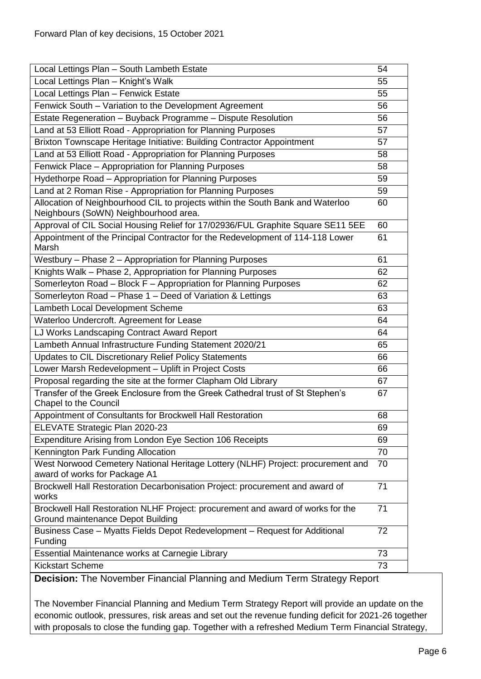| Local Lettings Plan - South Lambeth Estate                                                                              | 54 |  |
|-------------------------------------------------------------------------------------------------------------------------|----|--|
| Local Lettings Plan - Knight's Walk                                                                                     | 55 |  |
| Local Lettings Plan - Fenwick Estate                                                                                    | 55 |  |
| Fenwick South - Variation to the Development Agreement                                                                  | 56 |  |
| Estate Regeneration - Buyback Programme - Dispute Resolution                                                            | 56 |  |
| Land at 53 Elliott Road - Appropriation for Planning Purposes                                                           | 57 |  |
| Brixton Townscape Heritage Initiative: Building Contractor Appointment                                                  | 57 |  |
| Land at 53 Elliott Road - Appropriation for Planning Purposes                                                           | 58 |  |
| Fenwick Place - Appropriation for Planning Purposes                                                                     | 58 |  |
| Hydethorpe Road - Appropriation for Planning Purposes                                                                   | 59 |  |
| Land at 2 Roman Rise - Appropriation for Planning Purposes                                                              | 59 |  |
| Allocation of Neighbourhood CIL to projects within the South Bank and Waterloo<br>Neighbours (SoWN) Neighbourhood area. | 60 |  |
| Approval of CIL Social Housing Relief for 17/02936/FUL Graphite Square SE11 5EE                                         | 60 |  |
| Appointment of the Principal Contractor for the Redevelopment of 114-118 Lower<br>Marsh                                 | 61 |  |
| Westbury - Phase 2 - Appropriation for Planning Purposes                                                                | 61 |  |
| Knights Walk - Phase 2, Appropriation for Planning Purposes                                                             | 62 |  |
| Somerleyton Road - Block F - Appropriation for Planning Purposes                                                        | 62 |  |
| Somerleyton Road - Phase 1 - Deed of Variation & Lettings<br>63                                                         |    |  |
| Lambeth Local Development Scheme                                                                                        | 63 |  |
| Waterloo Undercroft. Agreement for Lease                                                                                |    |  |
| LJ Works Landscaping Contract Award Report                                                                              |    |  |
| Lambeth Annual Infrastructure Funding Statement 2020/21<br>65                                                           |    |  |
| Updates to CIL Discretionary Relief Policy Statements<br>66                                                             |    |  |
| Lower Marsh Redevelopment - Uplift in Project Costs<br>66                                                               |    |  |
| Proposal regarding the site at the former Clapham Old Library                                                           | 67 |  |
| Transfer of the Greek Enclosure from the Greek Cathedral trust of St Stephen's<br><b>Chapel to the Council</b>          | 67 |  |
| Appointment of Consultants for Brockwell Hall Restoration                                                               | 68 |  |
| ELEVATE Strategic Plan 2020-23                                                                                          | 69 |  |
| Expenditure Arising from London Eye Section 106 Receipts                                                                | 69 |  |
| Kennington Park Funding Allocation                                                                                      |    |  |
| West Norwood Cemetery National Heritage Lottery (NLHF) Project: procurement and<br>70<br>award of works for Package A1  |    |  |
| Brockwell Hall Restoration Decarbonisation Project: procurement and award of<br>works                                   | 71 |  |
| Brockwell Hall Restoration NLHF Project: procurement and award of works for the<br>Ground maintenance Depot Building    | 71 |  |
| Business Case – Myatts Fields Depot Redevelopment – Request for Additional<br>Funding                                   | 72 |  |
| Essential Maintenance works at Carnegie Library                                                                         |    |  |
| <b>Kickstart Scheme</b>                                                                                                 |    |  |

<span id="page-5-0"></span>**Decision:** The November Financial Planning and Medium Term Strategy Report

The November Financial Planning and Medium Term Strategy Report will provide an update on the economic outlook, pressures, risk areas and set out the revenue funding deficit for 2021-26 together with proposals to close the funding gap. Together with a refreshed Medium Term Financial Strategy,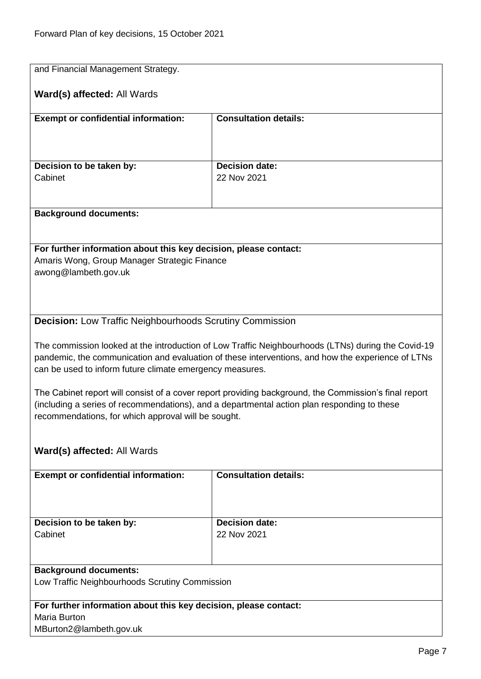<span id="page-6-0"></span>

| and Financial Management Strategy.                                                                               |                                                                                                                                                                                                         |  |
|------------------------------------------------------------------------------------------------------------------|---------------------------------------------------------------------------------------------------------------------------------------------------------------------------------------------------------|--|
| Ward(s) affected: All Wards                                                                                      |                                                                                                                                                                                                         |  |
| <b>Exempt or confidential information:</b>                                                                       | <b>Consultation details:</b>                                                                                                                                                                            |  |
|                                                                                                                  |                                                                                                                                                                                                         |  |
|                                                                                                                  |                                                                                                                                                                                                         |  |
| Decision to be taken by:<br>Cabinet                                                                              | <b>Decision date:</b><br>22 Nov 2021                                                                                                                                                                    |  |
|                                                                                                                  |                                                                                                                                                                                                         |  |
|                                                                                                                  |                                                                                                                                                                                                         |  |
| <b>Background documents:</b>                                                                                     |                                                                                                                                                                                                         |  |
|                                                                                                                  |                                                                                                                                                                                                         |  |
| For further information about this key decision, please contact:<br>Amaris Wong, Group Manager Strategic Finance |                                                                                                                                                                                                         |  |
| awong@lambeth.gov.uk                                                                                             |                                                                                                                                                                                                         |  |
|                                                                                                                  |                                                                                                                                                                                                         |  |
|                                                                                                                  |                                                                                                                                                                                                         |  |
| <b>Decision:</b> Low Traffic Neighbourhoods Scrutiny Commission                                                  |                                                                                                                                                                                                         |  |
|                                                                                                                  |                                                                                                                                                                                                         |  |
|                                                                                                                  | The commission looked at the introduction of Low Traffic Neighbourhoods (LTNs) during the Covid-19<br>pandemic, the communication and evaluation of these interventions, and how the experience of LTNs |  |
| can be used to inform future climate emergency measures.                                                         |                                                                                                                                                                                                         |  |
| The Cabinet report will consist of a cover report providing background, the Commission's final report            |                                                                                                                                                                                                         |  |
|                                                                                                                  | (including a series of recommendations), and a departmental action plan responding to these                                                                                                             |  |
| recommendations, for which approval will be sought.                                                              |                                                                                                                                                                                                         |  |
|                                                                                                                  |                                                                                                                                                                                                         |  |
| <b>Ward(s) affected: All Wards</b>                                                                               |                                                                                                                                                                                                         |  |
| <b>Consultation details:</b><br><b>Exempt or confidential information:</b>                                       |                                                                                                                                                                                                         |  |
|                                                                                                                  |                                                                                                                                                                                                         |  |
|                                                                                                                  |                                                                                                                                                                                                         |  |
| Decision to be taken by:                                                                                         | <b>Decision date:</b>                                                                                                                                                                                   |  |
| Cabinet                                                                                                          | 22 Nov 2021                                                                                                                                                                                             |  |
|                                                                                                                  |                                                                                                                                                                                                         |  |
| <b>Background documents:</b>                                                                                     |                                                                                                                                                                                                         |  |
| Low Traffic Neighbourhoods Scrutiny Commission                                                                   |                                                                                                                                                                                                         |  |
| For further information about this key decision, please contact:                                                 |                                                                                                                                                                                                         |  |
| Maria Burton                                                                                                     |                                                                                                                                                                                                         |  |
| MBurton2@lambeth.gov.uk                                                                                          |                                                                                                                                                                                                         |  |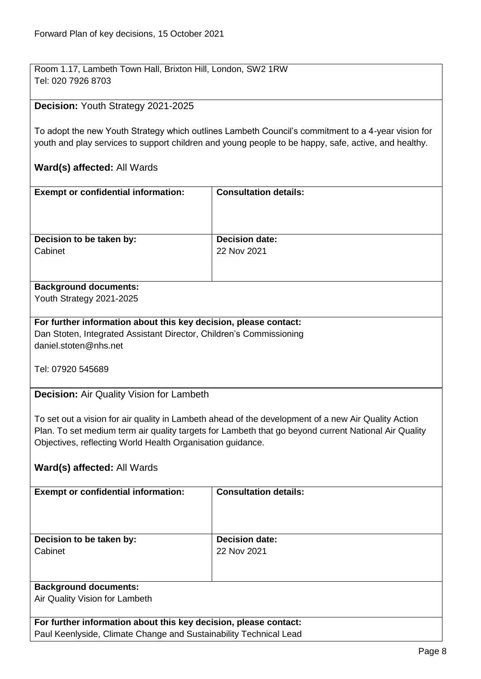Room 1.17, Lambeth Town Hall, Brixton Hill, London, SW2 1RW Tel: 020 7926 8703

#### <span id="page-7-0"></span>**Decision:** Youth Strategy 2021-2025

To adopt the new Youth Strategy which outlines Lambeth Council's commitment to a 4-year vision for youth and play services to support children and young people to be happy, safe, active, and healthy.

#### **Ward(s) affected:** All Wards

| <b>Exempt or confidential information:</b> | <b>Consultation details:</b> |
|--------------------------------------------|------------------------------|
| Decision to be taken by:                   | <b>Decision date:</b>        |
| Cabinet                                    | 22 Nov 2021                  |
|                                            |                              |

# **Background documents:**

Youth Strategy 2021-2025

#### **For further information about this key decision, please contact:**

Dan Stoten, Integrated Assistant Director, Children's Commissioning daniel.stoten@nhs.net

Tel: 07920 545689

<span id="page-7-1"></span>**Decision:** Air Quality Vision for Lambeth

To set out a vision for air quality in Lambeth ahead of the development of a new Air Quality Action Plan. To set medium term air quality targets for Lambeth that go beyond current National Air Quality Objectives, reflecting World Health Organisation guidance.

#### **Ward(s) affected:** All Wards

| <b>Exempt or confidential information:</b> | <b>Consultation details:</b> |
|--------------------------------------------|------------------------------|
|                                            |                              |
|                                            |                              |
|                                            |                              |
|                                            |                              |
| Decision to be taken by:                   | <b>Decision date:</b>        |
|                                            |                              |
| Cabinet                                    | 22 Nov 2021                  |
|                                            |                              |
|                                            |                              |
|                                            |                              |
| <b>Background documents:</b>               |                              |
|                                            |                              |
| Air Quality Vision for Lambeth             |                              |
|                                            |                              |
|                                            |                              |

**For further information about this key decision, please contact:** Paul Keenlyside, Climate Change and Sustainability Technical Lead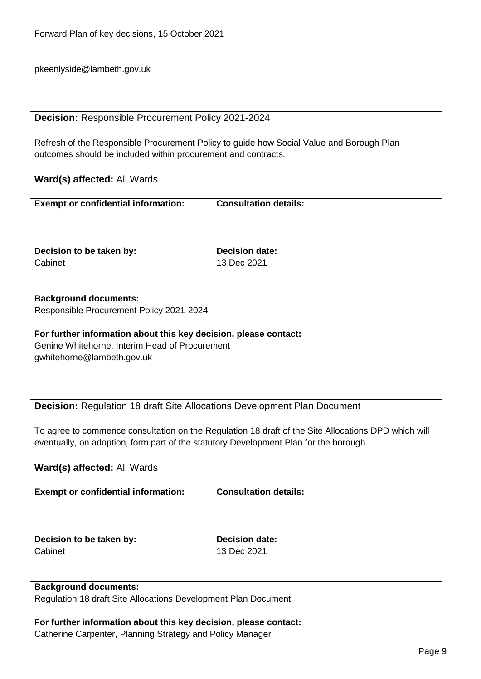pkeenlyside@lambeth.gov.uk

<span id="page-8-0"></span>**Decision:** Responsible Procurement Policy 2021-2024

Refresh of the Responsible Procurement Policy to guide how Social Value and Borough Plan outcomes should be included within procurement and contracts.

#### **Ward(s) affected:** All Wards

| <b>Exempt or confidential information:</b> | <b>Consultation details:</b> |
|--------------------------------------------|------------------------------|
| Decision to be taken by:                   | <b>Decision date:</b>        |
| Cabinet                                    | 13 Dec 2021                  |
|                                            |                              |

#### **Background documents:**

Responsible Procurement Policy 2021-2024

#### **For further information about this key decision, please contact:** Genine Whitehorne, Interim Head of Procurement

Catherine Carpenter, Planning Strategy and Policy Manager

gwhitehorne@lambeth.gov.uk

<span id="page-8-1"></span>**Decision:** Regulation 18 draft Site Allocations Development Plan Document

To agree to commence consultation on the Regulation 18 draft of the Site Allocations DPD which will eventually, on adoption, form part of the statutory Development Plan for the borough.

| <b>Exempt or confidential information:</b>                       | <b>Consultation details:</b> |
|------------------------------------------------------------------|------------------------------|
|                                                                  |                              |
|                                                                  |                              |
|                                                                  |                              |
| Decision to be taken by:                                         | <b>Decision date:</b>        |
|                                                                  |                              |
| Cabinet                                                          | 13 Dec 2021                  |
|                                                                  |                              |
|                                                                  |                              |
|                                                                  |                              |
| <b>Background documents:</b>                                     |                              |
| Regulation 18 draft Site Allocations Development Plan Document   |                              |
|                                                                  |                              |
| For further information about this key decision, please contact: |                              |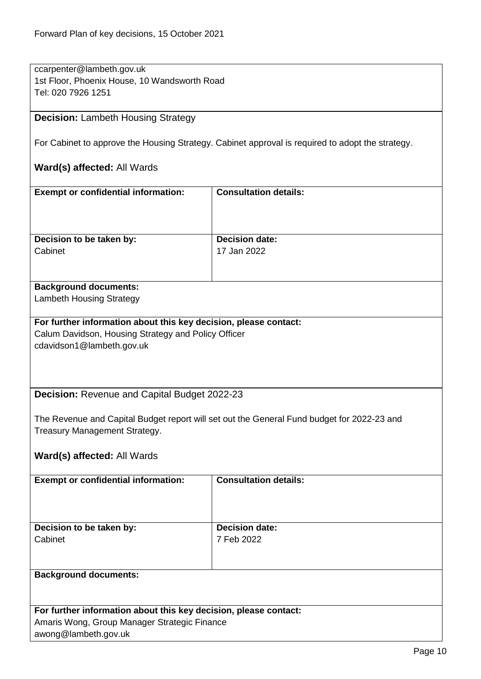ccarpenter@lambeth.gov.uk 1st Floor, Phoenix House, 10 Wandsworth Road Tel: 020 7926 1251

#### <span id="page-9-0"></span>**Decision:** Lambeth Housing Strategy

For Cabinet to approve the Housing Strategy. Cabinet approval is required to adopt the strategy.

### **Ward(s) affected:** All Wards

| <b>Exempt or confidential information:</b>                       | <b>Consultation details:</b>                                                               |  |
|------------------------------------------------------------------|--------------------------------------------------------------------------------------------|--|
|                                                                  |                                                                                            |  |
|                                                                  |                                                                                            |  |
| Decision to be taken by:                                         | <b>Decision date:</b>                                                                      |  |
| Cabinet                                                          | 17 Jan 2022                                                                                |  |
|                                                                  |                                                                                            |  |
|                                                                  |                                                                                            |  |
| <b>Background documents:</b><br><b>Lambeth Housing Strategy</b>  |                                                                                            |  |
|                                                                  |                                                                                            |  |
| For further information about this key decision, please contact: |                                                                                            |  |
| Calum Davidson, Housing Strategy and Policy Officer              |                                                                                            |  |
| cdavidson1@lambeth.gov.uk                                        |                                                                                            |  |
|                                                                  |                                                                                            |  |
|                                                                  |                                                                                            |  |
| Decision: Revenue and Capital Budget 2022-23                     |                                                                                            |  |
|                                                                  |                                                                                            |  |
|                                                                  | The Revenue and Capital Budget report will set out the General Fund budget for 2022-23 and |  |
| Treasury Management Strategy.                                    |                                                                                            |  |
|                                                                  |                                                                                            |  |
| Ward(s) affected: All Wards                                      |                                                                                            |  |
| <b>Exempt or confidential information:</b>                       | <b>Consultation details:</b>                                                               |  |
|                                                                  |                                                                                            |  |
|                                                                  |                                                                                            |  |
|                                                                  |                                                                                            |  |
| Decision to be taken by:                                         | <b>Decision date:</b>                                                                      |  |
| Cabinet                                                          | 7 Feb 2022                                                                                 |  |
|                                                                  |                                                                                            |  |
| <b>Background documents:</b>                                     |                                                                                            |  |

<span id="page-9-1"></span>**For further information about this key decision, please contact:** Amaris Wong, Group Manager Strategic Finance awong@lambeth.gov.uk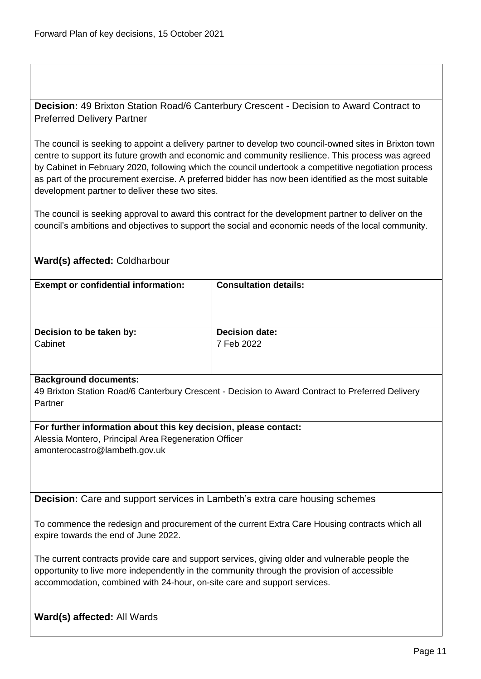<span id="page-10-0"></span>**Decision:** 49 Brixton Station Road/6 Canterbury Crescent - Decision to Award Contract to Preferred Delivery Partner

The council is seeking to appoint a delivery partner to develop two council-owned sites in Brixton town centre to support its future growth and economic and community resilience. This process was agreed by Cabinet in February 2020, following which the council undertook a competitive negotiation process as part of the procurement exercise. A preferred bidder has now been identified as the most suitable development partner to deliver these two sites.

The council is seeking approval to award this contract for the development partner to deliver on the council's ambitions and objectives to support the social and economic needs of the local community.

#### **Ward(s) affected:** Coldharbour

| <b>Exempt or confidential information:</b> | <b>Consultation details:</b> |
|--------------------------------------------|------------------------------|
| Decision to be taken by:                   | <b>Decision date:</b>        |
| Cabinet                                    | 7 Feb 2022                   |
|                                            |                              |

#### **Background documents:**

49 Brixton Station Road/6 Canterbury Crescent - Decision to Award Contract to Preferred Delivery Partner

#### **For further information about this key decision, please contact:**

Alessia Montero, Principal Area Regeneration Officer amonterocastro@lambeth.gov.uk

<span id="page-10-1"></span>**Decision:** Care and support services in Lambeth's extra care housing schemes

To commence the redesign and procurement of the current Extra Care Housing contracts which all expire towards the end of June 2022.

The current contracts provide care and support services, giving older and vulnerable people the opportunity to live more independently in the community through the provision of accessible accommodation, combined with 24-hour, on-site care and support services.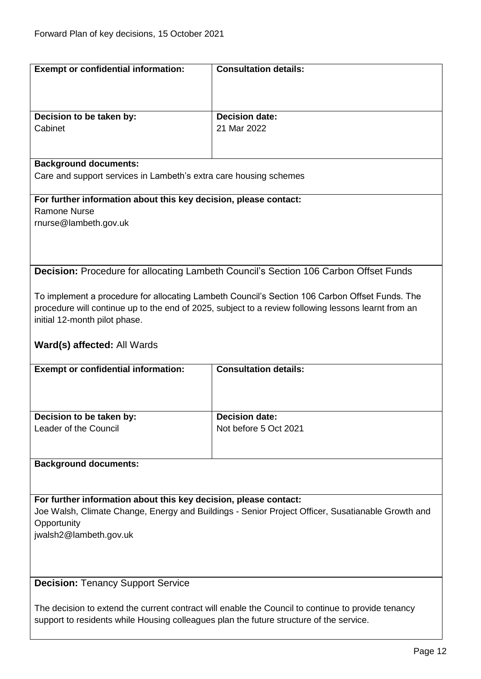<span id="page-11-0"></span>

| <b>Exempt or confidential information:</b>                                                        | <b>Consultation details:</b>                                                                        |  |
|---------------------------------------------------------------------------------------------------|-----------------------------------------------------------------------------------------------------|--|
|                                                                                                   |                                                                                                     |  |
|                                                                                                   |                                                                                                     |  |
|                                                                                                   |                                                                                                     |  |
| Decision to be taken by:                                                                          | <b>Decision date:</b>                                                                               |  |
| Cabinet                                                                                           | 21 Mar 2022                                                                                         |  |
|                                                                                                   |                                                                                                     |  |
|                                                                                                   |                                                                                                     |  |
| <b>Background documents:</b>                                                                      |                                                                                                     |  |
| Care and support services in Lambeth's extra care housing schemes                                 |                                                                                                     |  |
|                                                                                                   |                                                                                                     |  |
| For further information about this key decision, please contact:                                  |                                                                                                     |  |
| <b>Ramone Nurse</b>                                                                               |                                                                                                     |  |
| rnurse@lambeth.gov.uk                                                                             |                                                                                                     |  |
|                                                                                                   |                                                                                                     |  |
|                                                                                                   |                                                                                                     |  |
|                                                                                                   |                                                                                                     |  |
|                                                                                                   | <b>Decision:</b> Procedure for allocating Lambeth Council's Section 106 Carbon Offset Funds         |  |
|                                                                                                   |                                                                                                     |  |
|                                                                                                   | To implement a procedure for allocating Lambeth Council's Section 106 Carbon Offset Funds. The      |  |
|                                                                                                   | procedure will continue up to the end of 2025, subject to a review following lessons learnt from an |  |
| initial 12-month pilot phase.                                                                     |                                                                                                     |  |
|                                                                                                   |                                                                                                     |  |
| Ward(s) affected: All Wards                                                                       |                                                                                                     |  |
|                                                                                                   |                                                                                                     |  |
| <b>Exempt or confidential information:</b>                                                        | <b>Consultation details:</b>                                                                        |  |
|                                                                                                   |                                                                                                     |  |
|                                                                                                   |                                                                                                     |  |
|                                                                                                   |                                                                                                     |  |
| Decision to be taken by:                                                                          | <b>Decision date:</b>                                                                               |  |
| Leader of the Council                                                                             | Not before 5 Oct 2021                                                                               |  |
|                                                                                                   |                                                                                                     |  |
|                                                                                                   |                                                                                                     |  |
| <b>Background documents:</b>                                                                      |                                                                                                     |  |
|                                                                                                   |                                                                                                     |  |
|                                                                                                   |                                                                                                     |  |
| For further information about this key decision, please contact:                                  |                                                                                                     |  |
| Joe Walsh, Climate Change, Energy and Buildings - Senior Project Officer, Susatianable Growth and |                                                                                                     |  |
| Opportunity                                                                                       |                                                                                                     |  |
| jwalsh2@lambeth.gov.uk                                                                            |                                                                                                     |  |
|                                                                                                   |                                                                                                     |  |
|                                                                                                   |                                                                                                     |  |
|                                                                                                   |                                                                                                     |  |
| <b>Decision: Tenancy Support Service</b>                                                          |                                                                                                     |  |
|                                                                                                   |                                                                                                     |  |
|                                                                                                   |                                                                                                     |  |

<span id="page-11-1"></span>support to residents while Housing colleagues plan the future structure of the service.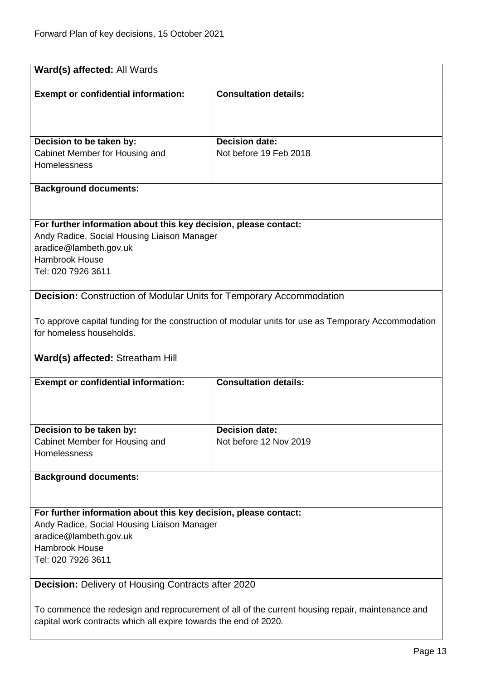<span id="page-12-1"></span><span id="page-12-0"></span>

| Ward(s) affected: All Wards                                                                                                                                          |                                                                                                     |  |
|----------------------------------------------------------------------------------------------------------------------------------------------------------------------|-----------------------------------------------------------------------------------------------------|--|
| <b>Exempt or confidential information:</b>                                                                                                                           | <b>Consultation details:</b>                                                                        |  |
|                                                                                                                                                                      |                                                                                                     |  |
|                                                                                                                                                                      |                                                                                                     |  |
| Decision to be taken by:                                                                                                                                             | Decision date:                                                                                      |  |
| Cabinet Member for Housing and<br>Homelessness                                                                                                                       | Not before 19 Feb 2018                                                                              |  |
|                                                                                                                                                                      |                                                                                                     |  |
| <b>Background documents:</b>                                                                                                                                         |                                                                                                     |  |
|                                                                                                                                                                      |                                                                                                     |  |
| For further information about this key decision, please contact:                                                                                                     |                                                                                                     |  |
| Andy Radice, Social Housing Liaison Manager<br>aradice@lambeth.gov.uk                                                                                                |                                                                                                     |  |
| <b>Hambrook House</b>                                                                                                                                                |                                                                                                     |  |
| Tel: 020 7926 3611                                                                                                                                                   |                                                                                                     |  |
| <b>Decision:</b> Construction of Modular Units for Temporary Accommodation                                                                                           |                                                                                                     |  |
|                                                                                                                                                                      |                                                                                                     |  |
| for homeless households.                                                                                                                                             | To approve capital funding for the construction of modular units for use as Temporary Accommodation |  |
|                                                                                                                                                                      |                                                                                                     |  |
| Ward(s) affected: Streatham Hill                                                                                                                                     |                                                                                                     |  |
| <b>Exempt or confidential information:</b>                                                                                                                           | <b>Consultation details:</b>                                                                        |  |
|                                                                                                                                                                      |                                                                                                     |  |
|                                                                                                                                                                      |                                                                                                     |  |
| Decision to be taken by:                                                                                                                                             | <b>Decision date:</b>                                                                               |  |
| Cabinet Member for Housing and<br>Homelessness                                                                                                                       | Not before 12 Nov 2019                                                                              |  |
|                                                                                                                                                                      |                                                                                                     |  |
| <b>Background documents:</b>                                                                                                                                         |                                                                                                     |  |
|                                                                                                                                                                      |                                                                                                     |  |
| For further information about this key decision, please contact:<br>Andy Radice, Social Housing Liaison Manager                                                      |                                                                                                     |  |
| aradice@lambeth.gov.uk                                                                                                                                               |                                                                                                     |  |
| <b>Hambrook House</b>                                                                                                                                                |                                                                                                     |  |
| Tel: 020 7926 3611                                                                                                                                                   |                                                                                                     |  |
| <b>Decision: Delivery of Housing Contracts after 2020</b>                                                                                                            |                                                                                                     |  |
|                                                                                                                                                                      |                                                                                                     |  |
| To commence the redesign and reprocurement of all of the current housing repair, maintenance and<br>capital work contracts which all expire towards the end of 2020. |                                                                                                     |  |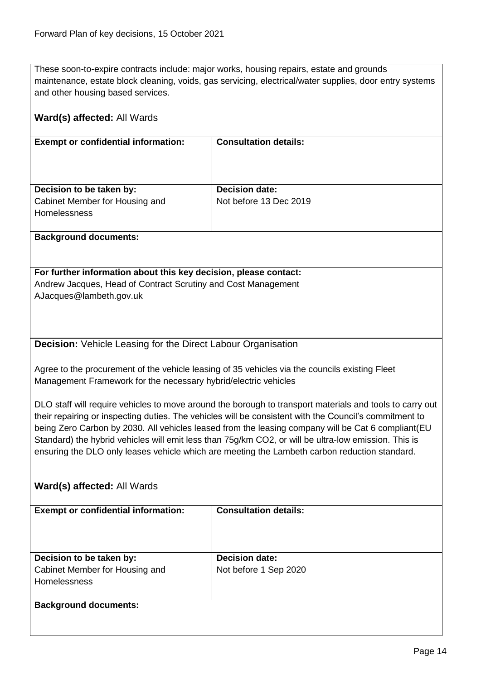These soon-to-expire contracts include: major works, housing repairs, estate and grounds maintenance, estate block cleaning, voids, gas servicing, electrical/water supplies, door entry systems and other housing based services.

# <span id="page-13-0"></span>**Ward(s) affected:** All Wards **Exempt or confidential information: Consultation details: Decision to be taken by:** Cabinet Member for Housing and **Homelessness Decision date:** Not before 13 Dec 2019 **Background documents: For further information about this key decision, please contact:** Andrew Jacques, Head of Contract Scrutiny and Cost Management AJacques@lambeth.gov.uk **Decision:** Vehicle Leasing for the Direct Labour Organisation Agree to the procurement of the vehicle leasing of 35 vehicles via the councils existing Fleet Management Framework for the necessary hybrid/electric vehicles DLO staff will require vehicles to move around the borough to transport materials and tools to carry out their repairing or inspecting duties. The vehicles will be consistent with the Council's commitment to being Zero Carbon by 2030. All vehicles leased from the leasing company will be Cat 6 compliant(EU Standard) the hybrid vehicles will emit less than 75g/km CO2, or will be ultra-low emission. This is ensuring the DLO only leases vehicle which are meeting the Lambeth carbon reduction standard. **Ward(s) affected:** All Wards **Exempt or confidential information: Consultation details: Decision to be taken by:** Cabinet Member for Housing and **Homelessness Decision date:** Not before 1 Sep 2020 **Background documents:**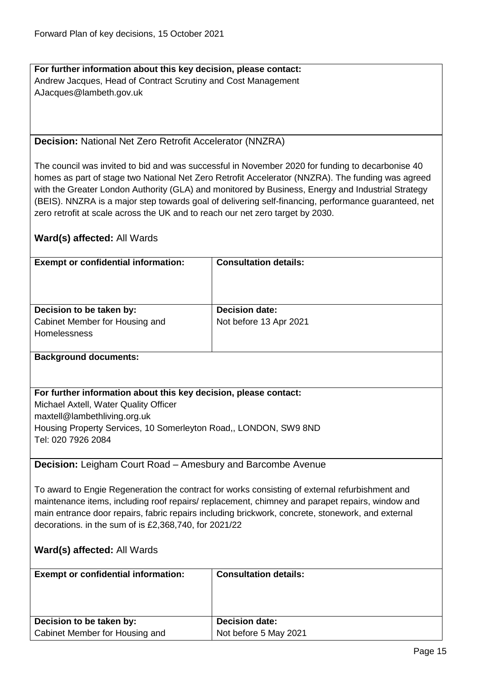**For further information about this key decision, please contact:** Andrew Jacques, Head of Contract Scrutiny and Cost Management AJacques@lambeth.gov.uk

#### <span id="page-14-0"></span>**Decision:** National Net Zero Retrofit Accelerator (NNZRA)

The council was invited to bid and was successful in November 2020 for funding to decarbonise 40 homes as part of stage two National Net Zero Retrofit Accelerator (NNZRA). The funding was agreed with the Greater London Authority (GLA) and monitored by Business, Energy and Industrial Strategy (BEIS). NNZRA is a major step towards goal of delivering self-financing, performance guaranteed, net zero retrofit at scale across the UK and to reach our net zero target by 2030.

#### **Ward(s) affected:** All Wards

| <b>Exempt or confidential information:</b> | <b>Consultation details:</b> |
|--------------------------------------------|------------------------------|
| Decision to be taken by:                   | <b>Decision date:</b>        |
| Cabinet Member for Housing and             | Not before 13 Apr 2021       |
| <b>Homelessness</b>                        |                              |
|                                            |                              |
| Deelsenative distances and as              |                              |

# **Background documents:**

#### **For further information about this key decision, please contact:**

Michael Axtell, Water Quality Officer maxtell@lambethliving.org.uk Housing Property Services, 10 Somerleyton Road,, LONDON, SW9 8ND Tel: 020 7926 2084

#### <span id="page-14-1"></span>**Decision:** Leigham Court Road – Amesbury and Barcombe Avenue

To award to Engie Regeneration the contract for works consisting of external refurbishment and maintenance items, including roof repairs/ replacement, chimney and parapet repairs, window and main entrance door repairs, fabric repairs including brickwork, concrete, stonework, and external decorations. in the sum of is £2,368,740, for 2021/22

| <b>Exempt or confidential information:</b> | <b>Consultation details:</b> |
|--------------------------------------------|------------------------------|
| Decision to be taken by:                   | <b>Decision date:</b>        |
| Cabinet Member for Housing and             | Not before 5 May 2021        |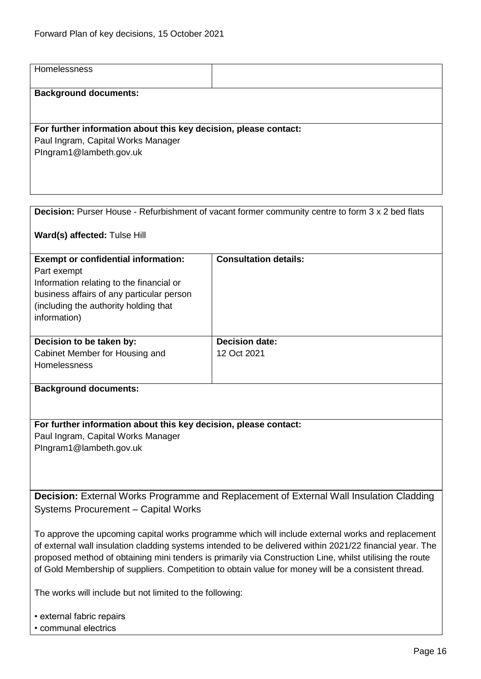<span id="page-15-1"></span><span id="page-15-0"></span>

| Homelessness                                                                                             |                                                                                                         |
|----------------------------------------------------------------------------------------------------------|---------------------------------------------------------------------------------------------------------|
|                                                                                                          |                                                                                                         |
| <b>Background documents:</b>                                                                             |                                                                                                         |
|                                                                                                          |                                                                                                         |
|                                                                                                          |                                                                                                         |
| For further information about this key decision, please contact:                                         |                                                                                                         |
| Paul Ingram, Capital Works Manager                                                                       |                                                                                                         |
| PIngram1@lambeth.gov.uk                                                                                  |                                                                                                         |
|                                                                                                          |                                                                                                         |
|                                                                                                          |                                                                                                         |
|                                                                                                          |                                                                                                         |
|                                                                                                          |                                                                                                         |
|                                                                                                          | <b>Decision:</b> Purser House - Refurbishment of vacant former community centre to form 3 x 2 bed flats |
| Ward(s) affected: Tulse Hill                                                                             |                                                                                                         |
|                                                                                                          |                                                                                                         |
| <b>Exempt or confidential information:</b>                                                               | <b>Consultation details:</b>                                                                            |
| Part exempt                                                                                              |                                                                                                         |
| Information relating to the financial or                                                                 |                                                                                                         |
| business affairs of any particular person                                                                |                                                                                                         |
| (including the authority holding that                                                                    |                                                                                                         |
| information)                                                                                             |                                                                                                         |
|                                                                                                          |                                                                                                         |
| Decision to be taken by:                                                                                 | <b>Decision date:</b>                                                                                   |
| Cabinet Member for Housing and                                                                           | 12 Oct 2021                                                                                             |
| Homelessness                                                                                             |                                                                                                         |
|                                                                                                          |                                                                                                         |
| <b>Background documents:</b>                                                                             |                                                                                                         |
|                                                                                                          |                                                                                                         |
|                                                                                                          |                                                                                                         |
| For further information about this key decision, please contact:                                         |                                                                                                         |
| Paul Ingram, Capital Works Manager                                                                       |                                                                                                         |
| PIngram1@lambeth.gov.uk                                                                                  |                                                                                                         |
|                                                                                                          |                                                                                                         |
|                                                                                                          |                                                                                                         |
|                                                                                                          |                                                                                                         |
| Decision: External Works Programme and Replacement of External Wall Insulation Cladding                  |                                                                                                         |
| <b>Systems Procurement - Capital Works</b>                                                               |                                                                                                         |
|                                                                                                          |                                                                                                         |
| To approve the upcoming capital works programme which will include external works and replacement        |                                                                                                         |
| of external wall insulation cladding systems intended to be delivered within 2021/22 financial year. The |                                                                                                         |
| proposed method of obtaining mini tenders is primarily via Construction Line, whilst utilising the route |                                                                                                         |
| of Gold Membership of suppliers. Competition to obtain value for money will be a consistent thread.      |                                                                                                         |
|                                                                                                          |                                                                                                         |
| The works will include but not limited to the following:                                                 |                                                                                                         |
|                                                                                                          |                                                                                                         |
| • external fabric repairs                                                                                |                                                                                                         |
| • communal electrics                                                                                     |                                                                                                         |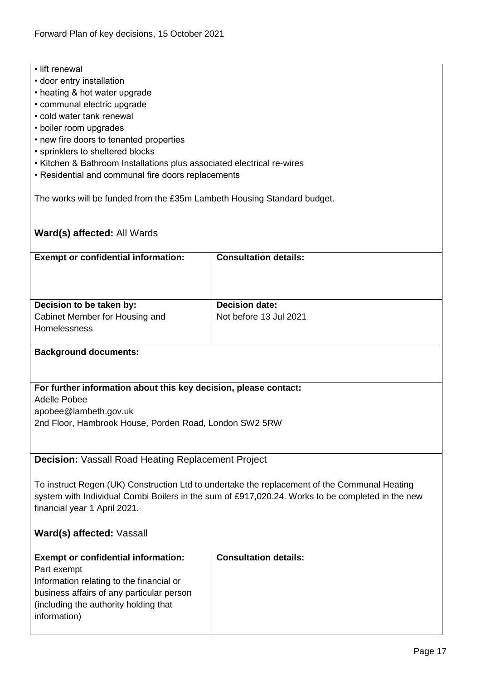- lift renewal
- door entry installation
- heating & hot water upgrade
- communal electric upgrade
- cold water tank renewal
- boiler room upgrades
- new fire doors to tenanted properties
- sprinklers to sheltered blocks
- Kitchen & Bathroom Installations plus associated electrical re-wires
- Residential and communal fire doors replacements

The works will be funded from the £35m Lambeth Housing Standard budget.

#### **Ward(s) affected:** All Wards

| <b>Exempt or confidential information:</b> | <b>Consultation details:</b> |
|--------------------------------------------|------------------------------|
|                                            |                              |
|                                            |                              |
|                                            |                              |
|                                            |                              |
| Decision to be taken by:                   | <b>Decision date:</b>        |
| Cabinet Member for Housing and             | Not before 13 Jul 2021       |
| <b>Homelessness</b>                        |                              |
|                                            |                              |
|                                            |                              |

#### **Background documents:**

#### **For further information about this key decision, please contact:**

Adelle Pobee apobee@lambeth.gov.uk 2nd Floor, Hambrook House, Porden Road, London SW2 5RW

<span id="page-16-0"></span>**Decision:** Vassall Road Heating Replacement Project

To instruct Regen (UK) Construction Ltd to undertake the replacement of the Communal Heating system with Individual Combi Boilers in the sum of £917,020.24. Works to be completed in the new financial year 1 April 2021.

#### **Ward(s) affected:** Vassall

| <b>Exempt or confidential information:</b> | <b>Consultation details:</b> |
|--------------------------------------------|------------------------------|
| Part exempt                                |                              |
| Information relating to the financial or   |                              |
| business affairs of any particular person  |                              |
| (including the authority holding that      |                              |
| information)                               |                              |
|                                            |                              |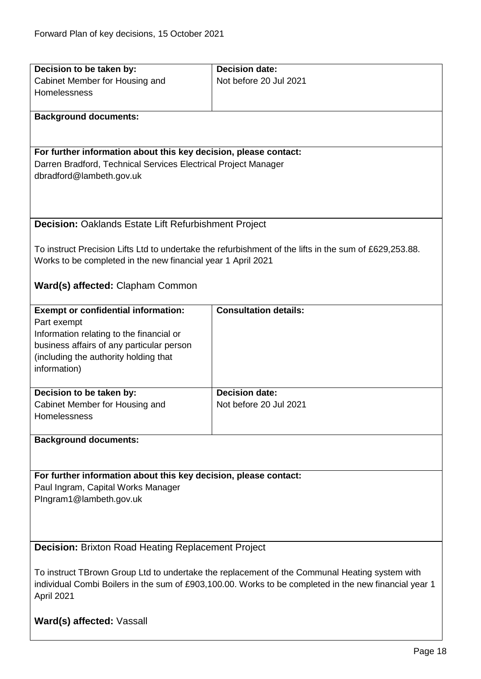<span id="page-17-1"></span><span id="page-17-0"></span>

| Decision to be taken by:                                                                              | <b>Decision date:</b>                                                                                  |  |
|-------------------------------------------------------------------------------------------------------|--------------------------------------------------------------------------------------------------------|--|
|                                                                                                       |                                                                                                        |  |
| Cabinet Member for Housing and                                                                        | Not before 20 Jul 2021                                                                                 |  |
| Homelessness                                                                                          |                                                                                                        |  |
|                                                                                                       |                                                                                                        |  |
| <b>Background documents:</b>                                                                          |                                                                                                        |  |
|                                                                                                       |                                                                                                        |  |
|                                                                                                       |                                                                                                        |  |
| For further information about this key decision, please contact:                                      |                                                                                                        |  |
| Darren Bradford, Technical Services Electrical Project Manager                                        |                                                                                                        |  |
| dbradford@lambeth.gov.uk                                                                              |                                                                                                        |  |
|                                                                                                       |                                                                                                        |  |
|                                                                                                       |                                                                                                        |  |
|                                                                                                       |                                                                                                        |  |
|                                                                                                       |                                                                                                        |  |
| <b>Decision: Oaklands Estate Lift Refurbishment Project</b>                                           |                                                                                                        |  |
|                                                                                                       |                                                                                                        |  |
|                                                                                                       | To instruct Precision Lifts Ltd to undertake the refurbishment of the lifts in the sum of £629,253.88. |  |
| Works to be completed in the new financial year 1 April 2021                                          |                                                                                                        |  |
|                                                                                                       |                                                                                                        |  |
| Ward(s) affected: Clapham Common                                                                      |                                                                                                        |  |
|                                                                                                       |                                                                                                        |  |
| <b>Exempt or confidential information:</b>                                                            | <b>Consultation details:</b>                                                                           |  |
| Part exempt                                                                                           |                                                                                                        |  |
|                                                                                                       |                                                                                                        |  |
| Information relating to the financial or                                                              |                                                                                                        |  |
| business affairs of any particular person                                                             |                                                                                                        |  |
| (including the authority holding that                                                                 |                                                                                                        |  |
| information)                                                                                          |                                                                                                        |  |
|                                                                                                       |                                                                                                        |  |
| Decision to be taken by:                                                                              | <b>Decision date:</b>                                                                                  |  |
| Cabinet Member for Housing and                                                                        | Not before 20 Jul 2021                                                                                 |  |
| Homelessness                                                                                          |                                                                                                        |  |
|                                                                                                       |                                                                                                        |  |
| <b>Background documents:</b>                                                                          |                                                                                                        |  |
|                                                                                                       |                                                                                                        |  |
|                                                                                                       |                                                                                                        |  |
| For further information about this key decision, please contact:                                      |                                                                                                        |  |
|                                                                                                       |                                                                                                        |  |
| Paul Ingram, Capital Works Manager                                                                    |                                                                                                        |  |
| PIngram1@lambeth.gov.uk                                                                               |                                                                                                        |  |
|                                                                                                       |                                                                                                        |  |
|                                                                                                       |                                                                                                        |  |
|                                                                                                       |                                                                                                        |  |
| <b>Decision: Brixton Road Heating Replacement Project</b>                                             |                                                                                                        |  |
|                                                                                                       |                                                                                                        |  |
| To instruct TBrown Group Ltd to undertake the replacement of the Communal Heating system with         |                                                                                                        |  |
| individual Combi Boilers in the sum of £903,100.00. Works to be completed in the new financial year 1 |                                                                                                        |  |
| April 2021                                                                                            |                                                                                                        |  |
|                                                                                                       |                                                                                                        |  |
|                                                                                                       |                                                                                                        |  |
| Ward(s) affected: Vassall                                                                             |                                                                                                        |  |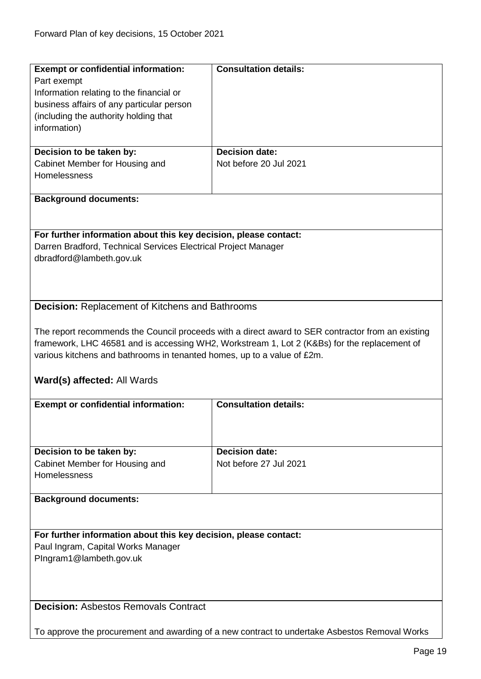<span id="page-18-1"></span><span id="page-18-0"></span>

| <b>Exempt or confidential information:</b><br>Part exempt<br>Information relating to the financial or                                                                                                                                                                                                       | <b>Consultation details:</b> |  |
|-------------------------------------------------------------------------------------------------------------------------------------------------------------------------------------------------------------------------------------------------------------------------------------------------------------|------------------------------|--|
| business affairs of any particular person<br>(including the authority holding that<br>information)                                                                                                                                                                                                          |                              |  |
| Decision to be taken by:                                                                                                                                                                                                                                                                                    | <b>Decision date:</b>        |  |
| Cabinet Member for Housing and<br>Homelessness                                                                                                                                                                                                                                                              | Not before 20 Jul 2021       |  |
| <b>Background documents:</b>                                                                                                                                                                                                                                                                                |                              |  |
| For further information about this key decision, please contact:<br>Darren Bradford, Technical Services Electrical Project Manager<br>dbradford@lambeth.gov.uk                                                                                                                                              |                              |  |
| <b>Decision: Replacement of Kitchens and Bathrooms</b>                                                                                                                                                                                                                                                      |                              |  |
| The report recommends the Council proceeds with a direct award to SER contractor from an existing<br>framework, LHC 46581 and is accessing WH2, Workstream 1, Lot 2 (K&Bs) for the replacement of<br>various kitchens and bathrooms in tenanted homes, up to a value of £2m.<br>Ward(s) affected: All Wards |                              |  |
| <b>Exempt or confidential information:</b>                                                                                                                                                                                                                                                                  | <b>Consultation details:</b> |  |
|                                                                                                                                                                                                                                                                                                             |                              |  |
| Decision to be taken by:                                                                                                                                                                                                                                                                                    | <b>Decision date:</b>        |  |
| Cabinet Member for Housing and<br>Homelessness                                                                                                                                                                                                                                                              | Not before 27 Jul 2021       |  |
| <b>Background documents:</b>                                                                                                                                                                                                                                                                                |                              |  |
| For further information about this key decision, please contact:                                                                                                                                                                                                                                            |                              |  |
| Paul Ingram, Capital Works Manager<br>PIngram1@lambeth.gov.uk                                                                                                                                                                                                                                               |                              |  |
|                                                                                                                                                                                                                                                                                                             |                              |  |
| <b>Decision: Asbestos Removals Contract</b>                                                                                                                                                                                                                                                                 |                              |  |
| To approve the procurement and awarding of a new contract to undertake Asbestos Removal Works                                                                                                                                                                                                               |                              |  |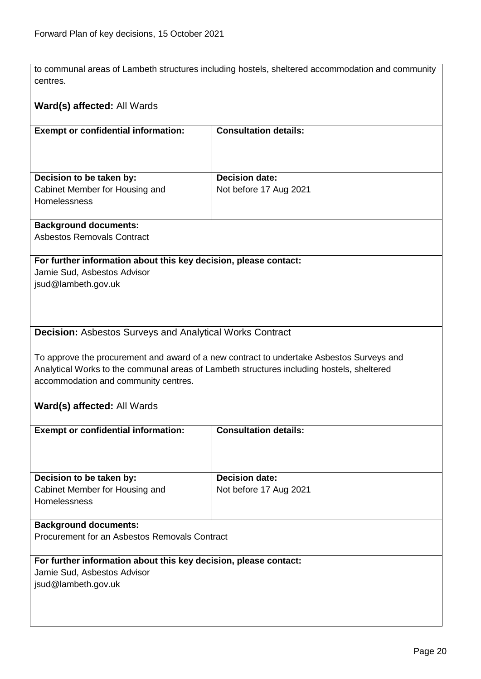to communal areas of Lambeth structures including hostels, sheltered accommodation and community centres.

#### **Ward(s) affected:** All Wards

| <b>Exempt or confidential information:</b>            | <b>Consultation details:</b> |
|-------------------------------------------------------|------------------------------|
|                                                       |                              |
| Decision to be taken by:                              | <b>Decision date:</b>        |
| Cabinet Member for Housing and<br><b>Homelessness</b> | Not before 17 Aug 2021       |

#### **Background documents:**

Asbestos Removals Contract

#### **For further information about this key decision, please contact:**

Jamie Sud, Asbestos Advisor jsud@lambeth.gov.uk

#### <span id="page-19-0"></span>**Decision:** Asbestos Surveys and Analytical Works Contract

To approve the procurement and award of a new contract to undertake Asbestos Surveys and Analytical Works to the communal areas of Lambeth structures including hostels, sheltered accommodation and community centres.

|                                                                  | <b>Consultation details:</b> |  |
|------------------------------------------------------------------|------------------------------|--|
| <b>Exempt or confidential information:</b>                       |                              |  |
|                                                                  |                              |  |
|                                                                  |                              |  |
|                                                                  |                              |  |
| Decision to be taken by:                                         | <b>Decision date:</b>        |  |
| Cabinet Member for Housing and                                   | Not before 17 Aug 2021       |  |
|                                                                  |                              |  |
| <b>Homelessness</b>                                              |                              |  |
|                                                                  |                              |  |
| <b>Background documents:</b>                                     |                              |  |
| Procurement for an Asbestos Removals Contract                    |                              |  |
|                                                                  |                              |  |
|                                                                  |                              |  |
| For further information about this key decision, please contact: |                              |  |
| Jamie Sud, Asbestos Advisor                                      |                              |  |
| jsud@lambeth.gov.uk                                              |                              |  |
|                                                                  |                              |  |
|                                                                  |                              |  |
|                                                                  |                              |  |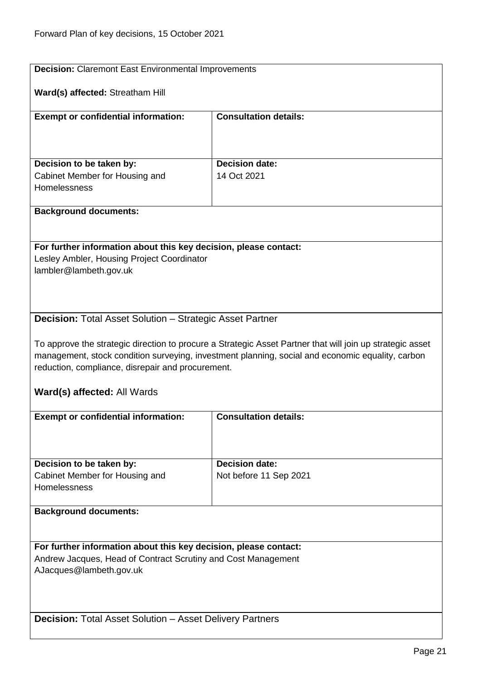<span id="page-20-2"></span><span id="page-20-1"></span><span id="page-20-0"></span>

| <b>Decision:</b> Claremont East Environmental Improvements           |                                                                                                           |  |
|----------------------------------------------------------------------|-----------------------------------------------------------------------------------------------------------|--|
| Ward(s) affected: Streatham Hill                                     |                                                                                                           |  |
| <b>Exempt or confidential information:</b>                           | <b>Consultation details:</b>                                                                              |  |
|                                                                      |                                                                                                           |  |
| Decision to be taken by:                                             | <b>Decision date:</b>                                                                                     |  |
| Cabinet Member for Housing and                                       | 14 Oct 2021                                                                                               |  |
| Homelessness                                                         |                                                                                                           |  |
| <b>Background documents:</b>                                         |                                                                                                           |  |
|                                                                      |                                                                                                           |  |
| For further information about this key decision, please contact:     |                                                                                                           |  |
| Lesley Ambler, Housing Project Coordinator<br>lambler@lambeth.gov.uk |                                                                                                           |  |
|                                                                      |                                                                                                           |  |
|                                                                      |                                                                                                           |  |
| <b>Decision:</b> Total Asset Solution - Strategic Asset Partner      |                                                                                                           |  |
|                                                                      | To approve the strategic direction to procure a Strategic Asset Partner that will join up strategic asset |  |
|                                                                      | management, stock condition surveying, investment planning, social and economic equality, carbon          |  |
| reduction, compliance, disrepair and procurement.                    |                                                                                                           |  |
|                                                                      |                                                                                                           |  |
| Ward(s) affected: All Wards                                          |                                                                                                           |  |
| <b>Exempt or confidential information:</b>                           | <b>Consultation details:</b>                                                                              |  |
|                                                                      |                                                                                                           |  |
|                                                                      | <b>Decision date:</b>                                                                                     |  |
| Decision to be taken by:<br>Cabinet Member for Housing and           | Not before 11 Sep 2021                                                                                    |  |
| Homelessness                                                         |                                                                                                           |  |
| <b>Background documents:</b>                                         |                                                                                                           |  |
|                                                                      |                                                                                                           |  |
| For further information about this key decision, please contact:     |                                                                                                           |  |
| Andrew Jacques, Head of Contract Scrutiny and Cost Management        |                                                                                                           |  |
| AJacques@lambeth.gov.uk                                              |                                                                                                           |  |
|                                                                      |                                                                                                           |  |
|                                                                      |                                                                                                           |  |
| <b>Decision: Total Asset Solution - Asset Delivery Partners</b>      |                                                                                                           |  |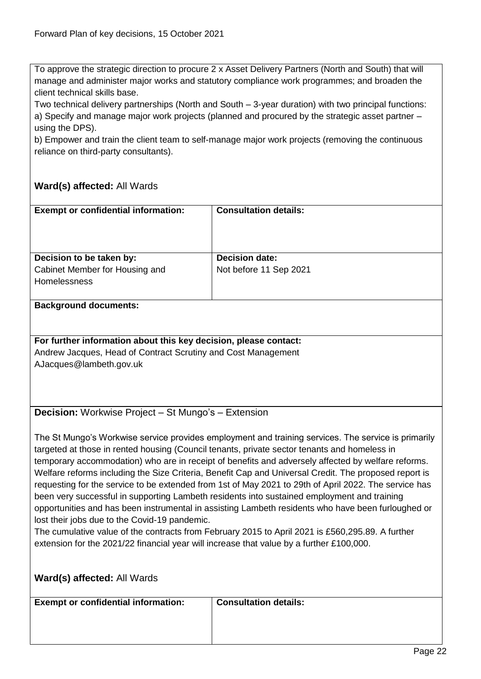To approve the strategic direction to procure 2 x Asset Delivery Partners (North and South) that will manage and administer major works and statutory compliance work programmes; and broaden the client technical skills base.

Two technical delivery partnerships (North and South – 3-year duration) with two principal functions: a) Specify and manage major work projects (planned and procured by the strategic asset partner – using the DPS).

b) Empower and train the client team to self-manage major work projects (removing the continuous reliance on third-party consultants).

# **Ward(s) affected:** All Wards

| <b>Exempt or confidential information:</b>                                                                                                                                                                                                                                                                                                                                                                                                                                                                                                                                                                                                                                                                                                                                                                                                                                                                                                                                        | <b>Consultation details:</b> |  |
|-----------------------------------------------------------------------------------------------------------------------------------------------------------------------------------------------------------------------------------------------------------------------------------------------------------------------------------------------------------------------------------------------------------------------------------------------------------------------------------------------------------------------------------------------------------------------------------------------------------------------------------------------------------------------------------------------------------------------------------------------------------------------------------------------------------------------------------------------------------------------------------------------------------------------------------------------------------------------------------|------------------------------|--|
|                                                                                                                                                                                                                                                                                                                                                                                                                                                                                                                                                                                                                                                                                                                                                                                                                                                                                                                                                                                   |                              |  |
| Decision to be taken by:                                                                                                                                                                                                                                                                                                                                                                                                                                                                                                                                                                                                                                                                                                                                                                                                                                                                                                                                                          | <b>Decision date:</b>        |  |
| Cabinet Member for Housing and                                                                                                                                                                                                                                                                                                                                                                                                                                                                                                                                                                                                                                                                                                                                                                                                                                                                                                                                                    | Not before 11 Sep 2021       |  |
| Homelessness                                                                                                                                                                                                                                                                                                                                                                                                                                                                                                                                                                                                                                                                                                                                                                                                                                                                                                                                                                      |                              |  |
| <b>Background documents:</b>                                                                                                                                                                                                                                                                                                                                                                                                                                                                                                                                                                                                                                                                                                                                                                                                                                                                                                                                                      |                              |  |
|                                                                                                                                                                                                                                                                                                                                                                                                                                                                                                                                                                                                                                                                                                                                                                                                                                                                                                                                                                                   |                              |  |
| For further information about this key decision, please contact:                                                                                                                                                                                                                                                                                                                                                                                                                                                                                                                                                                                                                                                                                                                                                                                                                                                                                                                  |                              |  |
| Andrew Jacques, Head of Contract Scrutiny and Cost Management<br>AJacques@lambeth.gov.uk                                                                                                                                                                                                                                                                                                                                                                                                                                                                                                                                                                                                                                                                                                                                                                                                                                                                                          |                              |  |
|                                                                                                                                                                                                                                                                                                                                                                                                                                                                                                                                                                                                                                                                                                                                                                                                                                                                                                                                                                                   |                              |  |
|                                                                                                                                                                                                                                                                                                                                                                                                                                                                                                                                                                                                                                                                                                                                                                                                                                                                                                                                                                                   |                              |  |
|                                                                                                                                                                                                                                                                                                                                                                                                                                                                                                                                                                                                                                                                                                                                                                                                                                                                                                                                                                                   |                              |  |
| <b>Decision:</b> Workwise Project – St Mungo's – Extension                                                                                                                                                                                                                                                                                                                                                                                                                                                                                                                                                                                                                                                                                                                                                                                                                                                                                                                        |                              |  |
| The St Mungo's Workwise service provides employment and training services. The service is primarily<br>targeted at those in rented housing (Council tenants, private sector tenants and homeless in<br>temporary accommodation) who are in receipt of benefits and adversely affected by welfare reforms.<br>Welfare reforms including the Size Criteria, Benefit Cap and Universal Credit. The proposed report is<br>requesting for the service to be extended from 1st of May 2021 to 29th of April 2022. The service has<br>been very successful in supporting Lambeth residents into sustained employment and training<br>opportunities and has been instrumental in assisting Lambeth residents who have been furloughed or<br>lost their jobs due to the Covid-19 pandemic.<br>The cumulative value of the contracts from February 2015 to April 2021 is £560,295.89. A further<br>extension for the 2021/22 financial year will increase that value by a further £100,000. |                              |  |

<span id="page-21-0"></span>

| <b>Exempt or confidential information:</b> | <b>Consultation details:</b> |
|--------------------------------------------|------------------------------|
|                                            |                              |
|                                            |                              |
|                                            |                              |
|                                            |                              |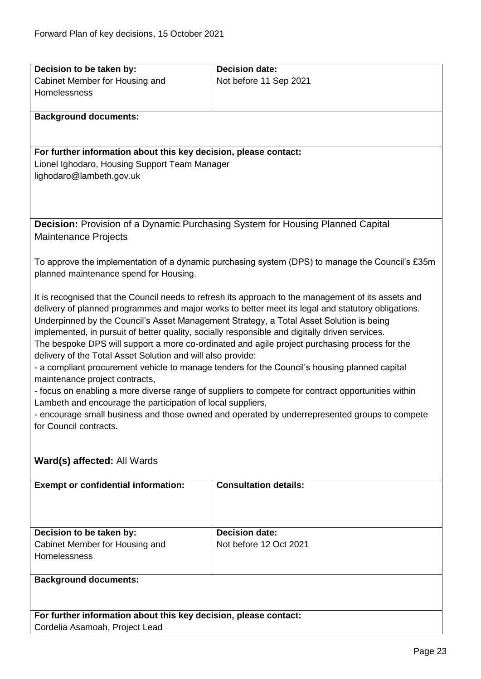<span id="page-22-0"></span>

| Decision to be taken by:                                                                                                | <b>Decision date:</b>                                                                               |  |
|-------------------------------------------------------------------------------------------------------------------------|-----------------------------------------------------------------------------------------------------|--|
| Cabinet Member for Housing and                                                                                          | Not before 11 Sep 2021                                                                              |  |
| Homelessness                                                                                                            |                                                                                                     |  |
|                                                                                                                         |                                                                                                     |  |
| <b>Background documents:</b>                                                                                            |                                                                                                     |  |
|                                                                                                                         |                                                                                                     |  |
|                                                                                                                         |                                                                                                     |  |
| For further information about this key decision, please contact:                                                        |                                                                                                     |  |
| Lionel Ighodaro, Housing Support Team Manager                                                                           |                                                                                                     |  |
| lighodaro@lambeth.gov.uk                                                                                                |                                                                                                     |  |
|                                                                                                                         |                                                                                                     |  |
|                                                                                                                         |                                                                                                     |  |
|                                                                                                                         | <b>Decision:</b> Provision of a Dynamic Purchasing System for Housing Planned Capital               |  |
| <b>Maintenance Projects</b>                                                                                             |                                                                                                     |  |
|                                                                                                                         |                                                                                                     |  |
|                                                                                                                         | To approve the implementation of a dynamic purchasing system (DPS) to manage the Council's £35m     |  |
| planned maintenance spend for Housing.                                                                                  |                                                                                                     |  |
|                                                                                                                         |                                                                                                     |  |
|                                                                                                                         | It is recognised that the Council needs to refresh its approach to the management of its assets and |  |
|                                                                                                                         | delivery of planned programmes and major works to better meet its legal and statutory obligations.  |  |
|                                                                                                                         | Underpinned by the Council's Asset Management Strategy, a Total Asset Solution is being             |  |
| implemented, in pursuit of better quality, socially responsible and digitally driven services.                          |                                                                                                     |  |
|                                                                                                                         | The bespoke DPS will support a more co-ordinated and agile project purchasing process for the       |  |
| delivery of the Total Asset Solution and will also provide:                                                             |                                                                                                     |  |
|                                                                                                                         | - a compliant procurement vehicle to manage tenders for the Council's housing planned capital       |  |
| maintenance project contracts,                                                                                          |                                                                                                     |  |
| Lambeth and encourage the participation of local suppliers,                                                             | - focus on enabling a more diverse range of suppliers to compete for contract opportunities within  |  |
|                                                                                                                         |                                                                                                     |  |
| - encourage small business and those owned and operated by underrepresented groups to compete<br>for Council contracts. |                                                                                                     |  |
|                                                                                                                         |                                                                                                     |  |
|                                                                                                                         |                                                                                                     |  |
| Ward(s) affected: All Wards                                                                                             |                                                                                                     |  |
|                                                                                                                         |                                                                                                     |  |
| <b>Exempt or confidential information:</b>                                                                              | <b>Consultation details:</b>                                                                        |  |
|                                                                                                                         |                                                                                                     |  |
|                                                                                                                         |                                                                                                     |  |
|                                                                                                                         |                                                                                                     |  |
| Decision to be taken by:                                                                                                | <b>Decision date:</b>                                                                               |  |
| Cabinet Member for Housing and                                                                                          | Not before 12 Oct 2021                                                                              |  |
| Homelessness                                                                                                            |                                                                                                     |  |
| <b>Background documents:</b>                                                                                            |                                                                                                     |  |
|                                                                                                                         |                                                                                                     |  |
|                                                                                                                         |                                                                                                     |  |
| For further information about this key decision, please contact:                                                        |                                                                                                     |  |
| Cordelia Asamoah, Project Lead                                                                                          |                                                                                                     |  |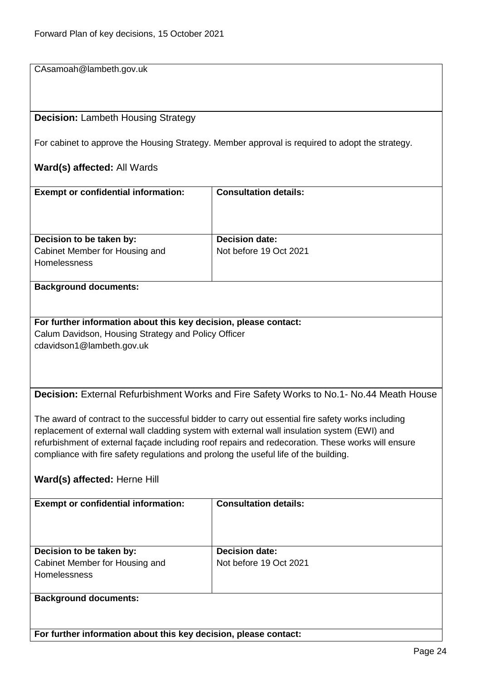CAsamoah@lambeth.gov.uk

#### <span id="page-23-0"></span>**Decision:** Lambeth Housing Strategy

For cabinet to approve the Housing Strategy. Member approval is required to adopt the strategy.

#### **Ward(s) affected:** All Wards

| <b>Exempt or confidential information:</b>            | <b>Consultation details:</b> |
|-------------------------------------------------------|------------------------------|
| Decision to be taken by:                              | <b>Decision date:</b>        |
| Cabinet Member for Housing and<br><b>Homelessness</b> | Not before 19 Oct 2021       |

#### **Background documents:**

**For further information about this key decision, please contact:** Calum Davidson, Housing Strategy and Policy Officer cdavidson1@lambeth.gov.uk

<span id="page-23-1"></span>**Decision:** External Refurbishment Works and Fire Safety Works to No.1- No.44 Meath House

The award of contract to the successful bidder to carry out essential fire safety works including replacement of external wall cladding system with external wall insulation system (EWI) and refurbishment of external façade including roof repairs and redecoration. These works will ensure compliance with fire safety regulations and prolong the useful life of the building.

#### **Ward(s) affected:** Herne Hill

| <b>Exempt or confidential information:</b>                                        | <b>Consultation details:</b>                    |
|-----------------------------------------------------------------------------------|-------------------------------------------------|
| Decision to be taken by:<br>Cabinet Member for Housing and<br><b>Homelessness</b> | <b>Decision date:</b><br>Not before 19 Oct 2021 |
| <b>Background documents:</b>                                                      |                                                 |

**For further information about this key decision, please contact:**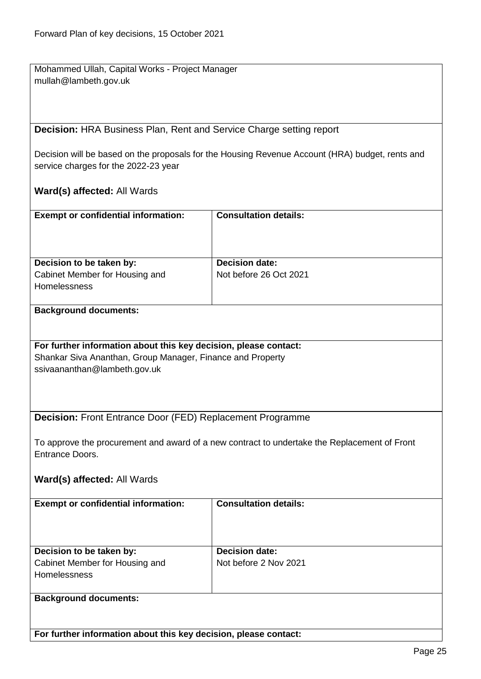Mohammed Ullah, Capital Works - Project Manager mullah@lambeth.gov.uk

<span id="page-24-0"></span>**Decision:** HRA Business Plan, Rent and Service Charge setting report

Decision will be based on the proposals for the Housing Revenue Account (HRA) budget, rents and service charges for the 2022-23 year

#### **Ward(s) affected:** All Wards

| <b>Exempt or confidential information:</b>            | <b>Consultation details:</b> |
|-------------------------------------------------------|------------------------------|
| Decision to be taken by:                              | <b>Decision date:</b>        |
| Cabinet Member for Housing and<br><b>Homelessness</b> | Not before 26 Oct 2021       |

#### **Background documents:**

# **For further information about this key decision, please contact:**

Shankar Siva Ananthan, Group Manager, Finance and Property ssivaananthan@lambeth.gov.uk

#### <span id="page-24-1"></span>**Decision:** Front Entrance Door (FED) Replacement Programme

To approve the procurement and award of a new contract to undertake the Replacement of Front Entrance Doors.

#### **Ward(s) affected:** All Wards

| <b>Exempt or confidential information:</b> | <b>Consultation details:</b> |
|--------------------------------------------|------------------------------|
| Decision to be taken by:                   | <b>Decision date:</b>        |
| Cabinet Member for Housing and             | Not before 2 Nov 2021        |
| <b>Homelessness</b>                        |                              |
|                                            |                              |
| <b>Background documents:</b>               |                              |

**For further information about this key decision, please contact:**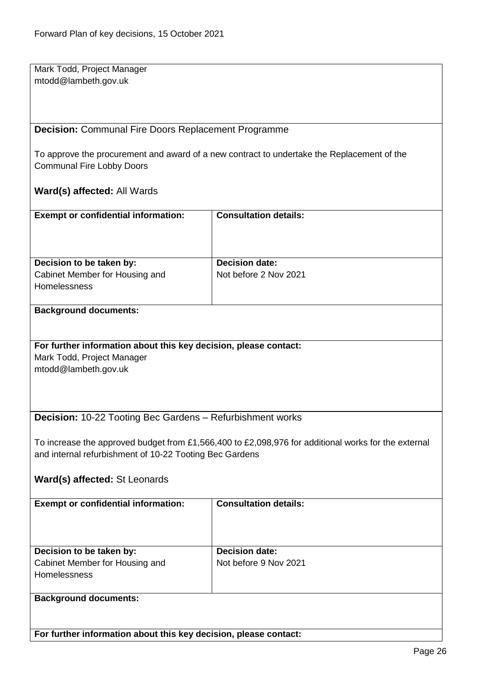Mark Todd, Project Manager mtodd@lambeth.gov.uk

#### <span id="page-25-0"></span>**Decision:** Communal Fire Doors Replacement Programme

To approve the procurement and award of a new contract to undertake the Replacement of the Communal Fire Lobby Doors

#### **Ward(s) affected:** All Wards

| <b>Exempt or confidential information:</b>            | <b>Consultation details:</b> |
|-------------------------------------------------------|------------------------------|
| Decision to be taken by:                              | <b>Decision date:</b>        |
| Cabinet Member for Housing and<br><b>Homelessness</b> | Not before 2 Nov 2021        |

#### **Background documents:**

#### **For further information about this key decision, please contact:**

Mark Todd, Project Manager mtodd@lambeth.gov.uk

#### <span id="page-25-1"></span>**Decision:** 10-22 Tooting Bec Gardens – Refurbishment works

To increase the approved budget from £1,566,400 to £2,098,976 for additional works for the external and internal refurbishment of 10-22 Tooting Bec Gardens

#### **Ward(s) affected:** St Leonards

| <b>Exempt or confidential information:</b>                                        | <b>Consultation details:</b>                   |
|-----------------------------------------------------------------------------------|------------------------------------------------|
| Decision to be taken by:<br>Cabinet Member for Housing and<br><b>Homelessness</b> | <b>Decision date:</b><br>Not before 9 Nov 2021 |
| <b>Background documents:</b>                                                      |                                                |

**For further information about this key decision, please contact:**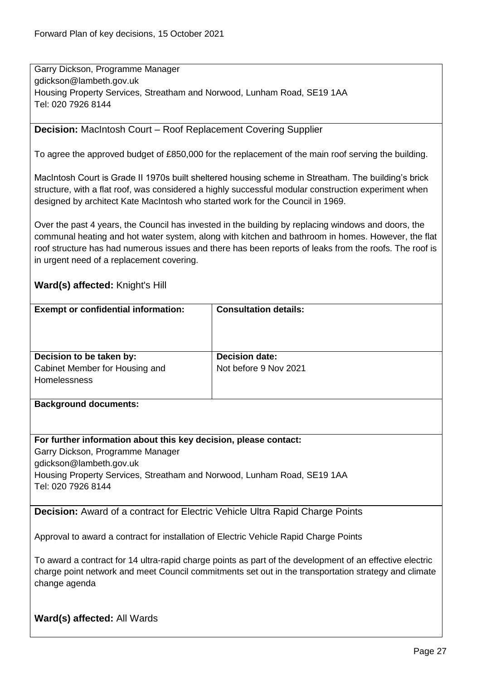Garry Dickson, Programme Manager gdickson@lambeth.gov.uk Housing Property Services, Streatham and Norwood, Lunham Road, SE19 1AA Tel: 020 7926 8144

#### <span id="page-26-0"></span>**Decision:** MacIntosh Court – Roof Replacement Covering Supplier

To agree the approved budget of £850,000 for the replacement of the main roof serving the building.

MacIntosh Court is Grade II 1970s built sheltered housing scheme in Streatham. The building's brick structure, with a flat roof, was considered a highly successful modular construction experiment when designed by architect Kate MacIntosh who started work for the Council in 1969.

Over the past 4 years, the Council has invested in the building by replacing windows and doors, the communal heating and hot water system, along with kitchen and bathroom in homes. However, the flat roof structure has had numerous issues and there has been reports of leaks from the roofs. The roof is in urgent need of a replacement covering.

#### **Ward(s) affected:** Knight's Hill

| <b>Consultation details:</b>                                     |
|------------------------------------------------------------------|
| <b>Decision date:</b>                                            |
| Not before 9 Nov 2021                                            |
|                                                                  |
|                                                                  |
|                                                                  |
|                                                                  |
|                                                                  |
| For further information about this key decision, please contact: |
|                                                                  |

Garry Dickson, Programme Manager gdickson@lambeth.gov.uk Housing Property Services, Streatham and Norwood, Lunham Road, SE19 1AA Tel: 020 7926 8144

<span id="page-26-1"></span>**Decision:** Award of a contract for Electric Vehicle Ultra Rapid Charge Points

Approval to award a contract for installation of Electric Vehicle Rapid Charge Points

To award a contract for 14 ultra-rapid charge points as part of the development of an effective electric charge point network and meet Council commitments set out in the transportation strategy and climate change agenda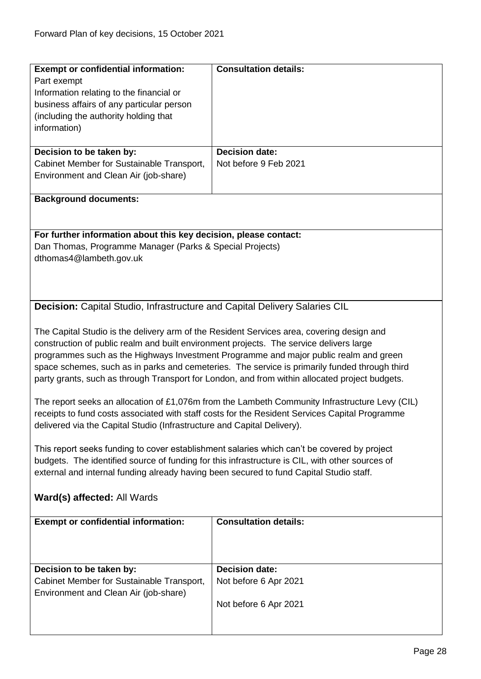<span id="page-27-0"></span>

| <b>Exempt or confidential information:</b>                                                     | <b>Consultation details:</b>                                                                    |  |
|------------------------------------------------------------------------------------------------|-------------------------------------------------------------------------------------------------|--|
|                                                                                                |                                                                                                 |  |
| Part exempt                                                                                    |                                                                                                 |  |
| Information relating to the financial or                                                       |                                                                                                 |  |
| business affairs of any particular person                                                      |                                                                                                 |  |
| (including the authority holding that                                                          |                                                                                                 |  |
| information)                                                                                   |                                                                                                 |  |
|                                                                                                |                                                                                                 |  |
| Decision to be taken by:                                                                       | <b>Decision date:</b>                                                                           |  |
| Cabinet Member for Sustainable Transport,                                                      | Not before 9 Feb 2021                                                                           |  |
| Environment and Clean Air (job-share)                                                          |                                                                                                 |  |
|                                                                                                |                                                                                                 |  |
| <b>Background documents:</b>                                                                   |                                                                                                 |  |
|                                                                                                |                                                                                                 |  |
|                                                                                                |                                                                                                 |  |
| For further information about this key decision, please contact:                               |                                                                                                 |  |
| Dan Thomas, Programme Manager (Parks & Special Projects)                                       |                                                                                                 |  |
| dthomas4@lambeth.gov.uk                                                                        |                                                                                                 |  |
|                                                                                                |                                                                                                 |  |
|                                                                                                |                                                                                                 |  |
|                                                                                                |                                                                                                 |  |
| <b>Decision:</b> Capital Studio, Infrastructure and Capital Delivery Salaries CIL              |                                                                                                 |  |
|                                                                                                |                                                                                                 |  |
|                                                                                                |                                                                                                 |  |
| The Capital Studio is the delivery arm of the Resident Services area, covering design and      |                                                                                                 |  |
| construction of public realm and built environment projects. The service delivers large        |                                                                                                 |  |
| programmes such as the Highways Investment Programme and major public realm and green          |                                                                                                 |  |
|                                                                                                | space schemes, such as in parks and cemeteries. The service is primarily funded through third   |  |
| party grants, such as through Transport for London, and from within allocated project budgets. |                                                                                                 |  |
|                                                                                                |                                                                                                 |  |
|                                                                                                | The report seeks an allocation of £1,076m from the Lambeth Community Infrastructure Levy (CIL)  |  |
|                                                                                                | receipts to fund costs associated with staff costs for the Resident Services Capital Programme  |  |
| delivered via the Capital Studio (Infrastructure and Capital Delivery).                        |                                                                                                 |  |
|                                                                                                |                                                                                                 |  |
| This report seeks funding to cover establishment salaries which can't be covered by project    |                                                                                                 |  |
|                                                                                                | budgets. The identified source of funding for this infrastructure is CIL, with other sources of |  |
| external and internal funding already having been secured to fund Capital Studio staff.        |                                                                                                 |  |
|                                                                                                |                                                                                                 |  |
| Ward(s) affected: All Wards                                                                    |                                                                                                 |  |
|                                                                                                |                                                                                                 |  |
| <b>Exempt or confidential information:</b>                                                     | <b>Consultation details:</b>                                                                    |  |
|                                                                                                |                                                                                                 |  |
|                                                                                                |                                                                                                 |  |
|                                                                                                |                                                                                                 |  |
| Decision to be taken by:                                                                       | <b>Decision date:</b>                                                                           |  |
| Cabinet Member for Sustainable Transport,                                                      |                                                                                                 |  |
|                                                                                                | Not before 6 Apr 2021                                                                           |  |
| Environment and Clean Air (job-share)                                                          |                                                                                                 |  |
|                                                                                                | Not before 6 Apr 2021                                                                           |  |
|                                                                                                |                                                                                                 |  |
|                                                                                                |                                                                                                 |  |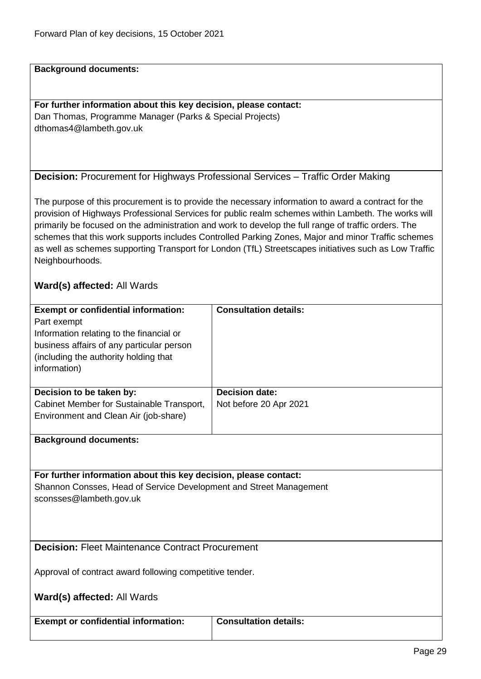**Background documents:**

**For further information about this key decision, please contact:** Dan Thomas, Programme Manager (Parks & Special Projects) dthomas4@lambeth.gov.uk

<span id="page-28-0"></span>

| <b>Decision:</b> Procurement for Highways Professional Services - Traffic Order Making |  |  |
|----------------------------------------------------------------------------------------|--|--|
|----------------------------------------------------------------------------------------|--|--|

The purpose of this procurement is to provide the necessary information to award a contract for the provision of Highways Professional Services for public realm schemes within Lambeth. The works will primarily be focused on the administration and work to develop the full range of traffic orders. The schemes that this work supports includes Controlled Parking Zones, Major and minor Traffic schemes as well as schemes supporting Transport for London (TfL) Streetscapes initiatives such as Low Traffic Neighbourhoods.

#### **Ward(s) affected:** All Wards

| <b>Exempt or confidential information:</b><br>Part exempt<br>Information relating to the financial or<br>business affairs of any particular person<br>(including the authority holding that)<br>information) | <b>Consultation details:</b>                    |
|--------------------------------------------------------------------------------------------------------------------------------------------------------------------------------------------------------------|-------------------------------------------------|
| Decision to be taken by:<br>Cabinet Member for Sustainable Transport,<br>Environment and Clean Air (job-share)                                                                                               | <b>Decision date:</b><br>Not before 20 Apr 2021 |
| <b>Background documents:</b>                                                                                                                                                                                 |                                                 |

**For further information about this key decision, please contact:** Shannon Consses, Head of Service Development and Street Management sconsses@lambeth.gov.uk

<span id="page-28-1"></span>**Decision: Fleet Maintenance Contract Procurement** 

Approval of contract award following competitive tender.

**Ward(s) affected:** All Wards

**Exempt or confidential information: Consultation details:**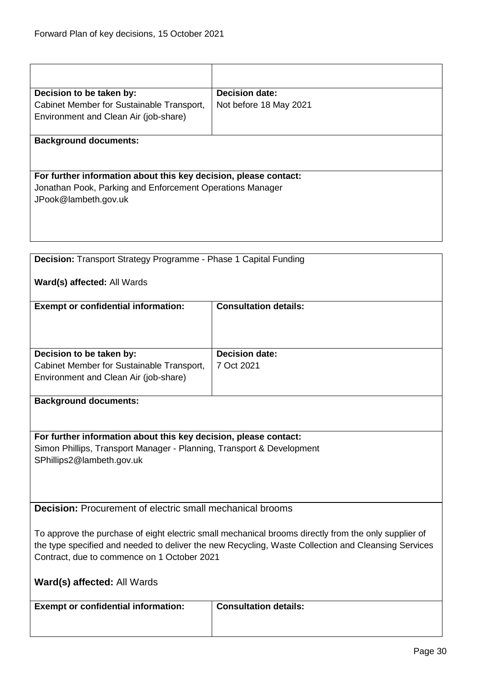<span id="page-29-0"></span>

|                                                                                   | <b>Decision date:</b>        |  |
|-----------------------------------------------------------------------------------|------------------------------|--|
| Decision to be taken by:<br>Cabinet Member for Sustainable Transport,             | Not before 18 May 2021       |  |
| Environment and Clean Air (job-share)                                             |                              |  |
|                                                                                   |                              |  |
| <b>Background documents:</b>                                                      |                              |  |
|                                                                                   |                              |  |
|                                                                                   |                              |  |
| For further information about this key decision, please contact:                  |                              |  |
| Jonathan Pook, Parking and Enforcement Operations Manager<br>JPook@lambeth.gov.uk |                              |  |
|                                                                                   |                              |  |
|                                                                                   |                              |  |
|                                                                                   |                              |  |
|                                                                                   |                              |  |
| Decision: Transport Strategy Programme - Phase 1 Capital Funding                  |                              |  |
| Ward(s) affected: All Wards                                                       |                              |  |
|                                                                                   |                              |  |
| <b>Exempt or confidential information:</b>                                        | <b>Consultation details:</b> |  |
|                                                                                   |                              |  |
|                                                                                   |                              |  |
|                                                                                   | <b>Decision date:</b>        |  |
| Decision to be taken by:<br>Cabinet Member for Sustainable Transport,             | 7 Oct 2021                   |  |
| Environment and Clean Air (job-share)                                             |                              |  |
|                                                                                   |                              |  |
| <b>Background documents:</b>                                                      |                              |  |
|                                                                                   |                              |  |
|                                                                                   |                              |  |
| For further information about this key decision, please contact:                  |                              |  |
| Simon Phillips, Transport Manager - Planning, Transport & Development             |                              |  |
| SPhillips2@lambeth.gov.uk                                                         |                              |  |
|                                                                                   |                              |  |
|                                                                                   |                              |  |
| <b>Decision:</b> Procurement of electric small mechanical brooms                  |                              |  |

To approve the purchase of eight electric small mechanical brooms directly from the only supplier of the type specified and needed to deliver the new Recycling, Waste Collection and Cleansing Services Contract, due to commence on 1 October 2021

|  |  | Ward(s) affected: All Wards |
|--|--|-----------------------------|
|--|--|-----------------------------|

**Exempt or confidential information:** Consultation details:

<span id="page-29-1"></span>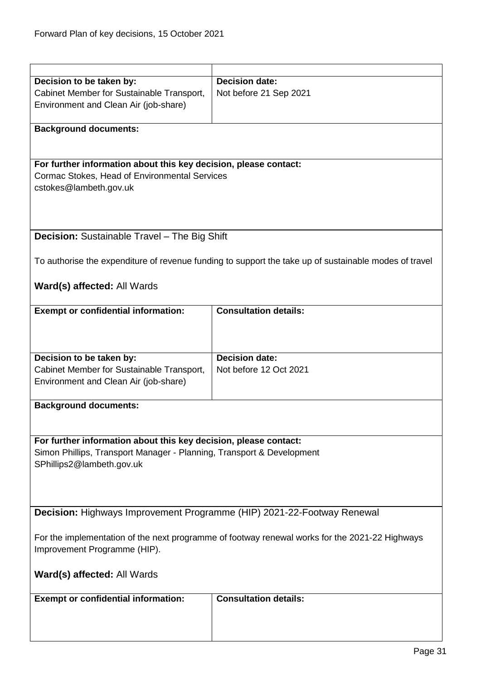<span id="page-30-1"></span><span id="page-30-0"></span>

| Decision to be taken by:                                                                       | <b>Decision date:</b>                                                                                 |  |
|------------------------------------------------------------------------------------------------|-------------------------------------------------------------------------------------------------------|--|
|                                                                                                |                                                                                                       |  |
| Cabinet Member for Sustainable Transport,                                                      | Not before 21 Sep 2021                                                                                |  |
| Environment and Clean Air (job-share)                                                          |                                                                                                       |  |
|                                                                                                |                                                                                                       |  |
| <b>Background documents:</b>                                                                   |                                                                                                       |  |
|                                                                                                |                                                                                                       |  |
|                                                                                                |                                                                                                       |  |
| For further information about this key decision, please contact:                               |                                                                                                       |  |
| Cormac Stokes, Head of Environmental Services                                                  |                                                                                                       |  |
| cstokes@lambeth.gov.uk                                                                         |                                                                                                       |  |
|                                                                                                |                                                                                                       |  |
|                                                                                                |                                                                                                       |  |
|                                                                                                |                                                                                                       |  |
| <b>Decision:</b> Sustainable Travel - The Big Shift                                            |                                                                                                       |  |
|                                                                                                |                                                                                                       |  |
|                                                                                                |                                                                                                       |  |
|                                                                                                | To authorise the expenditure of revenue funding to support the take up of sustainable modes of travel |  |
|                                                                                                |                                                                                                       |  |
| Ward(s) affected: All Wards                                                                    |                                                                                                       |  |
|                                                                                                |                                                                                                       |  |
| <b>Exempt or confidential information:</b>                                                     | <b>Consultation details:</b>                                                                          |  |
|                                                                                                |                                                                                                       |  |
|                                                                                                |                                                                                                       |  |
|                                                                                                |                                                                                                       |  |
|                                                                                                |                                                                                                       |  |
| Decision to be taken by:                                                                       | <b>Decision date:</b>                                                                                 |  |
| Cabinet Member for Sustainable Transport,                                                      | Not before 12 Oct 2021                                                                                |  |
| Environment and Clean Air (job-share)                                                          |                                                                                                       |  |
|                                                                                                |                                                                                                       |  |
| <b>Background documents:</b>                                                                   |                                                                                                       |  |
|                                                                                                |                                                                                                       |  |
|                                                                                                |                                                                                                       |  |
| For further information about this key decision, please contact:                               |                                                                                                       |  |
| Simon Phillips, Transport Manager - Planning, Transport & Development                          |                                                                                                       |  |
| SPhillips2@lambeth.gov.uk                                                                      |                                                                                                       |  |
|                                                                                                |                                                                                                       |  |
|                                                                                                |                                                                                                       |  |
|                                                                                                |                                                                                                       |  |
|                                                                                                |                                                                                                       |  |
| Decision: Highways Improvement Programme (HIP) 2021-22-Footway Renewal                         |                                                                                                       |  |
|                                                                                                |                                                                                                       |  |
| For the implementation of the next programme of footway renewal works for the 2021-22 Highways |                                                                                                       |  |
| Improvement Programme (HIP).                                                                   |                                                                                                       |  |
|                                                                                                |                                                                                                       |  |
| Ward(s) affected: All Wards                                                                    |                                                                                                       |  |
|                                                                                                |                                                                                                       |  |
|                                                                                                | <b>Consultation details:</b>                                                                          |  |
| <b>Exempt or confidential information:</b>                                                     |                                                                                                       |  |
|                                                                                                |                                                                                                       |  |
|                                                                                                |                                                                                                       |  |
|                                                                                                |                                                                                                       |  |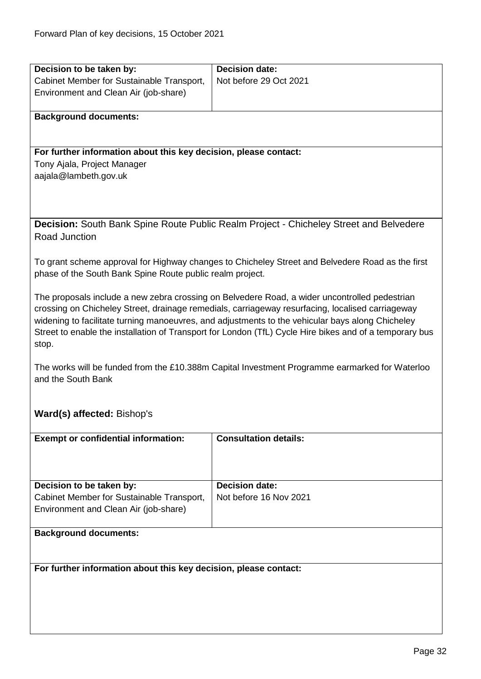<span id="page-31-0"></span>

| Decision to be taken by:                                         | <b>Decision date:</b>                                                                                   |  |
|------------------------------------------------------------------|---------------------------------------------------------------------------------------------------------|--|
| Cabinet Member for Sustainable Transport,                        | Not before 29 Oct 2021                                                                                  |  |
| Environment and Clean Air (job-share)                            |                                                                                                         |  |
|                                                                  |                                                                                                         |  |
| <b>Background documents:</b>                                     |                                                                                                         |  |
|                                                                  |                                                                                                         |  |
|                                                                  |                                                                                                         |  |
| For further information about this key decision, please contact: |                                                                                                         |  |
| Tony Ajala, Project Manager                                      |                                                                                                         |  |
| aajala@lambeth.gov.uk                                            |                                                                                                         |  |
|                                                                  |                                                                                                         |  |
|                                                                  |                                                                                                         |  |
|                                                                  |                                                                                                         |  |
|                                                                  | Decision: South Bank Spine Route Public Realm Project - Chicheley Street and Belvedere                  |  |
| Road Junction                                                    |                                                                                                         |  |
|                                                                  |                                                                                                         |  |
|                                                                  | To grant scheme approval for Highway changes to Chicheley Street and Belvedere Road as the first        |  |
| phase of the South Bank Spine Route public realm project.        |                                                                                                         |  |
|                                                                  | The proposals include a new zebra crossing on Belvedere Road, a wider uncontrolled pedestrian           |  |
|                                                                  | crossing on Chicheley Street, drainage remedials, carriageway resurfacing, localised carriageway        |  |
|                                                                  | widening to facilitate turning manoeuvres, and adjustments to the vehicular bays along Chicheley        |  |
|                                                                  | Street to enable the installation of Transport for London (TfL) Cycle Hire bikes and of a temporary bus |  |
| stop.                                                            |                                                                                                         |  |
|                                                                  |                                                                                                         |  |
|                                                                  | The works will be funded from the £10.388m Capital Investment Programme earmarked for Waterloo          |  |
| and the South Bank                                               |                                                                                                         |  |
|                                                                  |                                                                                                         |  |
|                                                                  |                                                                                                         |  |
| Ward(s) affected: Bishop's                                       |                                                                                                         |  |
|                                                                  |                                                                                                         |  |
| <b>Exempt or confidential information:</b>                       | <b>Consultation details:</b>                                                                            |  |
|                                                                  |                                                                                                         |  |
|                                                                  |                                                                                                         |  |
|                                                                  |                                                                                                         |  |
| Decision to be taken by:                                         | <b>Decision date:</b>                                                                                   |  |
| Cabinet Member for Sustainable Transport,                        | Not before 16 Nov 2021                                                                                  |  |
| Environment and Clean Air (job-share)                            |                                                                                                         |  |
| <b>Background documents:</b>                                     |                                                                                                         |  |
|                                                                  |                                                                                                         |  |
|                                                                  |                                                                                                         |  |
| For further information about this key decision, please contact: |                                                                                                         |  |
|                                                                  |                                                                                                         |  |
|                                                                  |                                                                                                         |  |
|                                                                  |                                                                                                         |  |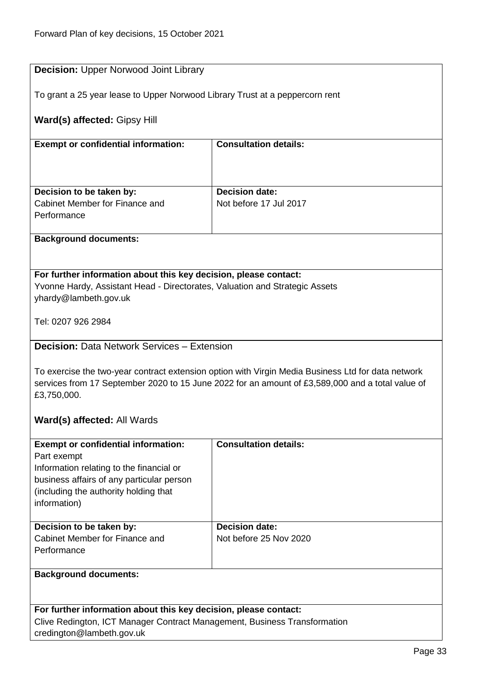<span id="page-32-1"></span><span id="page-32-0"></span>

| <b>Decision: Upper Norwood Joint Library</b>                                                                    |                                                                                                    |  |
|-----------------------------------------------------------------------------------------------------------------|----------------------------------------------------------------------------------------------------|--|
| To grant a 25 year lease to Upper Norwood Library Trust at a peppercorn rent                                    |                                                                                                    |  |
| Ward(s) affected: Gipsy Hill                                                                                    |                                                                                                    |  |
| <b>Exempt or confidential information:</b>                                                                      | <b>Consultation details:</b>                                                                       |  |
|                                                                                                                 |                                                                                                    |  |
| Decision to be taken by:                                                                                        | Decision date:                                                                                     |  |
| Cabinet Member for Finance and                                                                                  | Not before 17 Jul 2017                                                                             |  |
| Performance                                                                                                     |                                                                                                    |  |
| <b>Background documents:</b>                                                                                    |                                                                                                    |  |
|                                                                                                                 |                                                                                                    |  |
| For further information about this key decision, please contact:                                                |                                                                                                    |  |
| Yvonne Hardy, Assistant Head - Directorates, Valuation and Strategic Assets                                     |                                                                                                    |  |
| yhardy@lambeth.gov.uk                                                                                           |                                                                                                    |  |
| Tel: 0207 926 2984                                                                                              |                                                                                                    |  |
|                                                                                                                 |                                                                                                    |  |
| <b>Decision: Data Network Services - Extension</b>                                                              |                                                                                                    |  |
|                                                                                                                 |                                                                                                    |  |
|                                                                                                                 | To exercise the two-year contract extension option with Virgin Media Business Ltd for data network |  |
| services from 17 September 2020 to 15 June 2022 for an amount of £3,589,000 and a total value of<br>£3,750,000. |                                                                                                    |  |
|                                                                                                                 |                                                                                                    |  |
| Ward(s) affected: All Wards                                                                                     |                                                                                                    |  |
| <b>Exempt or confidential information:</b>                                                                      | <b>Consultation details:</b>                                                                       |  |
| Part exempt                                                                                                     |                                                                                                    |  |
| Information relating to the financial or                                                                        |                                                                                                    |  |
| business affairs of any particular person                                                                       |                                                                                                    |  |
| (including the authority holding that                                                                           |                                                                                                    |  |
| information)                                                                                                    |                                                                                                    |  |
| Decision to be taken by:                                                                                        | <b>Decision date:</b>                                                                              |  |
| Cabinet Member for Finance and                                                                                  | Not before 25 Nov 2020                                                                             |  |
| Performance                                                                                                     |                                                                                                    |  |
| <b>Background documents:</b>                                                                                    |                                                                                                    |  |
|                                                                                                                 |                                                                                                    |  |
| For further information about this key decision, please contact:                                                |                                                                                                    |  |
| Clive Redington, ICT Manager Contract Management, Business Transformation                                       |                                                                                                    |  |
| credington@lambeth.gov.uk                                                                                       |                                                                                                    |  |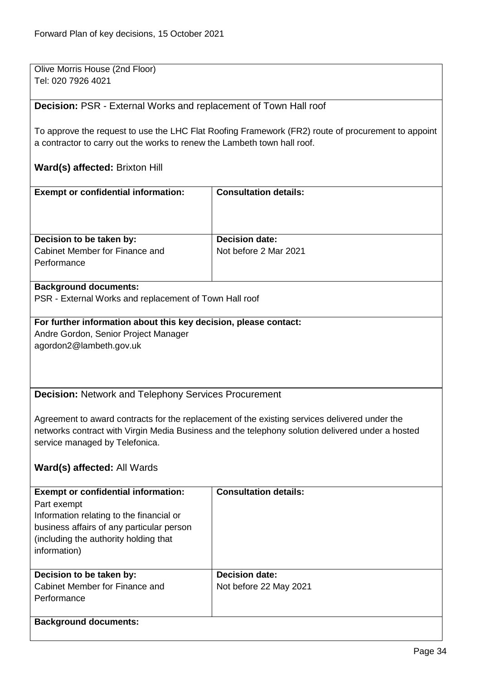Olive Morris House (2nd Floor) Tel: 020 7926 4021

<span id="page-33-0"></span>**Decision:** PSR - External Works and replacement of Town Hall roof

To approve the request to use the LHC Flat Roofing Framework (FR2) route of procurement to appoint a contractor to carry out the works to renew the Lambeth town hall roof.

# **Ward(s) affected:** Brixton Hill

<span id="page-33-1"></span>

| <b>Exempt or confidential information:</b>                       | <b>Consultation details:</b>                                                                     |
|------------------------------------------------------------------|--------------------------------------------------------------------------------------------------|
|                                                                  |                                                                                                  |
|                                                                  |                                                                                                  |
| Decision to be taken by:                                         | <b>Decision date:</b>                                                                            |
| Cabinet Member for Finance and                                   | Not before 2 Mar 2021                                                                            |
| Performance                                                      |                                                                                                  |
|                                                                  |                                                                                                  |
| <b>Background documents:</b>                                     |                                                                                                  |
| PSR - External Works and replacement of Town Hall roof           |                                                                                                  |
|                                                                  |                                                                                                  |
| For further information about this key decision, please contact: |                                                                                                  |
| Andre Gordon, Senior Project Manager                             |                                                                                                  |
| agordon2@lambeth.gov.uk                                          |                                                                                                  |
|                                                                  |                                                                                                  |
|                                                                  |                                                                                                  |
| <b>Decision: Network and Telephony Services Procurement</b>      |                                                                                                  |
|                                                                  |                                                                                                  |
|                                                                  | Agreement to award contracts for the replacement of the existing services delivered under the    |
|                                                                  | networks contract with Virgin Media Business and the telephony solution delivered under a hosted |
| service managed by Telefonica.                                   |                                                                                                  |
|                                                                  |                                                                                                  |
| Ward(s) affected: All Wards                                      |                                                                                                  |
|                                                                  |                                                                                                  |
| <b>Exempt or confidential information:</b>                       | <b>Consultation details:</b>                                                                     |
| Part exempt<br>Information relating to the financial or          |                                                                                                  |
| business affairs of any particular person                        |                                                                                                  |
| (including the authority holding that                            |                                                                                                  |
| information)                                                     |                                                                                                  |
|                                                                  |                                                                                                  |
| Decision to be taken by:                                         | <b>Decision date:</b>                                                                            |
| Cabinet Member for Finance and                                   | Not before 22 May 2021                                                                           |
| Performance                                                      |                                                                                                  |
|                                                                  |                                                                                                  |
| <b>Background documents:</b>                                     |                                                                                                  |
|                                                                  |                                                                                                  |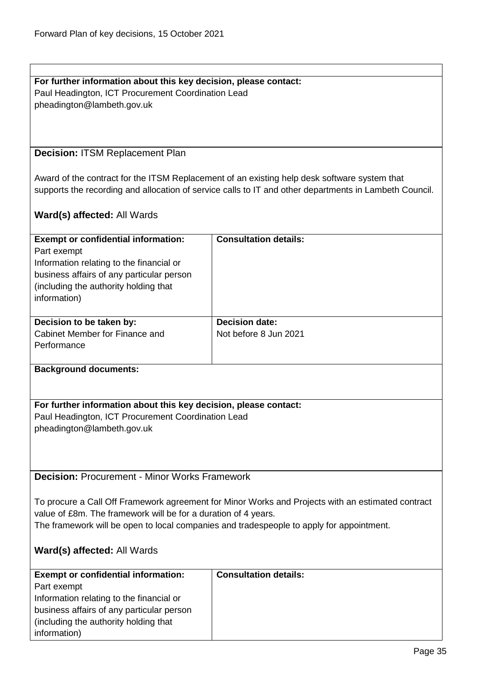<span id="page-34-1"></span><span id="page-34-0"></span>

| For further information about this key decision, please contact:                                  |                                                                                                        |  |
|---------------------------------------------------------------------------------------------------|--------------------------------------------------------------------------------------------------------|--|
| Paul Headington, ICT Procurement Coordination Lead                                                |                                                                                                        |  |
| pheadington@lambeth.gov.uk                                                                        |                                                                                                        |  |
|                                                                                                   |                                                                                                        |  |
|                                                                                                   |                                                                                                        |  |
|                                                                                                   |                                                                                                        |  |
|                                                                                                   |                                                                                                        |  |
| <b>Decision: ITSM Replacement Plan</b>                                                            |                                                                                                        |  |
|                                                                                                   |                                                                                                        |  |
|                                                                                                   | Award of the contract for the ITSM Replacement of an existing help desk software system that           |  |
|                                                                                                   | supports the recording and allocation of service calls to IT and other departments in Lambeth Council. |  |
|                                                                                                   |                                                                                                        |  |
| Ward(s) affected: All Wards                                                                       |                                                                                                        |  |
|                                                                                                   |                                                                                                        |  |
| <b>Exempt or confidential information:</b>                                                        | <b>Consultation details:</b>                                                                           |  |
|                                                                                                   |                                                                                                        |  |
| Part exempt                                                                                       |                                                                                                        |  |
| Information relating to the financial or                                                          |                                                                                                        |  |
| business affairs of any particular person                                                         |                                                                                                        |  |
| (including the authority holding that                                                             |                                                                                                        |  |
| information)                                                                                      |                                                                                                        |  |
|                                                                                                   |                                                                                                        |  |
| Decision to be taken by:                                                                          | <b>Decision date:</b>                                                                                  |  |
| Cabinet Member for Finance and                                                                    | Not before 8 Jun 2021                                                                                  |  |
| Performance                                                                                       |                                                                                                        |  |
|                                                                                                   |                                                                                                        |  |
| <b>Background documents:</b>                                                                      |                                                                                                        |  |
|                                                                                                   |                                                                                                        |  |
|                                                                                                   |                                                                                                        |  |
| For further information about this key decision, please contact:                                  |                                                                                                        |  |
| Paul Headington, ICT Procurement Coordination Lead                                                |                                                                                                        |  |
|                                                                                                   |                                                                                                        |  |
| pheadington@lambeth.gov.uk                                                                        |                                                                                                        |  |
|                                                                                                   |                                                                                                        |  |
|                                                                                                   |                                                                                                        |  |
|                                                                                                   |                                                                                                        |  |
| <b>Decision: Procurement - Minor Works Framework</b>                                              |                                                                                                        |  |
|                                                                                                   |                                                                                                        |  |
| To procure a Call Off Framework agreement for Minor Works and Projects with an estimated contract |                                                                                                        |  |
| value of £8m. The framework will be for a duration of 4 years.                                    |                                                                                                        |  |
| The framework will be open to local companies and tradespeople to apply for appointment.          |                                                                                                        |  |
|                                                                                                   |                                                                                                        |  |
| <b>Ward(s) affected: All Wards</b>                                                                |                                                                                                        |  |
|                                                                                                   |                                                                                                        |  |
| <b>Exempt or confidential information:</b>                                                        | <b>Consultation details:</b>                                                                           |  |
|                                                                                                   |                                                                                                        |  |
| Part exempt                                                                                       |                                                                                                        |  |
| Information relating to the financial or                                                          |                                                                                                        |  |
| business affairs of any particular person                                                         |                                                                                                        |  |
| (including the authority holding that                                                             |                                                                                                        |  |
| information)                                                                                      |                                                                                                        |  |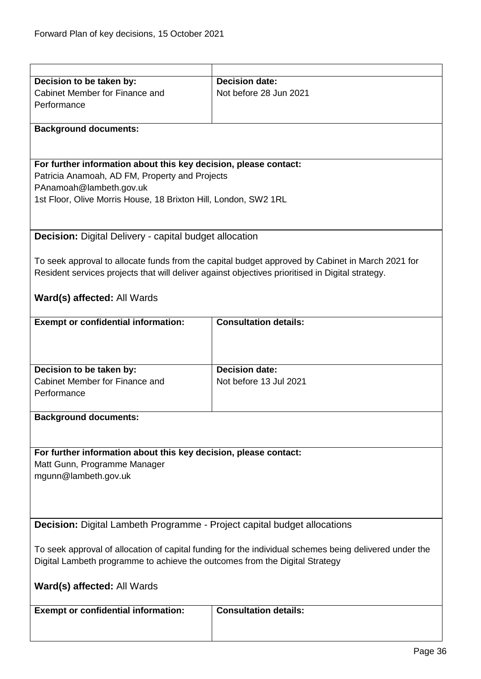<span id="page-35-1"></span><span id="page-35-0"></span>

| Decision to be taken by:                                                                               | <b>Decision date:</b>                                                                            |  |
|--------------------------------------------------------------------------------------------------------|--------------------------------------------------------------------------------------------------|--|
| Cabinet Member for Finance and                                                                         | Not before 28 Jun 2021                                                                           |  |
| Performance                                                                                            |                                                                                                  |  |
|                                                                                                        |                                                                                                  |  |
| <b>Background documents:</b>                                                                           |                                                                                                  |  |
|                                                                                                        |                                                                                                  |  |
|                                                                                                        |                                                                                                  |  |
| For further information about this key decision, please contact:                                       |                                                                                                  |  |
| Patricia Anamoah, AD FM, Property and Projects                                                         |                                                                                                  |  |
| PAnamoah@lambeth.gov.uk                                                                                |                                                                                                  |  |
| 1st Floor, Olive Morris House, 18 Brixton Hill, London, SW2 1RL                                        |                                                                                                  |  |
|                                                                                                        |                                                                                                  |  |
|                                                                                                        |                                                                                                  |  |
|                                                                                                        |                                                                                                  |  |
| <b>Decision:</b> Digital Delivery - capital budget allocation                                          |                                                                                                  |  |
|                                                                                                        |                                                                                                  |  |
|                                                                                                        | To seek approval to allocate funds from the capital budget approved by Cabinet in March 2021 for |  |
| Resident services projects that will deliver against objectives prioritised in Digital strategy.       |                                                                                                  |  |
|                                                                                                        |                                                                                                  |  |
| Ward(s) affected: All Wards                                                                            |                                                                                                  |  |
|                                                                                                        |                                                                                                  |  |
| <b>Exempt or confidential information:</b>                                                             | <b>Consultation details:</b>                                                                     |  |
|                                                                                                        |                                                                                                  |  |
|                                                                                                        |                                                                                                  |  |
|                                                                                                        |                                                                                                  |  |
| Decision to be taken by:                                                                               | <b>Decision date:</b>                                                                            |  |
| Cabinet Member for Finance and                                                                         | Not before 13 Jul 2021                                                                           |  |
| Performance                                                                                            |                                                                                                  |  |
|                                                                                                        |                                                                                                  |  |
| <b>Background documents:</b>                                                                           |                                                                                                  |  |
|                                                                                                        |                                                                                                  |  |
|                                                                                                        |                                                                                                  |  |
| For further information about this key decision, please contact:                                       |                                                                                                  |  |
| Matt Gunn, Programme Manager                                                                           |                                                                                                  |  |
|                                                                                                        |                                                                                                  |  |
| mgunn@lambeth.gov.uk                                                                                   |                                                                                                  |  |
|                                                                                                        |                                                                                                  |  |
|                                                                                                        |                                                                                                  |  |
|                                                                                                        |                                                                                                  |  |
| <b>Decision:</b> Digital Lambeth Programme - Project capital budget allocations                        |                                                                                                  |  |
|                                                                                                        |                                                                                                  |  |
| To seek approval of allocation of capital funding for the individual schemes being delivered under the |                                                                                                  |  |
| Digital Lambeth programme to achieve the outcomes from the Digital Strategy                            |                                                                                                  |  |
|                                                                                                        |                                                                                                  |  |
| <b>Ward(s) affected: All Wards</b>                                                                     |                                                                                                  |  |
|                                                                                                        |                                                                                                  |  |
| <b>Exempt or confidential information:</b>                                                             | <b>Consultation details:</b>                                                                     |  |
|                                                                                                        |                                                                                                  |  |
|                                                                                                        |                                                                                                  |  |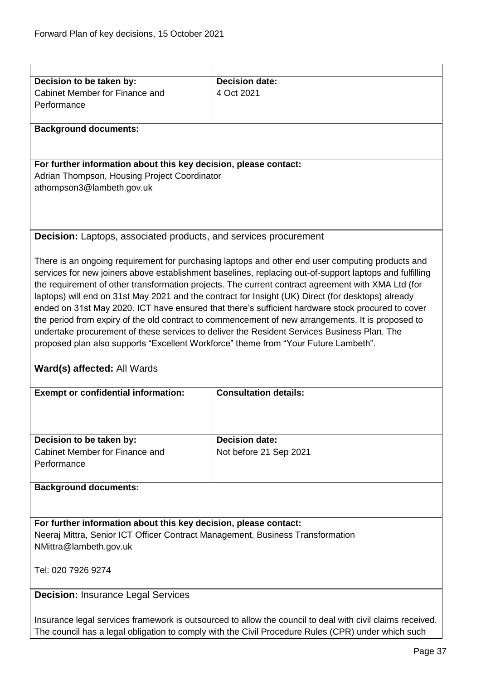| Decision to be taken by:                                                            | <b>Decision date:</b>                                                                                   |
|-------------------------------------------------------------------------------------|---------------------------------------------------------------------------------------------------------|
| Cabinet Member for Finance and                                                      |                                                                                                         |
|                                                                                     | 4 Oct 2021                                                                                              |
| Performance                                                                         |                                                                                                         |
|                                                                                     |                                                                                                         |
| <b>Background documents:</b>                                                        |                                                                                                         |
|                                                                                     |                                                                                                         |
|                                                                                     |                                                                                                         |
| For further information about this key decision, please contact:                    |                                                                                                         |
| Adrian Thompson, Housing Project Coordinator                                        |                                                                                                         |
| athompson3@lambeth.gov.uk                                                           |                                                                                                         |
|                                                                                     |                                                                                                         |
|                                                                                     |                                                                                                         |
|                                                                                     |                                                                                                         |
| <b>Decision:</b> Laptops, associated products, and services procurement             |                                                                                                         |
|                                                                                     |                                                                                                         |
|                                                                                     |                                                                                                         |
|                                                                                     | There is an ongoing requirement for purchasing laptops and other end user computing products and        |
|                                                                                     | services for new joiners above establishment baselines, replacing out-of-support laptops and fulfilling |
|                                                                                     | the requirement of other transformation projects. The current contract agreement with XMA Ltd (for      |
|                                                                                     | laptops) will end on 31st May 2021 and the contract for Insight (UK) Direct (for desktops) already      |
|                                                                                     | ended on 31st May 2020. ICT have ensured that there's sufficient hardware stock procured to cover       |
|                                                                                     | the period from expiry of the old contract to commencement of new arrangements. It is proposed to       |
|                                                                                     | undertake procurement of these services to deliver the Resident Services Business Plan. The             |
| proposed plan also supports "Excellent Workforce" theme from "Your Future Lambeth". |                                                                                                         |
|                                                                                     |                                                                                                         |
|                                                                                     |                                                                                                         |
| Ward(s) affected: All Wards                                                         |                                                                                                         |
|                                                                                     |                                                                                                         |
| <b>Exempt or confidential information:</b>                                          | <b>Consultation details:</b>                                                                            |
|                                                                                     |                                                                                                         |
|                                                                                     |                                                                                                         |
|                                                                                     |                                                                                                         |
| Decision to be taken by:                                                            | <b>Decision date:</b>                                                                                   |
| Cabinet Member for Finance and                                                      | Not before 21 Sep 2021                                                                                  |
| Performance                                                                         |                                                                                                         |
|                                                                                     |                                                                                                         |
| <b>Background documents:</b>                                                        |                                                                                                         |
|                                                                                     |                                                                                                         |
|                                                                                     |                                                                                                         |
| For further information about this key decision, please contact:                    |                                                                                                         |
|                                                                                     |                                                                                                         |
| Neeraj Mittra, Senior ICT Officer Contract Management, Business Transformation      |                                                                                                         |
| NMittra@lambeth.gov.uk                                                              |                                                                                                         |
|                                                                                     |                                                                                                         |
| Tel: 020 7926 9274                                                                  |                                                                                                         |
|                                                                                     |                                                                                                         |
| <b>Decision: Insurance Legal Services</b>                                           |                                                                                                         |
|                                                                                     |                                                                                                         |
|                                                                                     |                                                                                                         |

Insurance legal services framework is outsourced to allow the council to deal with civil claims received. The council has a legal obligation to comply with the Civil Procedure Rules (CPR) under which such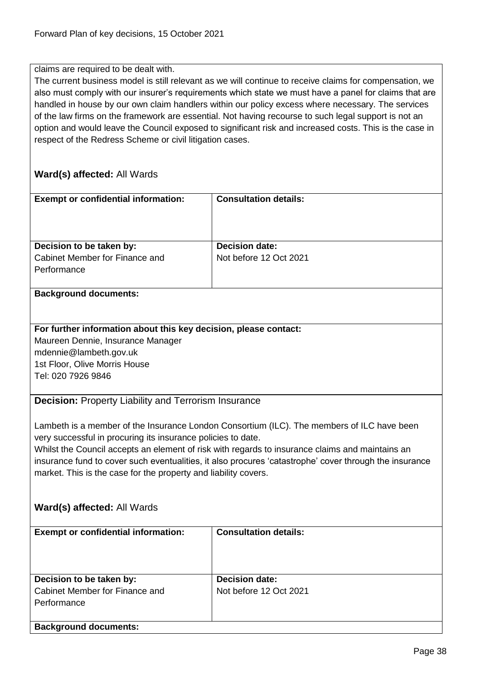claims are required to be dealt with.

The current business model is still relevant as we will continue to receive claims for compensation, we also must comply with our insurer's requirements which state we must have a panel for claims that are handled in house by our own claim handlers within our policy excess where necessary. The services of the law firms on the framework are essential. Not having recourse to such legal support is not an option and would leave the Council exposed to significant risk and increased costs. This is the case in respect of the Redress Scheme or civil litigation cases.

## **Ward(s) affected:** All Wards

| <b>Exempt or confidential information:</b>                       | <b>Consultation details:</b>                                                                           |  |
|------------------------------------------------------------------|--------------------------------------------------------------------------------------------------------|--|
|                                                                  |                                                                                                        |  |
|                                                                  |                                                                                                        |  |
| Decision to be taken by:                                         | <b>Decision date:</b>                                                                                  |  |
| Cabinet Member for Finance and                                   | Not before 12 Oct 2021                                                                                 |  |
| Performance                                                      |                                                                                                        |  |
|                                                                  |                                                                                                        |  |
| <b>Background documents:</b>                                     |                                                                                                        |  |
|                                                                  |                                                                                                        |  |
| For further information about this key decision, please contact: |                                                                                                        |  |
| Maureen Dennie, Insurance Manager                                |                                                                                                        |  |
| mdennie@lambeth.gov.uk                                           |                                                                                                        |  |
| 1st Floor, Olive Morris House                                    |                                                                                                        |  |
| Tel: 020 7926 9846                                               |                                                                                                        |  |
|                                                                  |                                                                                                        |  |
| <b>Decision: Property Liability and Terrorism Insurance</b>      |                                                                                                        |  |
|                                                                  |                                                                                                        |  |
|                                                                  | Lambeth is a member of the Insurance London Consortium (ILC). The members of ILC have been             |  |
| very successful in procuring its insurance policies to date.     |                                                                                                        |  |
|                                                                  | Whilst the Council accepts an element of risk with regards to insurance claims and maintains an        |  |
|                                                                  | insurance fund to cover such eventualities, it also procures 'catastrophe' cover through the insurance |  |
| market. This is the case for the property and liability covers.  |                                                                                                        |  |
|                                                                  |                                                                                                        |  |
|                                                                  |                                                                                                        |  |
| <b>Ward(s) affected: All Wards</b>                               |                                                                                                        |  |
| <b>Exempt or confidential information:</b>                       | <b>Consultation details:</b>                                                                           |  |
|                                                                  |                                                                                                        |  |
|                                                                  |                                                                                                        |  |
|                                                                  |                                                                                                        |  |
| Decision to be taken by:                                         | <b>Decision date:</b>                                                                                  |  |
| Cabinet Member for Finance and                                   | Not before 12 Oct 2021                                                                                 |  |
| Performance                                                      |                                                                                                        |  |
|                                                                  |                                                                                                        |  |
| <b>Background documents:</b>                                     |                                                                                                        |  |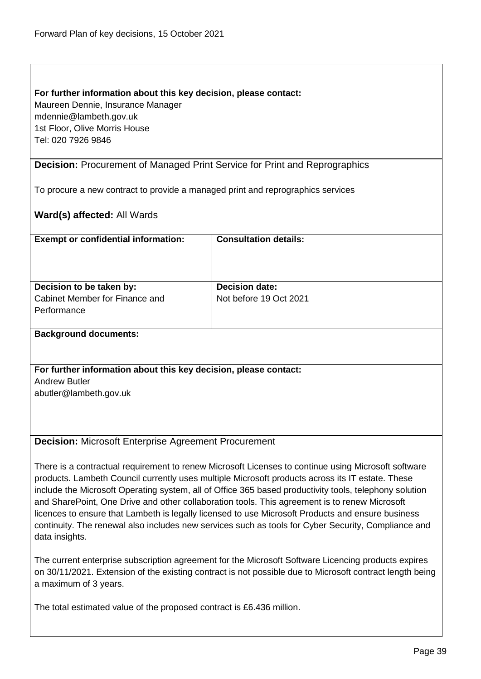#### **For further information about this key decision, please contact:**

Maureen Dennie, Insurance Manager mdennie@lambeth.gov.uk 1st Floor, Olive Morris House

Tel: 020 7926 9846

### **Decision:** Procurement of Managed Print Service for Print and Reprographics

To procure a new contract to provide a managed print and reprographics services

## **Ward(s) affected:** All Wards

| <b>Exempt or confidential information:</b>                                | <b>Consultation details:</b>                    |
|---------------------------------------------------------------------------|-------------------------------------------------|
| Decision to be taken by:<br>Cabinet Member for Finance and<br>Performance | <b>Decision date:</b><br>Not before 19 Oct 2021 |
|                                                                           |                                                 |

## **Background documents:**

**For further information about this key decision, please contact:** Andrew Butler abutler@lambeth.gov.uk

#### **Decision:** Microsoft Enterprise Agreement Procurement

There is a contractual requirement to renew Microsoft Licenses to continue using Microsoft software products. Lambeth Council currently uses multiple Microsoft products across its IT estate. These include the Microsoft Operating system, all of Office 365 based productivity tools, telephony solution and SharePoint, One Drive and other collaboration tools. This agreement is to renew Microsoft licences to ensure that Lambeth is legally licensed to use Microsoft Products and ensure business continuity. The renewal also includes new services such as tools for Cyber Security, Compliance and data insights.

The current enterprise subscription agreement for the Microsoft Software Licencing products expires on 30/11/2021. Extension of the existing contract is not possible due to Microsoft contract length being a maximum of 3 years.

The total estimated value of the proposed contract is £6.436 million.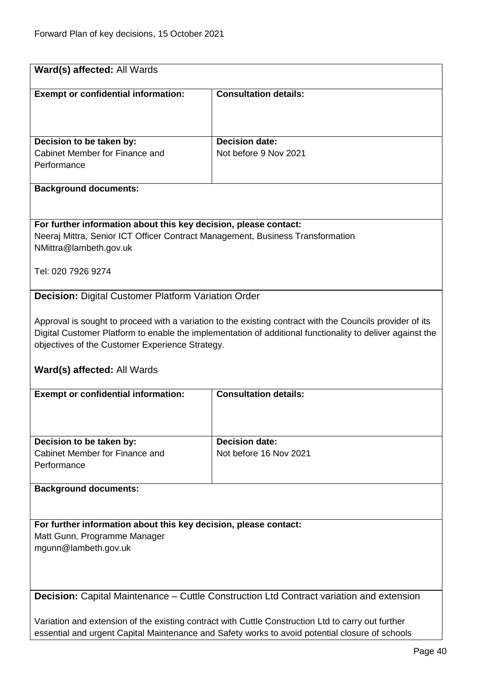| Ward(s) affected: All Wards                                                                              |                                                                                                           |  |
|----------------------------------------------------------------------------------------------------------|-----------------------------------------------------------------------------------------------------------|--|
| <b>Exempt or confidential information:</b>                                                               | <b>Consultation details:</b>                                                                              |  |
|                                                                                                          |                                                                                                           |  |
|                                                                                                          |                                                                                                           |  |
| Decision to be taken by:<br>Cabinet Member for Finance and                                               | <b>Decision date:</b><br>Not before 9 Nov 2021                                                            |  |
| Performance                                                                                              |                                                                                                           |  |
| <b>Background documents:</b>                                                                             |                                                                                                           |  |
|                                                                                                          |                                                                                                           |  |
| For further information about this key decision, please contact:                                         |                                                                                                           |  |
| Neeraj Mittra, Senior ICT Officer Contract Management, Business Transformation<br>NMittra@lambeth.gov.uk |                                                                                                           |  |
|                                                                                                          |                                                                                                           |  |
| Tel: 020 7926 9274                                                                                       |                                                                                                           |  |
| <b>Decision: Digital Customer Platform Variation Order</b>                                               |                                                                                                           |  |
|                                                                                                          | Approval is sought to proceed with a variation to the existing contract with the Councils provider of its |  |
| objectives of the Customer Experience Strategy.                                                          | Digital Customer Platform to enable the implementation of additional functionality to deliver against the |  |
|                                                                                                          |                                                                                                           |  |
| <b>Ward(s) affected: All Wards</b>                                                                       |                                                                                                           |  |
| <b>Exempt or confidential information:</b>                                                               | <b>Consultation details:</b>                                                                              |  |
|                                                                                                          |                                                                                                           |  |
|                                                                                                          | <b>Decision date:</b>                                                                                     |  |
| Decision to be taken by:<br>Cabinet Member for Finance and                                               | Not before 16 Nov 2021                                                                                    |  |
| Performance                                                                                              |                                                                                                           |  |
| <b>Background documents:</b>                                                                             |                                                                                                           |  |
|                                                                                                          |                                                                                                           |  |
| For further information about this key decision, please contact:                                         |                                                                                                           |  |
| Matt Gunn, Programme Manager<br>mgunn@lambeth.gov.uk                                                     |                                                                                                           |  |
|                                                                                                          |                                                                                                           |  |
|                                                                                                          |                                                                                                           |  |
| Decision: Capital Maintenance - Cuttle Construction Ltd Contract variation and extension                 |                                                                                                           |  |
| Variation and extension of the existing contract with Cuttle Construction Ltd to carry out further       |                                                                                                           |  |
| essential and urgent Capital Maintenance and Safety works to avoid potential closure of schools          |                                                                                                           |  |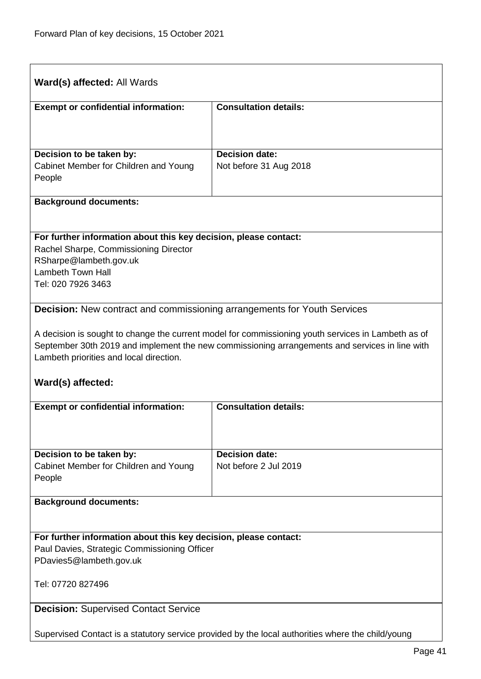| Ward(s) affected: All Wards                                                                                                                                                                                                                                          |                              |  |
|----------------------------------------------------------------------------------------------------------------------------------------------------------------------------------------------------------------------------------------------------------------------|------------------------------|--|
| <b>Exempt or confidential information:</b>                                                                                                                                                                                                                           | <b>Consultation details:</b> |  |
|                                                                                                                                                                                                                                                                      |                              |  |
| Decision to be taken by:                                                                                                                                                                                                                                             | <b>Decision date:</b>        |  |
| Cabinet Member for Children and Young<br>People                                                                                                                                                                                                                      | Not before 31 Aug 2018       |  |
| <b>Background documents:</b>                                                                                                                                                                                                                                         |                              |  |
|                                                                                                                                                                                                                                                                      |                              |  |
| For further information about this key decision, please contact:<br>Rachel Sharpe, Commissioning Director                                                                                                                                                            |                              |  |
| RSharpe@lambeth.gov.uk<br><b>Lambeth Town Hall</b>                                                                                                                                                                                                                   |                              |  |
| Tel: 020 7926 3463                                                                                                                                                                                                                                                   |                              |  |
| <b>Decision:</b> New contract and commissioning arrangements for Youth Services                                                                                                                                                                                      |                              |  |
| A decision is sought to change the current model for commissioning youth services in Lambeth as of<br>September 30th 2019 and implement the new commissioning arrangements and services in line with<br>Lambeth priorities and local direction.<br>Ward(s) affected: |                              |  |
| <b>Exempt or confidential information:</b>                                                                                                                                                                                                                           | <b>Consultation details:</b> |  |
|                                                                                                                                                                                                                                                                      |                              |  |
| Decision to be taken by:                                                                                                                                                                                                                                             | <b>Decision date:</b>        |  |
| Cabinet Member for Children and Young<br>People                                                                                                                                                                                                                      | Not before 2 Jul 2019        |  |
| <b>Background documents:</b>                                                                                                                                                                                                                                         |                              |  |
|                                                                                                                                                                                                                                                                      |                              |  |
| For further information about this key decision, please contact:                                                                                                                                                                                                     |                              |  |
| Paul Davies, Strategic Commissioning Officer<br>PDavies5@lambeth.gov.uk                                                                                                                                                                                              |                              |  |
| Tel: 07720 827496                                                                                                                                                                                                                                                    |                              |  |
| <b>Decision: Supervised Contact Service</b>                                                                                                                                                                                                                          |                              |  |
| Supervised Contact is a statutory service provided by the local authorities where the child/young                                                                                                                                                                    |                              |  |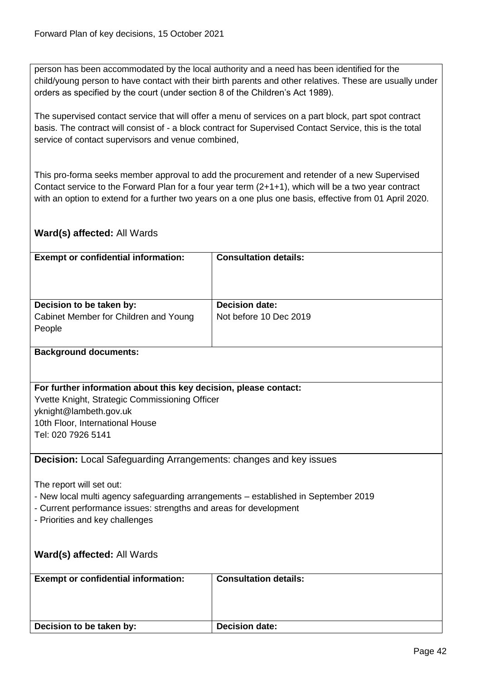person has been accommodated by the local authority and a need has been identified for the child/young person to have contact with their birth parents and other relatives. These are usually under orders as specified by the court (under section 8 of the Children's Act 1989).

The supervised contact service that will offer a menu of services on a part block, part spot contract basis. The contract will consist of - a block contract for Supervised Contact Service, this is the total service of contact supervisors and venue combined,

This pro-forma seeks member approval to add the procurement and retender of a new Supervised Contact service to the Forward Plan for a four year term (2+1+1), which will be a two year contract with an option to extend for a further two years on a one plus one basis, effective from 01 April 2020.

## **Ward(s) affected:** All Wards

| <b>Exempt or confidential information:</b>                                                                         | <b>Consultation details:</b> |  |
|--------------------------------------------------------------------------------------------------------------------|------------------------------|--|
|                                                                                                                    |                              |  |
|                                                                                                                    |                              |  |
| Decision to be taken by:                                                                                           | <b>Decision date:</b>        |  |
| Cabinet Member for Children and Young                                                                              | Not before 10 Dec 2019       |  |
| People                                                                                                             |                              |  |
|                                                                                                                    |                              |  |
| <b>Background documents:</b>                                                                                       |                              |  |
|                                                                                                                    |                              |  |
|                                                                                                                    |                              |  |
| For further information about this key decision, please contact:<br>Yvette Knight, Strategic Commissioning Officer |                              |  |
| yknight@lambeth.gov.uk                                                                                             |                              |  |
| 10th Floor, International House                                                                                    |                              |  |
| Tel: 020 7926 5141                                                                                                 |                              |  |
|                                                                                                                    |                              |  |
| <b>Decision:</b> Local Safeguarding Arrangements: changes and key issues                                           |                              |  |
|                                                                                                                    |                              |  |
| The report will set out:                                                                                           |                              |  |
| - New local multi agency safeguarding arrangements - established in September 2019                                 |                              |  |
| - Current performance issues: strengths and areas for development                                                  |                              |  |
| - Priorities and key challenges                                                                                    |                              |  |
|                                                                                                                    |                              |  |
| Ward(s) affected: All Wards                                                                                        |                              |  |
|                                                                                                                    |                              |  |
| <b>Exempt or confidential information:</b>                                                                         | <b>Consultation details:</b> |  |
|                                                                                                                    |                              |  |
|                                                                                                                    |                              |  |
| Decision to be taken by:                                                                                           | <b>Decision date:</b>        |  |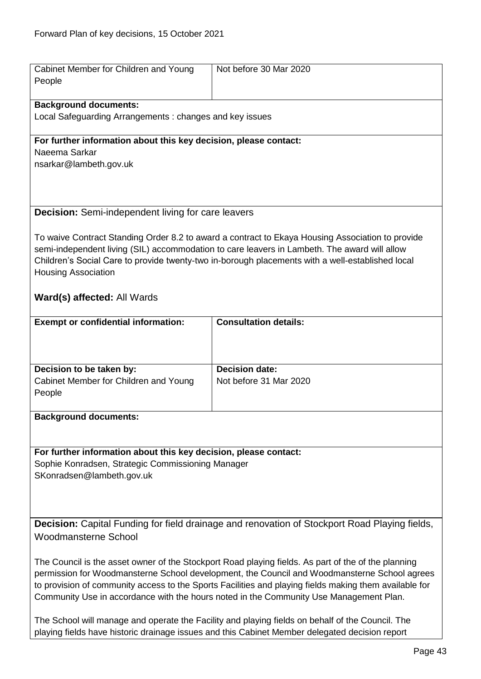| Cabinet Member for Children and Young<br>People                                                        | Not before 30 Mar 2020                                                                                                                                                                           |
|--------------------------------------------------------------------------------------------------------|--------------------------------------------------------------------------------------------------------------------------------------------------------------------------------------------------|
|                                                                                                        |                                                                                                                                                                                                  |
| <b>Background documents:</b>                                                                           |                                                                                                                                                                                                  |
| Local Safeguarding Arrangements: changes and key issues                                                |                                                                                                                                                                                                  |
| For further information about this key decision, please contact:                                       |                                                                                                                                                                                                  |
| Naeema Sarkar                                                                                          |                                                                                                                                                                                                  |
| nsarkar@lambeth.gov.uk                                                                                 |                                                                                                                                                                                                  |
|                                                                                                        |                                                                                                                                                                                                  |
|                                                                                                        |                                                                                                                                                                                                  |
|                                                                                                        |                                                                                                                                                                                                  |
| <b>Decision:</b> Semi-independent living for care leavers                                              |                                                                                                                                                                                                  |
|                                                                                                        |                                                                                                                                                                                                  |
|                                                                                                        | To waive Contract Standing Order 8.2 to award a contract to Ekaya Housing Association to provide                                                                                                 |
|                                                                                                        | semi-independent living (SIL) accommodation to care leavers in Lambeth. The award will allow<br>Children's Social Care to provide twenty-two in-borough placements with a well-established local |
| <b>Housing Association</b>                                                                             |                                                                                                                                                                                                  |
|                                                                                                        |                                                                                                                                                                                                  |
| Ward(s) affected: All Wards                                                                            |                                                                                                                                                                                                  |
|                                                                                                        |                                                                                                                                                                                                  |
| <b>Exempt or confidential information:</b>                                                             | <b>Consultation details:</b>                                                                                                                                                                     |
|                                                                                                        |                                                                                                                                                                                                  |
|                                                                                                        |                                                                                                                                                                                                  |
|                                                                                                        |                                                                                                                                                                                                  |
| Decision to be taken by:                                                                               | <b>Decision date:</b>                                                                                                                                                                            |
| Cabinet Member for Children and Young                                                                  | Not before 31 Mar 2020                                                                                                                                                                           |
| People                                                                                                 |                                                                                                                                                                                                  |
|                                                                                                        |                                                                                                                                                                                                  |
| <b>Background documents:</b>                                                                           |                                                                                                                                                                                                  |
|                                                                                                        |                                                                                                                                                                                                  |
| For further information about this key decision, please contact:                                       |                                                                                                                                                                                                  |
|                                                                                                        |                                                                                                                                                                                                  |
| Sophie Konradsen, Strategic Commissioning Manager<br>SKonradsen@lambeth.gov.uk                         |                                                                                                                                                                                                  |
|                                                                                                        |                                                                                                                                                                                                  |
|                                                                                                        |                                                                                                                                                                                                  |
|                                                                                                        |                                                                                                                                                                                                  |
| <b>Decision:</b> Capital Funding for field drainage and renovation of Stockport Road Playing fields,   |                                                                                                                                                                                                  |
| <b>Woodmansterne School</b>                                                                            |                                                                                                                                                                                                  |
|                                                                                                        |                                                                                                                                                                                                  |
| The Council is the asset owner of the Stockport Road playing fields. As part of the of the planning    |                                                                                                                                                                                                  |
|                                                                                                        | permission for Woodmansterne School development, the Council and Woodmansterne School agrees                                                                                                     |
| to provision of community access to the Sports Facilities and playing fields making them available for |                                                                                                                                                                                                  |
| Community Use in accordance with the hours noted in the Community Use Management Plan.                 |                                                                                                                                                                                                  |
|                                                                                                        |                                                                                                                                                                                                  |
| The School will manage and operate the Facility and playing fields on behalf of the Council. The       |                                                                                                                                                                                                  |
| playing fields have historic drainage issues and this Cabinet Member delegated decision report         |                                                                                                                                                                                                  |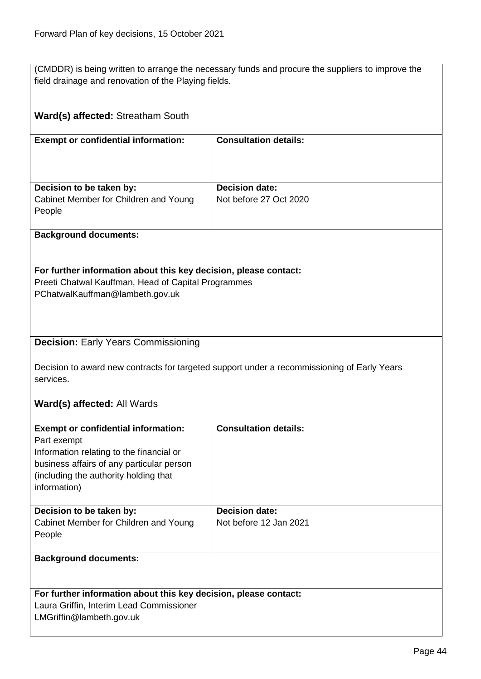(CMDDR) is being written to arrange the necessary funds and procure the suppliers to improve the field drainage and renovation of the Playing fields.

| Ward(s) affected: Streatham South                                                                                                                          |                              |  |
|------------------------------------------------------------------------------------------------------------------------------------------------------------|------------------------------|--|
| <b>Exempt or confidential information:</b>                                                                                                                 | <b>Consultation details:</b> |  |
|                                                                                                                                                            |                              |  |
| Decision to be taken by:                                                                                                                                   | <b>Decision date:</b>        |  |
| Cabinet Member for Children and Young<br>People                                                                                                            | Not before 27 Oct 2020       |  |
| <b>Background documents:</b>                                                                                                                               |                              |  |
|                                                                                                                                                            |                              |  |
| For further information about this key decision, please contact:<br>Preeti Chatwal Kauffman, Head of Capital Programmes<br>PChatwalKauffman@lambeth.gov.uk |                              |  |
|                                                                                                                                                            |                              |  |
| <b>Decision: Early Years Commissioning</b>                                                                                                                 |                              |  |
| Decision to award new contracts for targeted support under a recommissioning of Early Years<br>services.                                                   |                              |  |
| Ward(s) affected: All Wards                                                                                                                                |                              |  |
| <b>Exempt or confidential information:</b><br>Part exempt                                                                                                  | <b>Consultation details:</b> |  |
| Information relating to the financial or                                                                                                                   |                              |  |
| business affairs of any particular person<br>(including the authority holding that                                                                         |                              |  |
| information)                                                                                                                                               |                              |  |
| Decision to be taken by:                                                                                                                                   | <b>Decision date:</b>        |  |
| Cabinet Member for Children and Young                                                                                                                      | Not before 12 Jan 2021       |  |
| People                                                                                                                                                     |                              |  |
| <b>Background documents:</b>                                                                                                                               |                              |  |
|                                                                                                                                                            |                              |  |
| For further information about this key decision, please contact:<br>Laura Griffin, Interim Lead Commissioner                                               |                              |  |
| LMGriffin@lambeth.gov.uk                                                                                                                                   |                              |  |
|                                                                                                                                                            |                              |  |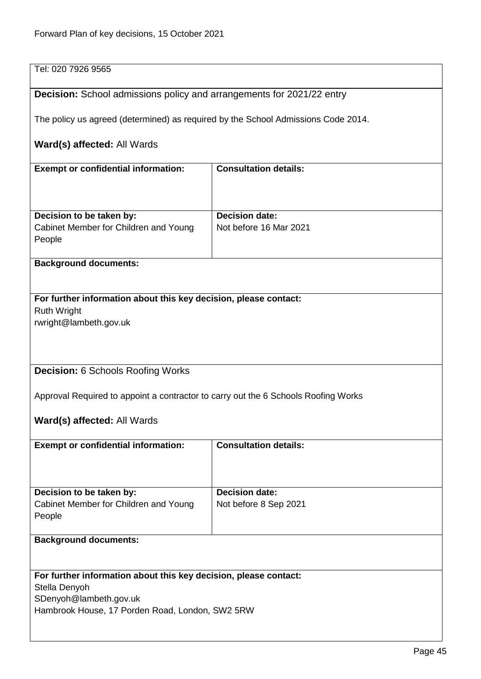| Tel: 020 7926 9565                                                                 |                              |  |
|------------------------------------------------------------------------------------|------------------------------|--|
| <b>Decision:</b> School admissions policy and arrangements for 2021/22 entry       |                              |  |
| The policy us agreed (determined) as required by the School Admissions Code 2014.  |                              |  |
| Ward(s) affected: All Wards                                                        |                              |  |
| <b>Exempt or confidential information:</b>                                         | <b>Consultation details:</b> |  |
|                                                                                    |                              |  |
| Decision to be taken by:                                                           | <b>Decision date:</b>        |  |
|                                                                                    |                              |  |
| Cabinet Member for Children and Young<br>People                                    | Not before 16 Mar 2021       |  |
|                                                                                    |                              |  |
| <b>Background documents:</b>                                                       |                              |  |
|                                                                                    |                              |  |
| For further information about this key decision, please contact:                   |                              |  |
| <b>Ruth Wright</b>                                                                 |                              |  |
| rwright@lambeth.gov.uk                                                             |                              |  |
|                                                                                    |                              |  |
|                                                                                    |                              |  |
|                                                                                    |                              |  |
|                                                                                    |                              |  |
| <b>Decision: 6 Schools Roofing Works</b>                                           |                              |  |
|                                                                                    |                              |  |
| Approval Required to appoint a contractor to carry out the 6 Schools Roofing Works |                              |  |
|                                                                                    |                              |  |
| Ward(s) affected: All Wards                                                        |                              |  |
| <b>Exempt or confidential information:</b>                                         | <b>Consultation details:</b> |  |
|                                                                                    |                              |  |
|                                                                                    |                              |  |
|                                                                                    | <b>Decision date:</b>        |  |
| Decision to be taken by:                                                           |                              |  |
| Cabinet Member for Children and Young                                              | Not before 8 Sep 2021        |  |
| People                                                                             |                              |  |
|                                                                                    |                              |  |
| <b>Background documents:</b>                                                       |                              |  |
|                                                                                    |                              |  |
| For further information about this key decision, please contact:                   |                              |  |
| Stella Denyoh                                                                      |                              |  |
|                                                                                    |                              |  |
| SDenyoh@lambeth.gov.uk                                                             |                              |  |
| Hambrook House, 17 Porden Road, London, SW2 5RW                                    |                              |  |
|                                                                                    |                              |  |
|                                                                                    |                              |  |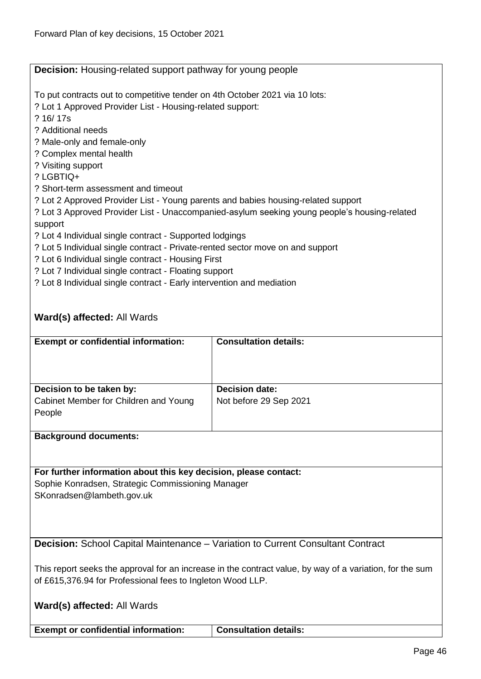|                                                                                                          | <b>Decision:</b> Housing-related support pathway for young people                            |  |  |
|----------------------------------------------------------------------------------------------------------|----------------------------------------------------------------------------------------------|--|--|
| To put contracts out to competitive tender on 4th October 2021 via 10 lots:                              |                                                                                              |  |  |
| ? Lot 1 Approved Provider List - Housing-related support:                                                |                                                                                              |  |  |
| ? 16/17s                                                                                                 |                                                                                              |  |  |
| ? Additional needs                                                                                       |                                                                                              |  |  |
| ? Male-only and female-only                                                                              |                                                                                              |  |  |
| ? Complex mental health                                                                                  |                                                                                              |  |  |
| ? Visiting support                                                                                       |                                                                                              |  |  |
| ? LGBTIQ+                                                                                                |                                                                                              |  |  |
| ? Short-term assessment and timeout                                                                      |                                                                                              |  |  |
| ? Lot 2 Approved Provider List - Young parents and babies housing-related support                        |                                                                                              |  |  |
|                                                                                                          | ? Lot 3 Approved Provider List - Unaccompanied-asylum seeking young people's housing-related |  |  |
| support                                                                                                  |                                                                                              |  |  |
| ? Lot 4 Individual single contract - Supported lodgings                                                  |                                                                                              |  |  |
| ? Lot 5 Individual single contract - Private-rented sector move on and support                           |                                                                                              |  |  |
| ? Lot 6 Individual single contract - Housing First                                                       |                                                                                              |  |  |
| ? Lot 7 Individual single contract - Floating support                                                    |                                                                                              |  |  |
| ? Lot 8 Individual single contract - Early intervention and mediation                                    |                                                                                              |  |  |
|                                                                                                          |                                                                                              |  |  |
|                                                                                                          |                                                                                              |  |  |
| Ward(s) affected: All Wards                                                                              |                                                                                              |  |  |
| <b>Exempt or confidential information:</b>                                                               | <b>Consultation details:</b>                                                                 |  |  |
|                                                                                                          |                                                                                              |  |  |
|                                                                                                          |                                                                                              |  |  |
|                                                                                                          |                                                                                              |  |  |
| Decision to be taken by:                                                                                 | <b>Decision date:</b>                                                                        |  |  |
| Cabinet Member for Children and Young                                                                    | Not before 29 Sep 2021                                                                       |  |  |
| People                                                                                                   |                                                                                              |  |  |
|                                                                                                          |                                                                                              |  |  |
| <b>Background documents:</b>                                                                             |                                                                                              |  |  |
|                                                                                                          |                                                                                              |  |  |
|                                                                                                          |                                                                                              |  |  |
| For further information about this key decision, please contact:                                         |                                                                                              |  |  |
| Sophie Konradsen, Strategic Commissioning Manager                                                        |                                                                                              |  |  |
| SKonradsen@lambeth.gov.uk                                                                                |                                                                                              |  |  |
|                                                                                                          |                                                                                              |  |  |
|                                                                                                          |                                                                                              |  |  |
| <b>Decision:</b> School Capital Maintenance – Variation to Current Consultant Contract                   |                                                                                              |  |  |
|                                                                                                          |                                                                                              |  |  |
| This report seeks the approval for an increase in the contract value, by way of a variation, for the sum |                                                                                              |  |  |
| of £615,376.94 for Professional fees to Ingleton Wood LLP.                                               |                                                                                              |  |  |
|                                                                                                          |                                                                                              |  |  |
| <b>Ward(s) affected: All Wards</b>                                                                       |                                                                                              |  |  |
|                                                                                                          |                                                                                              |  |  |
| <b>Exempt or confidential information:</b>                                                               | <b>Consultation details:</b>                                                                 |  |  |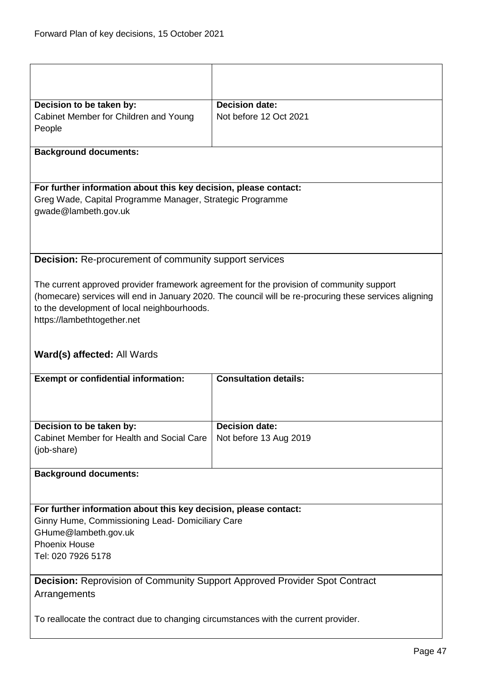| Decision to be taken by:                                                            | <b>Decision date:</b>                                                                                  |  |
|-------------------------------------------------------------------------------------|--------------------------------------------------------------------------------------------------------|--|
| Cabinet Member for Children and Young                                               | Not before 12 Oct 2021                                                                                 |  |
| People                                                                              |                                                                                                        |  |
|                                                                                     |                                                                                                        |  |
| <b>Background documents:</b>                                                        |                                                                                                        |  |
|                                                                                     |                                                                                                        |  |
| For further information about this key decision, please contact:                    |                                                                                                        |  |
| Greg Wade, Capital Programme Manager, Strategic Programme                           |                                                                                                        |  |
| gwade@lambeth.gov.uk                                                                |                                                                                                        |  |
|                                                                                     |                                                                                                        |  |
|                                                                                     |                                                                                                        |  |
|                                                                                     |                                                                                                        |  |
| <b>Decision:</b> Re-procurement of community support services                       |                                                                                                        |  |
|                                                                                     | The current approved provider framework agreement for the provision of community support               |  |
|                                                                                     | (homecare) services will end in January 2020. The council will be re-procuring these services aligning |  |
| to the development of local neighbourhoods.                                         |                                                                                                        |  |
| https://lambethtogether.net                                                         |                                                                                                        |  |
|                                                                                     |                                                                                                        |  |
|                                                                                     |                                                                                                        |  |
| Ward(s) affected: All Wards                                                         |                                                                                                        |  |
|                                                                                     |                                                                                                        |  |
| <b>Exempt or confidential information:</b>                                          | <b>Consultation details:</b>                                                                           |  |
|                                                                                     |                                                                                                        |  |
|                                                                                     |                                                                                                        |  |
|                                                                                     |                                                                                                        |  |
| Decision to be taken by:                                                            | <b>Decision date:</b>                                                                                  |  |
| Cabinet Member for Health and Social Care                                           | Not before 13 Aug 2019                                                                                 |  |
| (job-share)                                                                         |                                                                                                        |  |
| <b>Background documents:</b>                                                        |                                                                                                        |  |
|                                                                                     |                                                                                                        |  |
|                                                                                     |                                                                                                        |  |
| For further information about this key decision, please contact:                    |                                                                                                        |  |
| Ginny Hume, Commissioning Lead- Domiciliary Care                                    |                                                                                                        |  |
| GHume@lambeth.gov.uk<br><b>Phoenix House</b>                                        |                                                                                                        |  |
| Tel: 020 7926 5178                                                                  |                                                                                                        |  |
|                                                                                     |                                                                                                        |  |
| <b>Decision:</b> Reprovision of Community Support Approved Provider Spot Contract   |                                                                                                        |  |
| Arrangements                                                                        |                                                                                                        |  |
|                                                                                     |                                                                                                        |  |
| To reallocate the contract due to changing circumstances with the current provider. |                                                                                                        |  |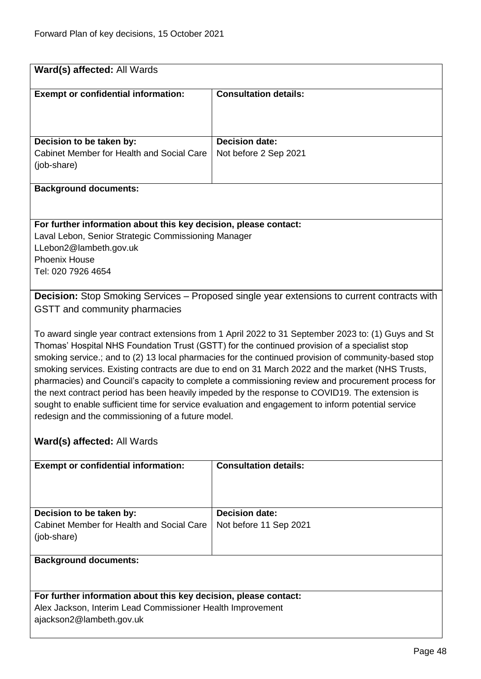| Ward(s) affected: All Wards                                                                                                                             |                                                                                                      |  |
|---------------------------------------------------------------------------------------------------------------------------------------------------------|------------------------------------------------------------------------------------------------------|--|
| <b>Exempt or confidential information:</b>                                                                                                              | <b>Consultation details:</b>                                                                         |  |
|                                                                                                                                                         |                                                                                                      |  |
|                                                                                                                                                         |                                                                                                      |  |
|                                                                                                                                                         |                                                                                                      |  |
| Decision to be taken by:                                                                                                                                | <b>Decision date:</b>                                                                                |  |
| Cabinet Member for Health and Social Care                                                                                                               | Not before 2 Sep 2021                                                                                |  |
| (job-share)                                                                                                                                             |                                                                                                      |  |
|                                                                                                                                                         |                                                                                                      |  |
| <b>Background documents:</b>                                                                                                                            |                                                                                                      |  |
|                                                                                                                                                         |                                                                                                      |  |
| For further information about this key decision, please contact:                                                                                        |                                                                                                      |  |
| Laval Lebon, Senior Strategic Commissioning Manager                                                                                                     |                                                                                                      |  |
| LLebon2@lambeth.gov.uk                                                                                                                                  |                                                                                                      |  |
| <b>Phoenix House</b>                                                                                                                                    |                                                                                                      |  |
| Tel: 020 7926 4654                                                                                                                                      |                                                                                                      |  |
|                                                                                                                                                         |                                                                                                      |  |
|                                                                                                                                                         | Decision: Stop Smoking Services - Proposed single year extensions to current contracts with          |  |
| GSTT and community pharmacies                                                                                                                           |                                                                                                      |  |
|                                                                                                                                                         |                                                                                                      |  |
|                                                                                                                                                         | To award single year contract extensions from 1 April 2022 to 31 September 2023 to: (1) Guys and St  |  |
|                                                                                                                                                         | Thomas' Hospital NHS Foundation Trust (GSTT) for the continued provision of a specialist stop        |  |
|                                                                                                                                                         | smoking service.; and to (2) 13 local pharmacies for the continued provision of community-based stop |  |
|                                                                                                                                                         | smoking services. Existing contracts are due to end on 31 March 2022 and the market (NHS Trusts,     |  |
|                                                                                                                                                         | pharmacies) and Council's capacity to complete a commissioning review and procurement process for    |  |
|                                                                                                                                                         | the next contract period has been heavily impeded by the response to COVID19. The extension is       |  |
| sought to enable sufficient time for service evaluation and engagement to inform potential service<br>redesign and the commissioning of a future model. |                                                                                                      |  |
|                                                                                                                                                         |                                                                                                      |  |
| Ward(s) affected: All Wards                                                                                                                             |                                                                                                      |  |
|                                                                                                                                                         |                                                                                                      |  |
| <b>Exempt or confidential information:</b>                                                                                                              | <b>Consultation details:</b>                                                                         |  |
|                                                                                                                                                         |                                                                                                      |  |
|                                                                                                                                                         |                                                                                                      |  |
|                                                                                                                                                         |                                                                                                      |  |
| Decision to be taken by:                                                                                                                                | <b>Decision date:</b>                                                                                |  |
| Cabinet Member for Health and Social Care                                                                                                               | Not before 11 Sep 2021                                                                               |  |
| (job-share)                                                                                                                                             |                                                                                                      |  |
| <b>Background documents:</b>                                                                                                                            |                                                                                                      |  |
|                                                                                                                                                         |                                                                                                      |  |
|                                                                                                                                                         |                                                                                                      |  |
| For further information about this key decision, please contact:                                                                                        |                                                                                                      |  |

Alex Jackson, Interim Lead Commissioner Health Improvement ajackson2@lambeth.gov.uk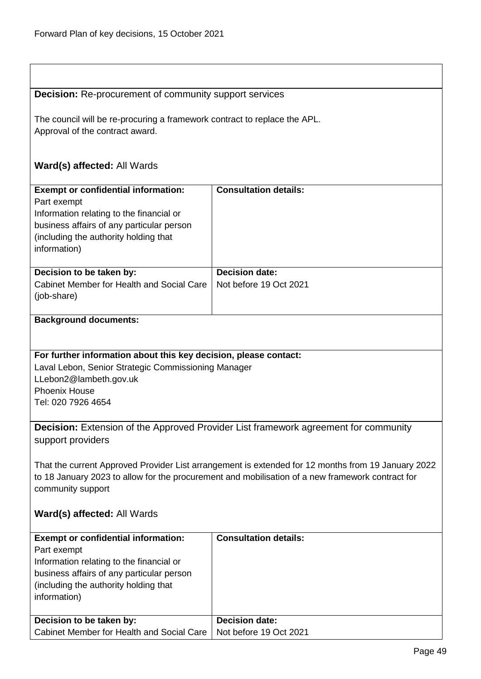| <b>Decision:</b> Re-procurement of community support services                                                                                                                                          |                              |  |
|--------------------------------------------------------------------------------------------------------------------------------------------------------------------------------------------------------|------------------------------|--|
| The council will be re-procuring a framework contract to replace the APL.                                                                                                                              |                              |  |
| Approval of the contract award.                                                                                                                                                                        |                              |  |
|                                                                                                                                                                                                        |                              |  |
| Ward(s) affected: All Wards                                                                                                                                                                            |                              |  |
|                                                                                                                                                                                                        |                              |  |
| <b>Exempt or confidential information:</b>                                                                                                                                                             | <b>Consultation details:</b> |  |
| Part exempt                                                                                                                                                                                            |                              |  |
| Information relating to the financial or                                                                                                                                                               |                              |  |
| business affairs of any particular person                                                                                                                                                              |                              |  |
| (including the authority holding that                                                                                                                                                                  |                              |  |
| information)                                                                                                                                                                                           |                              |  |
| Decision to be taken by:                                                                                                                                                                               | <b>Decision date:</b>        |  |
| Cabinet Member for Health and Social Care                                                                                                                                                              | Not before 19 Oct 2021       |  |
| (job-share)                                                                                                                                                                                            |                              |  |
| <b>Background documents:</b>                                                                                                                                                                           |                              |  |
|                                                                                                                                                                                                        |                              |  |
|                                                                                                                                                                                                        |                              |  |
| For further information about this key decision, please contact:                                                                                                                                       |                              |  |
| Laval Lebon, Senior Strategic Commissioning Manager                                                                                                                                                    |                              |  |
| LLebon2@lambeth.gov.uk                                                                                                                                                                                 |                              |  |
| <b>Phoenix House</b>                                                                                                                                                                                   |                              |  |
| Tel: 020 7926 4654                                                                                                                                                                                     |                              |  |
|                                                                                                                                                                                                        |                              |  |
| <b>Decision:</b> Extension of the Approved Provider List framework agreement for community                                                                                                             |                              |  |
| support providers                                                                                                                                                                                      |                              |  |
|                                                                                                                                                                                                        |                              |  |
| That the current Approved Provider List arrangement is extended for 12 months from 19 January 2022<br>to 18 January 2023 to allow for the procurement and mobilisation of a new framework contract for |                              |  |
| community support                                                                                                                                                                                      |                              |  |
|                                                                                                                                                                                                        |                              |  |
| Ward(s) affected: All Wards                                                                                                                                                                            |                              |  |
| <b>Exempt or confidential information:</b>                                                                                                                                                             | <b>Consultation details:</b> |  |
| Part exempt                                                                                                                                                                                            |                              |  |
| Information relating to the financial or                                                                                                                                                               |                              |  |
| business affairs of any particular person                                                                                                                                                              |                              |  |
| (including the authority holding that                                                                                                                                                                  |                              |  |
| information)                                                                                                                                                                                           |                              |  |
|                                                                                                                                                                                                        |                              |  |
| Decision to be taken by:                                                                                                                                                                               | <b>Decision date:</b>        |  |
| Cabinet Member for Health and Social Care                                                                                                                                                              | Not before 19 Oct 2021       |  |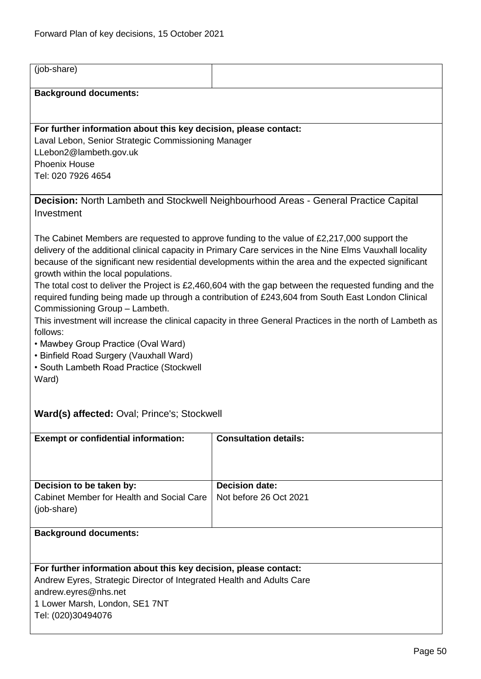$\overline{1}$ 

| (job-share)                                                                                                                                                                                                                                                                                                                                                                                                                                                                                                                                                                                                                                                                                                                                                                                                                                                              |                                                                                      |  |
|--------------------------------------------------------------------------------------------------------------------------------------------------------------------------------------------------------------------------------------------------------------------------------------------------------------------------------------------------------------------------------------------------------------------------------------------------------------------------------------------------------------------------------------------------------------------------------------------------------------------------------------------------------------------------------------------------------------------------------------------------------------------------------------------------------------------------------------------------------------------------|--------------------------------------------------------------------------------------|--|
| <b>Background documents:</b>                                                                                                                                                                                                                                                                                                                                                                                                                                                                                                                                                                                                                                                                                                                                                                                                                                             |                                                                                      |  |
|                                                                                                                                                                                                                                                                                                                                                                                                                                                                                                                                                                                                                                                                                                                                                                                                                                                                          |                                                                                      |  |
| For further information about this key decision, please contact:<br>Laval Lebon, Senior Strategic Commissioning Manager<br>LLebon2@lambeth.gov.uk<br><b>Phoenix House</b><br>Tel: 020 7926 4654                                                                                                                                                                                                                                                                                                                                                                                                                                                                                                                                                                                                                                                                          |                                                                                      |  |
| Investment                                                                                                                                                                                                                                                                                                                                                                                                                                                                                                                                                                                                                                                                                                                                                                                                                                                               | Decision: North Lambeth and Stockwell Neighbourhood Areas - General Practice Capital |  |
| The Cabinet Members are requested to approve funding to the value of £2,217,000 support the<br>delivery of the additional clinical capacity in Primary Care services in the Nine Elms Vauxhall locality<br>because of the significant new residential developments within the area and the expected significant<br>growth within the local populations.<br>The total cost to deliver the Project is £2,460,604 with the gap between the requested funding and the<br>required funding being made up through a contribution of £243,604 from South East London Clinical<br>Commissioning Group - Lambeth.<br>This investment will increase the clinical capacity in three General Practices in the north of Lambeth as<br>follows:<br>• Mawbey Group Practice (Oval Ward)<br>• Binfield Road Surgery (Vauxhall Ward)<br>• South Lambeth Road Practice (Stockwell<br>Ward) |                                                                                      |  |
| <b>Ward(s) affected:</b> Oval; Prince's; Stockwell                                                                                                                                                                                                                                                                                                                                                                                                                                                                                                                                                                                                                                                                                                                                                                                                                       |                                                                                      |  |
| <b>Exempt or confidential information:</b>                                                                                                                                                                                                                                                                                                                                                                                                                                                                                                                                                                                                                                                                                                                                                                                                                               | <b>Consultation details:</b>                                                         |  |
| Decision to be taken by:<br>Cabinet Member for Health and Social Care<br>(job-share)                                                                                                                                                                                                                                                                                                                                                                                                                                                                                                                                                                                                                                                                                                                                                                                     | <b>Decision date:</b><br>Not before 26 Oct 2021                                      |  |
| <b>Background documents:</b>                                                                                                                                                                                                                                                                                                                                                                                                                                                                                                                                                                                                                                                                                                                                                                                                                                             |                                                                                      |  |
| For further information about this key decision, please contact:<br>Andrew Eyres, Strategic Director of Integrated Health and Adults Care<br>andrew.eyres@nhs.net<br>1 Lower Marsh, London, SE1 7NT<br>Tel: (020)30494076                                                                                                                                                                                                                                                                                                                                                                                                                                                                                                                                                                                                                                                |                                                                                      |  |

÷

J.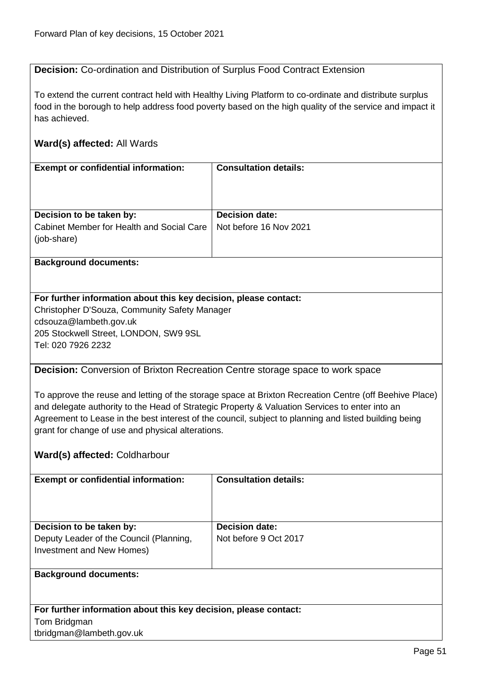**Decision:** Co-ordination and Distribution of Surplus Food Contract Extension

To extend the current contract held with Healthy Living Platform to co-ordinate and distribute surplus food in the borough to help address food poverty based on the high quality of the service and impact it has achieved.

## **Ward(s) affected:** All Wards

| <b>Exempt or confidential information:</b>               | <b>Consultation details:</b> |
|----------------------------------------------------------|------------------------------|
|                                                          |                              |
| Decision to be taken by:                                 | <b>Decision date:</b>        |
| Cabinet Member for Health and Social Care<br>(job-share) | Not before 16 Nov 2021       |
|                                                          |                              |

#### **Background documents:**

## **For further information about this key decision, please contact:**

Christopher D'Souza, Community Safety Manager cdsouza@lambeth.gov.uk 205 Stockwell Street, LONDON, SW9 9SL Tel: 020 7926 2232

**Decision:** Conversion of Brixton Recreation Centre storage space to work space

To approve the reuse and letting of the storage space at Brixton Recreation Centre (off Beehive Place) and delegate authority to the Head of Strategic Property & Valuation Services to enter into an Agreement to Lease in the best interest of the council, subject to planning and listed building being grant for change of use and physical alterations.

## **Ward(s) affected:** Coldharbour

| <b>Exempt or confidential information:</b> | <b>Consultation details:</b> |
|--------------------------------------------|------------------------------|
| Decision to be taken by:                   | <b>Decision date:</b>        |
|                                            |                              |
| Deputy Leader of the Council (Planning,    | Not before 9 Oct 2017        |
| Investment and New Homes)                  |                              |
|                                            |                              |
| <b>Background documents:</b>               |                              |
|                                            |                              |
|                                            |                              |
|                                            |                              |

**For further information about this key decision, please contact:** Tom Bridgman tbridgman@lambeth.gov.uk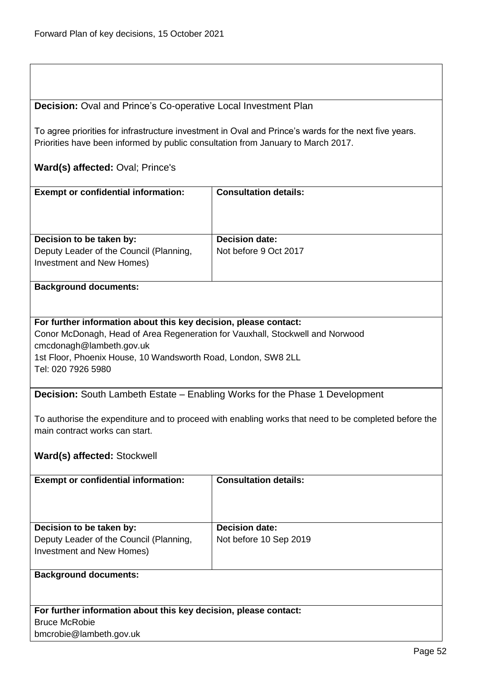### **Decision:** Oval and Prince's Co-operative Local Investment Plan

To agree priorities for infrastructure investment in Oval and Prince's wards for the next five years. Priorities have been informed by public consultation from January to March 2017.

## **Ward(s) affected:** Oval; Prince's

| <b>Exempt or confidential information:</b>                           | <b>Consultation details:</b> |
|----------------------------------------------------------------------|------------------------------|
| Decision to be taken by:                                             | <b>Decision date:</b>        |
| Deputy Leader of the Council (Planning,<br>Investment and New Homes) | Not before 9 Oct 2017        |

#### **Background documents:**

#### **For further information about this key decision, please contact:**

Conor McDonagh, Head of Area Regeneration for Vauxhall, Stockwell and Norwood cmcdonagh@lambeth.gov.uk 1st Floor, Phoenix House, 10 Wandsworth Road, London, SW8 2LL Tel: 020 7926 5980

**Decision:** South Lambeth Estate – Enabling Works for the Phase 1 Development

To authorise the expenditure and to proceed with enabling works that need to be completed before the main contract works can start.

## **Ward(s) affected:** Stockwell

| <b>Exempt or confidential information:</b>                                                       | <b>Consultation details:</b>                    |
|--------------------------------------------------------------------------------------------------|-------------------------------------------------|
| Decision to be taken by:<br>Deputy Leader of the Council (Planning,<br>Investment and New Homes) | <b>Decision date:</b><br>Not before 10 Sep 2019 |
| <b>Background documents:</b>                                                                     |                                                 |

**For further information about this key decision, please contact:** Bruce McRobie bmcrobie@lambeth.gov.uk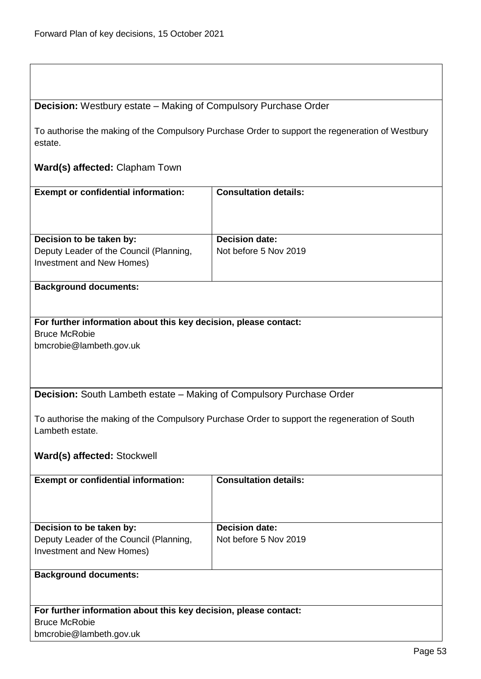# **Decision:** Westbury estate – Making of Compulsory Purchase Order

To authorise the making of the Compulsory Purchase Order to support the regeneration of Westbury estate.

## **Ward(s) affected:** Clapham Town

| <b>Exempt or confidential information:</b>                                                       | <b>Consultation details:</b>                   |
|--------------------------------------------------------------------------------------------------|------------------------------------------------|
| Decision to be taken by:<br>Deputy Leader of the Council (Planning,<br>Investment and New Homes) | <b>Decision date:</b><br>Not before 5 Nov 2019 |

#### **Background documents:**

### **For further information about this key decision, please contact:** Bruce McRobie bmcrobie@lambeth.gov.uk

**Decision:** South Lambeth estate – Making of Compulsory Purchase Order

To authorise the making of the Compulsory Purchase Order to support the regeneration of South Lambeth estate.

## **Ward(s) affected:** Stockwell

bmcrobie@lambeth.gov.uk

| <b>Exempt or confidential information:</b>                       | <b>Consultation details:</b> |
|------------------------------------------------------------------|------------------------------|
|                                                                  |                              |
|                                                                  |                              |
|                                                                  |                              |
|                                                                  |                              |
| Decision to be taken by:                                         | <b>Decision date:</b>        |
| Deputy Leader of the Council (Planning,                          | Not before 5 Nov 2019        |
| Investment and New Homes)                                        |                              |
|                                                                  |                              |
| <b>Background documents:</b>                                     |                              |
|                                                                  |                              |
|                                                                  |                              |
|                                                                  |                              |
| For further information about this key decision, please contact: |                              |
| <b>Bruce McRobie</b>                                             |                              |

Page 53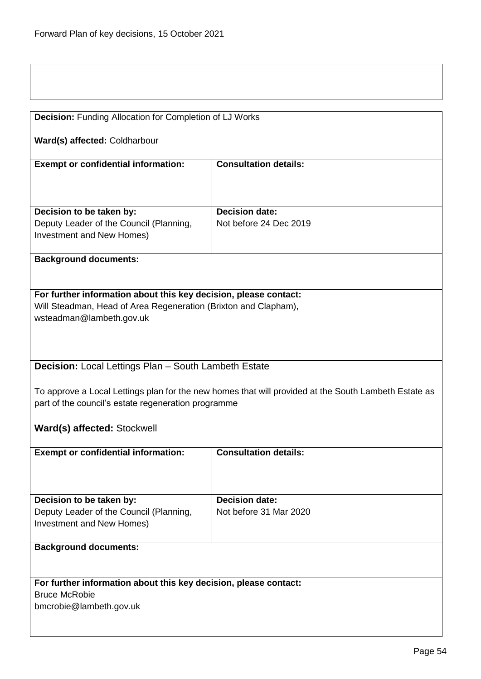| <b>Decision:</b> Funding Allocation for Completion of LJ Works   |                                                                                                      |  |
|------------------------------------------------------------------|------------------------------------------------------------------------------------------------------|--|
| Ward(s) affected: Coldharbour                                    |                                                                                                      |  |
| <b>Exempt or confidential information:</b>                       | <b>Consultation details:</b>                                                                         |  |
|                                                                  |                                                                                                      |  |
| Decision to be taken by:                                         | <b>Decision date:</b>                                                                                |  |
| Deputy Leader of the Council (Planning,                          | Not before 24 Dec 2019                                                                               |  |
| Investment and New Homes)                                        |                                                                                                      |  |
| <b>Background documents:</b>                                     |                                                                                                      |  |
|                                                                  |                                                                                                      |  |
| For further information about this key decision, please contact: |                                                                                                      |  |
| Will Steadman, Head of Area Regeneration (Brixton and Clapham),  |                                                                                                      |  |
| wsteadman@lambeth.gov.uk                                         |                                                                                                      |  |
|                                                                  |                                                                                                      |  |
|                                                                  |                                                                                                      |  |
| Decision: Local Lettings Plan - South Lambeth Estate             |                                                                                                      |  |
|                                                                  |                                                                                                      |  |
| part of the council's estate regeneration programme              | To approve a Local Lettings plan for the new homes that will provided at the South Lambeth Estate as |  |
|                                                                  |                                                                                                      |  |
| Ward(s) affected: Stockwell                                      |                                                                                                      |  |
| <b>Exempt or confidential information:</b>                       | <b>Consultation details:</b>                                                                         |  |
|                                                                  |                                                                                                      |  |
|                                                                  |                                                                                                      |  |
| Decision to be taken by:                                         | <b>Decision date:</b>                                                                                |  |
| Deputy Leader of the Council (Planning,                          | Not before 31 Mar 2020                                                                               |  |
| Investment and New Homes)                                        |                                                                                                      |  |
| <b>Background documents:</b>                                     |                                                                                                      |  |
|                                                                  |                                                                                                      |  |
| For further information about this key decision, please contact: |                                                                                                      |  |
| <b>Bruce McRobie</b>                                             |                                                                                                      |  |
| bmcrobie@lambeth.gov.uk                                          |                                                                                                      |  |
|                                                                  |                                                                                                      |  |
|                                                                  |                                                                                                      |  |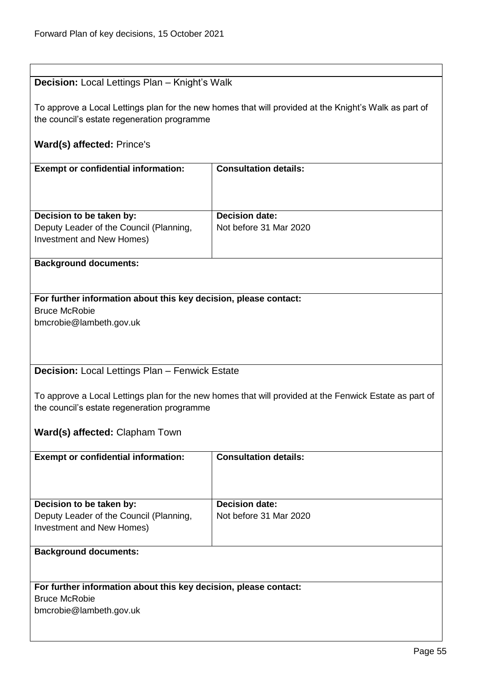| <b>Decision:</b> Local Lettings Plan - Knight's Walk             |                                                                                                        |  |
|------------------------------------------------------------------|--------------------------------------------------------------------------------------------------------|--|
|                                                                  |                                                                                                        |  |
|                                                                  | To approve a Local Lettings plan for the new homes that will provided at the Knight's Walk as part of  |  |
| the council's estate regeneration programme                      |                                                                                                        |  |
|                                                                  |                                                                                                        |  |
| <b>Ward(s) affected: Prince's</b>                                |                                                                                                        |  |
|                                                                  |                                                                                                        |  |
| <b>Exempt or confidential information:</b>                       | <b>Consultation details:</b>                                                                           |  |
|                                                                  |                                                                                                        |  |
|                                                                  |                                                                                                        |  |
|                                                                  |                                                                                                        |  |
| Decision to be taken by:                                         | <b>Decision date:</b>                                                                                  |  |
| Deputy Leader of the Council (Planning,                          | Not before 31 Mar 2020                                                                                 |  |
| Investment and New Homes)                                        |                                                                                                        |  |
|                                                                  |                                                                                                        |  |
| <b>Background documents:</b>                                     |                                                                                                        |  |
|                                                                  |                                                                                                        |  |
|                                                                  |                                                                                                        |  |
| For further information about this key decision, please contact: |                                                                                                        |  |
| <b>Bruce McRobie</b>                                             |                                                                                                        |  |
| bmcrobie@lambeth.gov.uk                                          |                                                                                                        |  |
|                                                                  |                                                                                                        |  |
|                                                                  |                                                                                                        |  |
|                                                                  |                                                                                                        |  |
| Decision: Local Lettings Plan - Fenwick Estate                   |                                                                                                        |  |
|                                                                  |                                                                                                        |  |
|                                                                  | To approve a Local Lettings plan for the new homes that will provided at the Fenwick Estate as part of |  |
| the council's estate regeneration programme                      |                                                                                                        |  |
|                                                                  |                                                                                                        |  |
| Ward(s) affected: Clapham Town                                   |                                                                                                        |  |
|                                                                  |                                                                                                        |  |
| <b>Exempt or confidential information:</b>                       | <b>Consultation details:</b>                                                                           |  |
|                                                                  |                                                                                                        |  |
|                                                                  |                                                                                                        |  |
|                                                                  |                                                                                                        |  |
| Decision to be taken by:                                         | <b>Decision date:</b>                                                                                  |  |
| Deputy Leader of the Council (Planning,                          | Not before 31 Mar 2020                                                                                 |  |
| Investment and New Homes)                                        |                                                                                                        |  |
|                                                                  |                                                                                                        |  |
| <b>Background documents:</b>                                     |                                                                                                        |  |
|                                                                  |                                                                                                        |  |
|                                                                  |                                                                                                        |  |
| For further information about this key decision, please contact: |                                                                                                        |  |
| <b>Bruce McRobie</b>                                             |                                                                                                        |  |
| bmcrobie@lambeth.gov.uk                                          |                                                                                                        |  |
|                                                                  |                                                                                                        |  |
|                                                                  |                                                                                                        |  |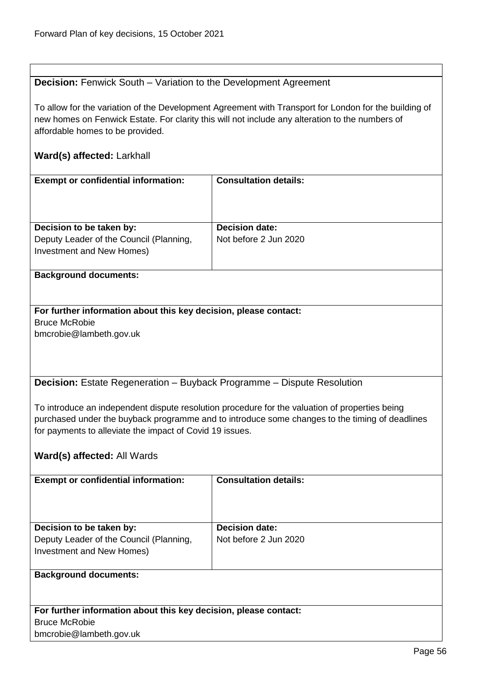## **Decision:** Fenwick South – Variation to the Development Agreement

To allow for the variation of the Development Agreement with Transport for London for the building of new homes on Fenwick Estate. For clarity this will not include any alteration to the numbers of affordable homes to be provided.

## **Ward(s) affected:** Larkhall

| <b>Exempt or confidential information:</b>                                                       | <b>Consultation details:</b>                   |
|--------------------------------------------------------------------------------------------------|------------------------------------------------|
| Decision to be taken by:<br>Deputy Leader of the Council (Planning,<br>Investment and New Homes) | <b>Decision date:</b><br>Not before 2 Jun 2020 |
| <b>Background documents:</b>                                                                     |                                                |

### **For further information about this key decision, please contact:** Bruce McRobie bmcrobie@lambeth.gov.uk

**Decision:** Estate Regeneration – Buyback Programme – Dispute Resolution

To introduce an independent dispute resolution procedure for the valuation of properties being purchased under the buyback programme and to introduce some changes to the timing of deadlines for payments to alleviate the impact of Covid 19 issues.

## **Ward(s) affected:** All Wards

bmcrobie@lambeth.gov.uk

| <b>Exempt or confidential information:</b>                       | <b>Consultation details:</b> |
|------------------------------------------------------------------|------------------------------|
|                                                                  |                              |
|                                                                  |                              |
|                                                                  |                              |
|                                                                  |                              |
| Decision to be taken by:                                         | <b>Decision date:</b>        |
| Deputy Leader of the Council (Planning,                          | Not before 2 Jun 2020        |
| Investment and New Homes)                                        |                              |
|                                                                  |                              |
| <b>Background documents:</b>                                     |                              |
|                                                                  |                              |
|                                                                  |                              |
|                                                                  |                              |
| For further information about this key decision, please contact: |                              |
| <b>Bruce McRobie</b>                                             |                              |

Page 56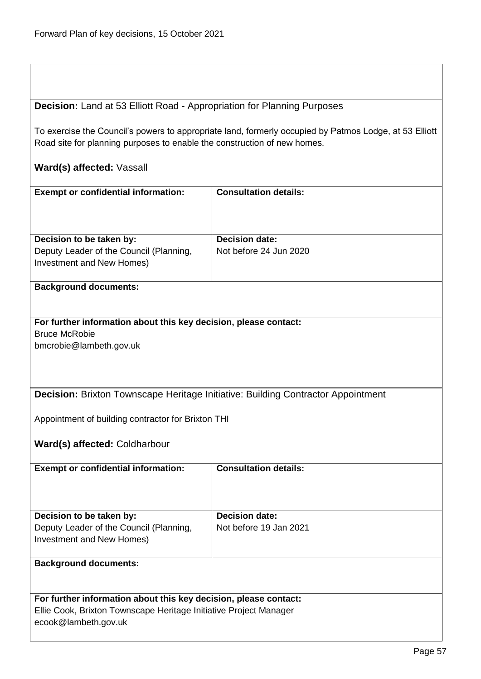## **Decision:** Land at 53 Elliott Road - Appropriation for Planning Purposes

To exercise the Council's powers to appropriate land, formerly occupied by Patmos Lodge, at 53 Elliott Road site for planning purposes to enable the construction of new homes.

## **Ward(s) affected:** Vassall

| <b>Exempt or confidential information:</b> | <b>Consultation details:</b> |
|--------------------------------------------|------------------------------|
| Decision to be taken by:                   | <b>Decision date:</b>        |
| Deputy Leader of the Council (Planning,    | Not before 24 Jun 2020       |
| Investment and New Homes)                  |                              |
|                                            |                              |

#### **Background documents:**

# **For further information about this key decision, please contact:** Bruce McRobie

bmcrobie@lambeth.gov.uk

## **Decision:** Brixton Townscape Heritage Initiative: Building Contractor Appointment

Appointment of building contractor for Brixton THI

#### **Ward(s) affected:** Coldharbour

| <b>Exempt or confidential information:</b>                                                       | <b>Consultation details:</b>                    |
|--------------------------------------------------------------------------------------------------|-------------------------------------------------|
| Decision to be taken by:<br>Deputy Leader of the Council (Planning,<br>Investment and New Homes) | <b>Decision date:</b><br>Not before 19 Jan 2021 |
|                                                                                                  |                                                 |

## **Background documents:**

## **For further information about this key decision, please contact:**

Ellie Cook, Brixton Townscape Heritage Initiative Project Manager

ecook@lambeth.gov.uk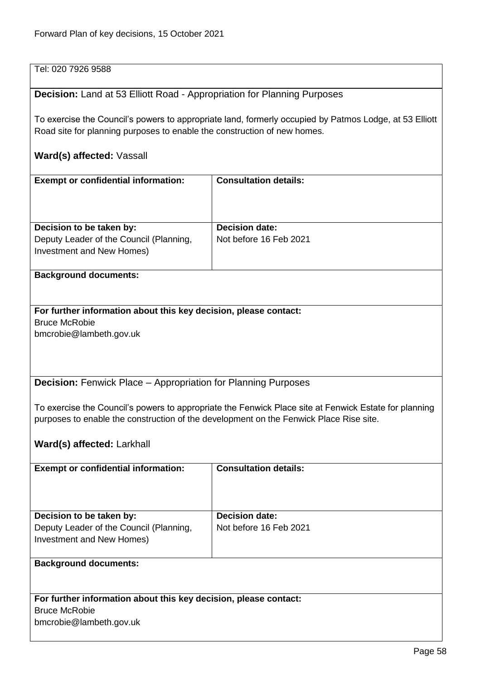| Tel: 020 7926 9588                                                                                                                                                                              |                              |  |
|-------------------------------------------------------------------------------------------------------------------------------------------------------------------------------------------------|------------------------------|--|
| Decision: Land at 53 Elliott Road - Appropriation for Planning Purposes                                                                                                                         |                              |  |
| To exercise the Council's powers to appropriate land, formerly occupied by Patmos Lodge, at 53 Elliott<br>Road site for planning purposes to enable the construction of new homes.              |                              |  |
| Ward(s) affected: Vassall                                                                                                                                                                       |                              |  |
| <b>Exempt or confidential information:</b>                                                                                                                                                      | <b>Consultation details:</b> |  |
| Decision to be taken by:                                                                                                                                                                        | <b>Decision date:</b>        |  |
| Deputy Leader of the Council (Planning,<br>Investment and New Homes)                                                                                                                            | Not before 16 Feb 2021       |  |
| <b>Background documents:</b>                                                                                                                                                                    |                              |  |
| For further information about this key decision, please contact:<br><b>Bruce McRobie</b><br>bmcrobie@lambeth.gov.uk                                                                             |                              |  |
| <b>Decision:</b> Fenwick Place - Appropriation for Planning Purposes                                                                                                                            |                              |  |
| To exercise the Council's powers to appropriate the Fenwick Place site at Fenwick Estate for planning<br>purposes to enable the construction of the development on the Fenwick Place Rise site. |                              |  |
| Ward(s) affected: Larkhall                                                                                                                                                                      |                              |  |
| <b>Exempt or confidential information:</b>                                                                                                                                                      | <b>Consultation details:</b> |  |
| Decision to be taken by:                                                                                                                                                                        | <b>Decision date:</b>        |  |
| Deputy Leader of the Council (Planning,<br>Investment and New Homes)                                                                                                                            | Not before 16 Feb 2021       |  |
| <b>Background documents:</b>                                                                                                                                                                    |                              |  |
| For further information about this key decision, please contact:<br><b>Bruce McRobie</b><br>bmcrobie@lambeth.gov.uk                                                                             |                              |  |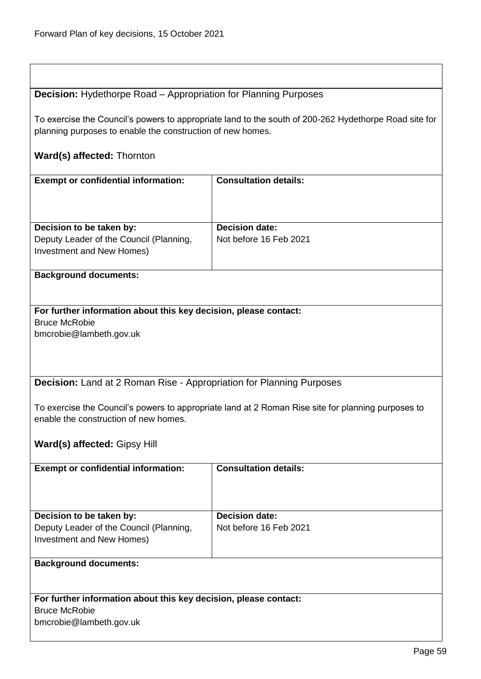## **Decision:** Hydethorpe Road – Appropriation for Planning Purposes

To exercise the Council's powers to appropriate land to the south of 200-262 Hydethorpe Road site for planning purposes to enable the construction of new homes.

## **Ward(s) affected:** Thornton

| <b>Exempt or confidential information:</b>                                  | <b>Consultation details:</b>                                                                       |
|-----------------------------------------------------------------------------|----------------------------------------------------------------------------------------------------|
|                                                                             |                                                                                                    |
|                                                                             |                                                                                                    |
| Decision to be taken by:                                                    | <b>Decision date:</b>                                                                              |
| Deputy Leader of the Council (Planning,                                     | Not before 16 Feb 2021                                                                             |
| Investment and New Homes)                                                   |                                                                                                    |
| <b>Background documents:</b>                                                |                                                                                                    |
|                                                                             |                                                                                                    |
| For further information about this key decision, please contact:            |                                                                                                    |
| <b>Bruce McRobie</b>                                                        |                                                                                                    |
| bmcrobie@lambeth.gov.uk                                                     |                                                                                                    |
|                                                                             |                                                                                                    |
|                                                                             |                                                                                                    |
|                                                                             |                                                                                                    |
| <b>Decision:</b> Land at 2 Roman Rise - Appropriation for Planning Purposes |                                                                                                    |
|                                                                             | To exercise the Council's powers to appropriate land at 2 Roman Rise site for planning purposes to |
| enable the construction of new homes.                                       |                                                                                                    |
|                                                                             |                                                                                                    |
| Ward(s) affected: Gipsy Hill                                                |                                                                                                    |
|                                                                             |                                                                                                    |
| <b>Exempt or confidential information:</b>                                  | <b>Consultation details:</b>                                                                       |
|                                                                             |                                                                                                    |
|                                                                             |                                                                                                    |
| Decision to be taken by:                                                    | <b>Decision date:</b>                                                                              |
| Deputy Leader of the Council (Planning,                                     | Not before 16 Feb 2021                                                                             |
| Investment and New Homes)                                                   |                                                                                                    |
|                                                                             |                                                                                                    |
| <b>Background documents:</b>                                                |                                                                                                    |
|                                                                             |                                                                                                    |
| For further information about this key decision, please contact:            |                                                                                                    |
| <b>Bruce McRobie</b>                                                        |                                                                                                    |
| bmcrobie@lambeth.gov.uk                                                     |                                                                                                    |
|                                                                             |                                                                                                    |
|                                                                             |                                                                                                    |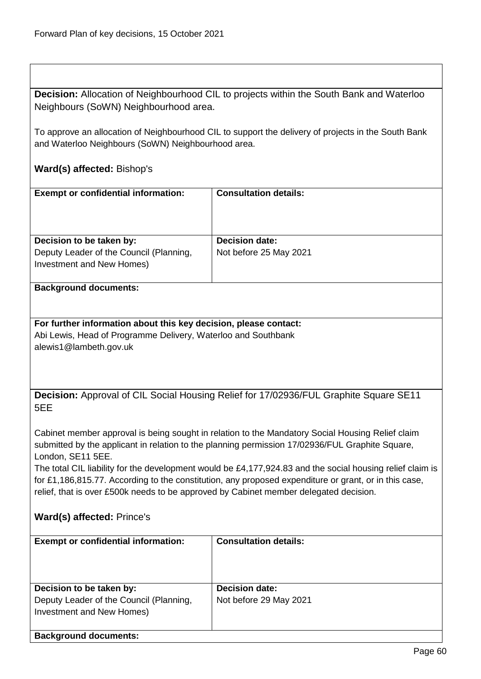**Decision:** Allocation of Neighbourhood CIL to projects within the South Bank and Waterloo Neighbours (SoWN) Neighbourhood area.

To approve an allocation of Neighbourhood CIL to support the delivery of projects in the South Bank and Waterloo Neighbours (SoWN) Neighbourhood area.

# **Ward(s) affected:** Bishop's

| <b>Exempt or confidential information:</b>                                                                | <b>Consultation details:</b>                                                          |  |
|-----------------------------------------------------------------------------------------------------------|---------------------------------------------------------------------------------------|--|
|                                                                                                           |                                                                                       |  |
|                                                                                                           |                                                                                       |  |
|                                                                                                           |                                                                                       |  |
| Decision to be taken by:                                                                                  | <b>Decision date:</b>                                                                 |  |
| Deputy Leader of the Council (Planning,                                                                   | Not before 25 May 2021                                                                |  |
| Investment and New Homes)                                                                                 |                                                                                       |  |
|                                                                                                           |                                                                                       |  |
| <b>Background documents:</b>                                                                              |                                                                                       |  |
|                                                                                                           |                                                                                       |  |
|                                                                                                           |                                                                                       |  |
| For further information about this key decision, please contact:                                          |                                                                                       |  |
| Abi Lewis, Head of Programme Delivery, Waterloo and Southbank                                             |                                                                                       |  |
| alewis1@lambeth.gov.uk                                                                                    |                                                                                       |  |
|                                                                                                           |                                                                                       |  |
|                                                                                                           |                                                                                       |  |
|                                                                                                           |                                                                                       |  |
|                                                                                                           | Decision: Approval of CIL Social Housing Relief for 17/02936/FUL Graphite Square SE11 |  |
| 5EE                                                                                                       |                                                                                       |  |
|                                                                                                           |                                                                                       |  |
| Cabinet member approval is being sought in relation to the Mandatory Social Housing Relief claim          |                                                                                       |  |
| submitted by the applicant in relation to the planning permission 17/02936/FUL Graphite Square,           |                                                                                       |  |
| London, SE11 5EE.                                                                                         |                                                                                       |  |
| The total CIL liability for the development would be £4,177,924.83 and the social housing relief claim is |                                                                                       |  |
| for £1,186,815.77. According to the constitution, any proposed expenditure or grant, or in this case,     |                                                                                       |  |
| relief, that is over £500k needs to be approved by Cabinet member delegated decision.                     |                                                                                       |  |
|                                                                                                           |                                                                                       |  |
| Ward(s) affected: Prince's                                                                                |                                                                                       |  |
|                                                                                                           |                                                                                       |  |
| <b>Exempt or confidential information:</b>                                                                | <b>Consultation details:</b>                                                          |  |
|                                                                                                           |                                                                                       |  |
|                                                                                                           |                                                                                       |  |

| Decision to be taken by:                                             | <b>Decision date:</b>  |
|----------------------------------------------------------------------|------------------------|
| Deputy Leader of the Council (Planning,<br>Investment and New Homes) | Not before 29 May 2021 |
| <b>Background documents:</b>                                         |                        |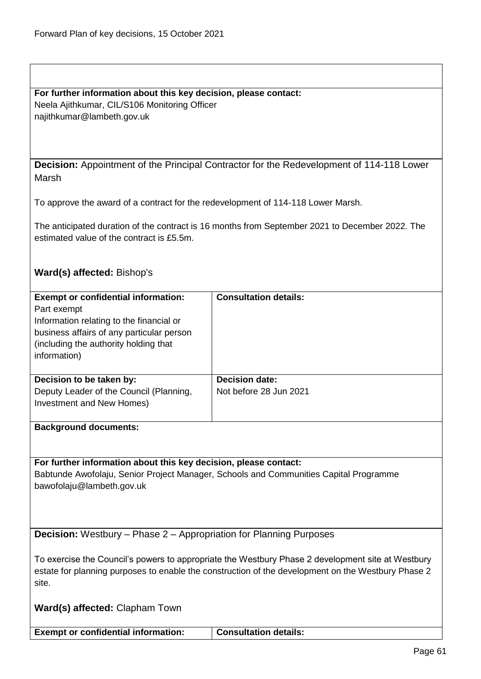**For further information about this key decision, please contact:** Neela Ajithkumar, CIL/S106 Monitoring Officer najithkumar@lambeth.gov.uk

**Decision:** Appointment of the Principal Contractor for the Redevelopment of 114-118 Lower Marsh

To approve the award of a contract for the redevelopment of 114-118 Lower Marsh.

The anticipated duration of the contract is 16 months from September 2021 to December 2022. The estimated value of the contract is £5.5m.

## **Ward(s) affected:** Bishop's

| <b>Exempt or confidential information:</b><br>Part exempt<br>Information relating to the financial or<br>business affairs of any particular person<br>(including the authority holding that)<br>information) | <b>Consultation details:</b>                    |
|--------------------------------------------------------------------------------------------------------------------------------------------------------------------------------------------------------------|-------------------------------------------------|
| Decision to be taken by:<br>Deputy Leader of the Council (Planning,<br>Investment and New Homes)                                                                                                             | <b>Decision date:</b><br>Not before 28 Jun 2021 |

#### **Background documents:**

**For further information about this key decision, please contact:** Babtunde Awofolaju, Senior Project Manager, Schools and Communities Capital Programme bawofolaju@lambeth.gov.uk

**Decision:** Westbury – Phase 2 – Appropriation for Planning Purposes

To exercise the Council's powers to appropriate the Westbury Phase 2 development site at Westbury estate for planning purposes to enable the construction of the development on the Westbury Phase 2 site.

**Ward(s) affected:** Clapham Town

**Exempt or confidential information:** Consultation details: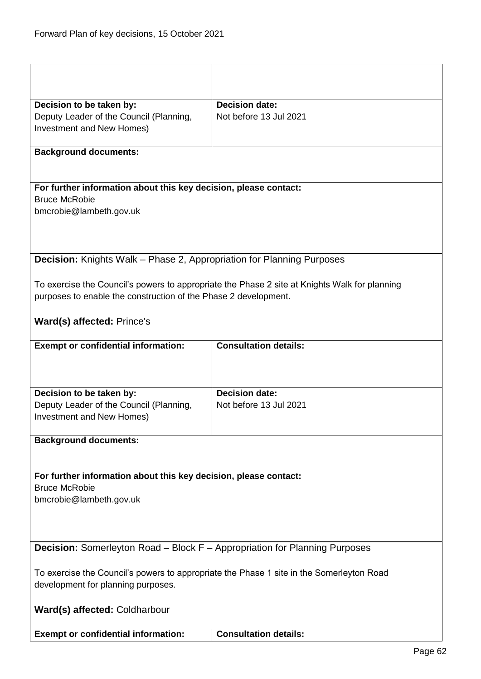|                                                                                          | <b>Decision date:</b>                                                                         |  |
|------------------------------------------------------------------------------------------|-----------------------------------------------------------------------------------------------|--|
| Decision to be taken by:<br>Deputy Leader of the Council (Planning,                      | Not before 13 Jul 2021                                                                        |  |
| Investment and New Homes)                                                                |                                                                                               |  |
|                                                                                          |                                                                                               |  |
| <b>Background documents:</b>                                                             |                                                                                               |  |
|                                                                                          |                                                                                               |  |
| For further information about this key decision, please contact:                         |                                                                                               |  |
| <b>Bruce McRobie</b>                                                                     |                                                                                               |  |
| bmcrobie@lambeth.gov.uk                                                                  |                                                                                               |  |
|                                                                                          |                                                                                               |  |
|                                                                                          |                                                                                               |  |
|                                                                                          |                                                                                               |  |
| <b>Decision:</b> Knights Walk - Phase 2, Appropriation for Planning Purposes             |                                                                                               |  |
|                                                                                          | To exercise the Council's powers to appropriate the Phase 2 site at Knights Walk for planning |  |
| purposes to enable the construction of the Phase 2 development.                          |                                                                                               |  |
|                                                                                          |                                                                                               |  |
| Ward(s) affected: Prince's                                                               |                                                                                               |  |
| <b>Exempt or confidential information:</b>                                               | <b>Consultation details:</b>                                                                  |  |
|                                                                                          |                                                                                               |  |
| Decision to be taken by:                                                                 | <b>Decision date:</b>                                                                         |  |
| Deputy Leader of the Council (Planning,                                                  | Not before 13 Jul 2021                                                                        |  |
| Investment and New Homes)                                                                |                                                                                               |  |
|                                                                                          |                                                                                               |  |
| <b>Background documents:</b>                                                             |                                                                                               |  |
|                                                                                          |                                                                                               |  |
| For further information about this key decision, please contact:                         |                                                                                               |  |
| <b>Bruce McRobie</b>                                                                     |                                                                                               |  |
| bmcrobie@lambeth.gov.uk                                                                  |                                                                                               |  |
|                                                                                          |                                                                                               |  |
|                                                                                          |                                                                                               |  |
|                                                                                          |                                                                                               |  |
| <b>Decision:</b> Somerleyton Road – Block F – Appropriation for Planning Purposes        |                                                                                               |  |
| To exercise the Council's powers to appropriate the Phase 1 site in the Somerleyton Road |                                                                                               |  |
| development for planning purposes.                                                       |                                                                                               |  |
| Ward(s) affected: Coldharbour                                                            |                                                                                               |  |
| <b>Exempt or confidential information:</b>                                               | <b>Consultation details:</b>                                                                  |  |
|                                                                                          |                                                                                               |  |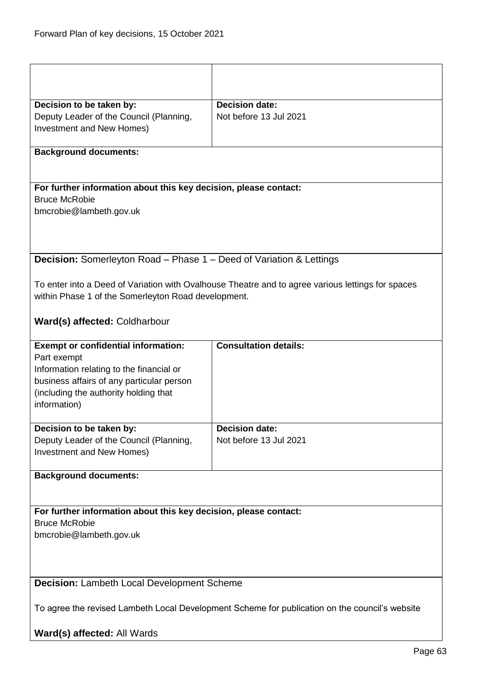| Decision to be taken by:                                                                       | <b>Decision date:</b>                                                                             |
|------------------------------------------------------------------------------------------------|---------------------------------------------------------------------------------------------------|
| Deputy Leader of the Council (Planning,                                                        | Not before 13 Jul 2021                                                                            |
| Investment and New Homes)                                                                      |                                                                                                   |
| <b>Background documents:</b>                                                                   |                                                                                                   |
|                                                                                                |                                                                                                   |
|                                                                                                |                                                                                                   |
| For further information about this key decision, please contact:                               |                                                                                                   |
| <b>Bruce McRobie</b>                                                                           |                                                                                                   |
| bmcrobie@lambeth.gov.uk                                                                        |                                                                                                   |
|                                                                                                |                                                                                                   |
|                                                                                                |                                                                                                   |
| <b>Decision:</b> Somerleyton Road - Phase 1 - Deed of Variation & Lettings                     |                                                                                                   |
|                                                                                                |                                                                                                   |
|                                                                                                | To enter into a Deed of Variation with Ovalhouse Theatre and to agree various lettings for spaces |
| within Phase 1 of the Somerleyton Road development.                                            |                                                                                                   |
|                                                                                                |                                                                                                   |
| Ward(s) affected: Coldharbour                                                                  |                                                                                                   |
| <b>Exempt or confidential information:</b>                                                     | <b>Consultation details:</b>                                                                      |
| Part exempt                                                                                    |                                                                                                   |
| Information relating to the financial or                                                       |                                                                                                   |
| business affairs of any particular person                                                      |                                                                                                   |
| (including the authority holding that                                                          |                                                                                                   |
| information)                                                                                   |                                                                                                   |
|                                                                                                |                                                                                                   |
| Decision to be taken by:                                                                       | <b>Decision date:</b>                                                                             |
| Deputy Leader of the Council (Planning,                                                        | Not before 13 Jul 2021                                                                            |
| Investment and New Homes)                                                                      |                                                                                                   |
| <b>Background documents:</b>                                                                   |                                                                                                   |
|                                                                                                |                                                                                                   |
|                                                                                                |                                                                                                   |
| For further information about this key decision, please contact:                               |                                                                                                   |
| <b>Bruce McRobie</b>                                                                           |                                                                                                   |
| bmcrobie@lambeth.gov.uk                                                                        |                                                                                                   |
|                                                                                                |                                                                                                   |
|                                                                                                |                                                                                                   |
| Decision: Lambeth Local Development Scheme                                                     |                                                                                                   |
|                                                                                                |                                                                                                   |
| To agree the revised Lambeth Local Development Scheme for publication on the council's website |                                                                                                   |
|                                                                                                |                                                                                                   |
| Ward(s) affected: All Wards                                                                    |                                                                                                   |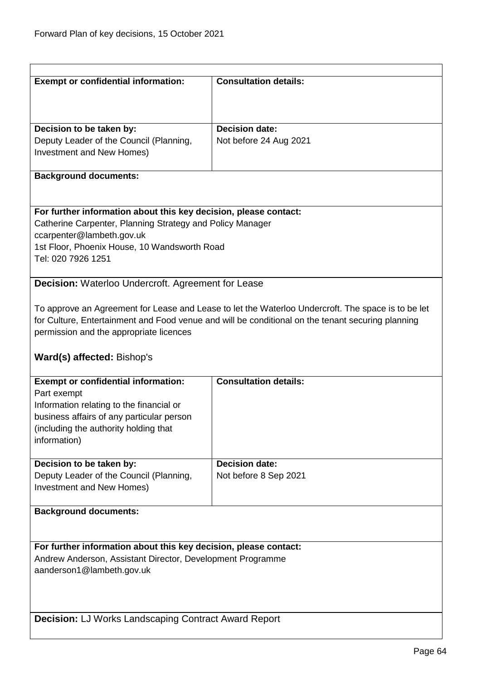| <b>Exempt or confidential information:</b>                                                                                                                                                                                                         | <b>Consultation details:</b> |  |
|----------------------------------------------------------------------------------------------------------------------------------------------------------------------------------------------------------------------------------------------------|------------------------------|--|
|                                                                                                                                                                                                                                                    |                              |  |
| Decision to be taken by:                                                                                                                                                                                                                           | <b>Decision date:</b>        |  |
| Deputy Leader of the Council (Planning,<br>Investment and New Homes)                                                                                                                                                                               | Not before 24 Aug 2021       |  |
| <b>Background documents:</b>                                                                                                                                                                                                                       |                              |  |
| For further information about this key decision, please contact:                                                                                                                                                                                   |                              |  |
| Catherine Carpenter, Planning Strategy and Policy Manager<br>ccarpenter@lambeth.gov.uk                                                                                                                                                             |                              |  |
| 1st Floor, Phoenix House, 10 Wandsworth Road<br>Tel: 020 7926 1251                                                                                                                                                                                 |                              |  |
| Decision: Waterloo Undercroft. Agreement for Lease                                                                                                                                                                                                 |                              |  |
| To approve an Agreement for Lease and Lease to let the Waterloo Undercroft. The space is to be let<br>for Culture, Entertainment and Food venue and will be conditional on the tenant securing planning<br>permission and the appropriate licences |                              |  |
| Ward(s) affected: Bishop's                                                                                                                                                                                                                         |                              |  |
| <b>Exempt or confidential information:</b><br>Part exempt<br>Information relating to the financial or<br>business affairs of any particular person<br>(including the authority holding that<br>information)                                        | <b>Consultation details:</b> |  |
| Decision to be taken by:                                                                                                                                                                                                                           | <b>Decision date:</b>        |  |
| Deputy Leader of the Council (Planning,<br><b>Investment and New Homes)</b>                                                                                                                                                                        | Not before 8 Sep 2021        |  |
| <b>Background documents:</b>                                                                                                                                                                                                                       |                              |  |
| For further information about this key decision, please contact:                                                                                                                                                                                   |                              |  |
| Andrew Anderson, Assistant Director, Development Programme<br>aanderson1@lambeth.gov.uk                                                                                                                                                            |                              |  |
|                                                                                                                                                                                                                                                    |                              |  |
| Decision: LJ Works Landscaping Contract Award Report                                                                                                                                                                                               |                              |  |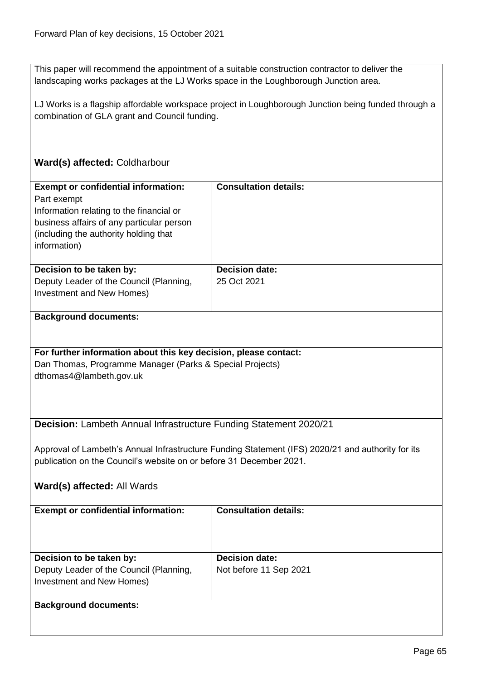This paper will recommend the appointment of a suitable construction contractor to deliver the landscaping works packages at the LJ Works space in the Loughborough Junction area.

LJ Works is a flagship affordable workspace project in Loughborough Junction being funded through a combination of GLA grant and Council funding.

# **Ward(s) affected:** Coldharbour

| <b>Exempt or confidential information:</b>                          | <b>Consultation details:</b>                                                                      |  |
|---------------------------------------------------------------------|---------------------------------------------------------------------------------------------------|--|
| Part exempt                                                         |                                                                                                   |  |
| Information relating to the financial or                            |                                                                                                   |  |
| business affairs of any particular person                           |                                                                                                   |  |
| (including the authority holding that                               |                                                                                                   |  |
| information)                                                        |                                                                                                   |  |
|                                                                     |                                                                                                   |  |
| Decision to be taken by:                                            | <b>Decision date:</b>                                                                             |  |
| Deputy Leader of the Council (Planning,                             | 25 Oct 2021                                                                                       |  |
| Investment and New Homes)                                           |                                                                                                   |  |
|                                                                     |                                                                                                   |  |
| <b>Background documents:</b>                                        |                                                                                                   |  |
|                                                                     |                                                                                                   |  |
|                                                                     |                                                                                                   |  |
| For further information about this key decision, please contact:    |                                                                                                   |  |
| Dan Thomas, Programme Manager (Parks & Special Projects)            |                                                                                                   |  |
| dthomas4@lambeth.gov.uk                                             |                                                                                                   |  |
|                                                                     |                                                                                                   |  |
|                                                                     |                                                                                                   |  |
|                                                                     |                                                                                                   |  |
| Decision: Lambeth Annual Infrastructure Funding Statement 2020/21   |                                                                                                   |  |
|                                                                     |                                                                                                   |  |
|                                                                     | Approval of Lambeth's Annual Infrastructure Funding Statement (IFS) 2020/21 and authority for its |  |
| publication on the Council's website on or before 31 December 2021. |                                                                                                   |  |
|                                                                     |                                                                                                   |  |
| Ward(s) affected: All Wards                                         |                                                                                                   |  |
|                                                                     |                                                                                                   |  |
| <b>Exempt or confidential information:</b>                          | <b>Consultation details:</b>                                                                      |  |
|                                                                     |                                                                                                   |  |
|                                                                     |                                                                                                   |  |
|                                                                     |                                                                                                   |  |
| Decision to be taken by:                                            | Decision date:                                                                                    |  |
| Deputy Leader of the Council (Planning,                             | Not before 11 Sep 2021                                                                            |  |
| Investment and New Homes)                                           |                                                                                                   |  |
|                                                                     |                                                                                                   |  |
| <b>Background documents:</b>                                        |                                                                                                   |  |
|                                                                     |                                                                                                   |  |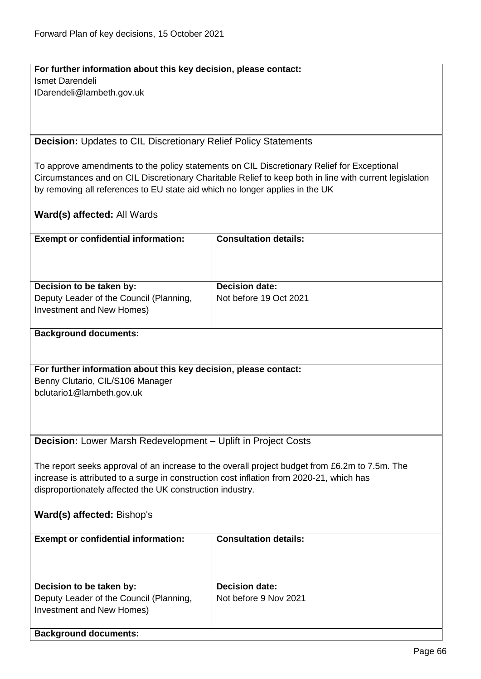**For further information about this key decision, please contact:** Ismet Darendeli IDarendeli@lambeth.gov.uk

**Decision:** Updates to CIL Discretionary Relief Policy Statements

To approve amendments to the policy statements on CIL Discretionary Relief for Exceptional Circumstances and on CIL Discretionary Charitable Relief to keep both in line with current legislation by removing all references to EU state aid which no longer applies in the UK

**Ward(s) affected:** All Wards

| <b>Exempt or confidential information:</b>                                               | <b>Consultation details:</b>                                                                   |  |
|------------------------------------------------------------------------------------------|------------------------------------------------------------------------------------------------|--|
|                                                                                          |                                                                                                |  |
|                                                                                          |                                                                                                |  |
|                                                                                          |                                                                                                |  |
| Decision to be taken by:                                                                 | <b>Decision date:</b>                                                                          |  |
| Deputy Leader of the Council (Planning,                                                  | Not before 19 Oct 2021                                                                         |  |
| Investment and New Homes)                                                                |                                                                                                |  |
|                                                                                          |                                                                                                |  |
| <b>Background documents:</b>                                                             |                                                                                                |  |
|                                                                                          |                                                                                                |  |
|                                                                                          |                                                                                                |  |
| For further information about this key decision, please contact:                         |                                                                                                |  |
| Benny Clutario, CIL/S106 Manager                                                         |                                                                                                |  |
| bclutario1@lambeth.gov.uk                                                                |                                                                                                |  |
|                                                                                          |                                                                                                |  |
|                                                                                          |                                                                                                |  |
|                                                                                          |                                                                                                |  |
| Decision: Lower Marsh Redevelopment - Uplift in Project Costs                            |                                                                                                |  |
|                                                                                          |                                                                                                |  |
|                                                                                          | The report seeks approval of an increase to the overall project budget from £6.2m to 7.5m. The |  |
| increase is attributed to a surge in construction cost inflation from 2020-21, which has |                                                                                                |  |
| disproportionately affected the UK construction industry.                                |                                                                                                |  |
|                                                                                          |                                                                                                |  |
| Ward(s) affected: Bishop's                                                               |                                                                                                |  |
|                                                                                          |                                                                                                |  |
| <b>Exempt or confidential information:</b>                                               | <b>Consultation details:</b>                                                                   |  |
|                                                                                          |                                                                                                |  |
|                                                                                          |                                                                                                |  |
|                                                                                          |                                                                                                |  |
| Decision to be taken by:                                                                 | <b>Decision date:</b>                                                                          |  |
| Deputy Leader of the Council (Planning,                                                  | Not before 9 Nov 2021                                                                          |  |
| Investment and New Homes)                                                                |                                                                                                |  |
|                                                                                          |                                                                                                |  |
| <b>Background documents:</b>                                                             |                                                                                                |  |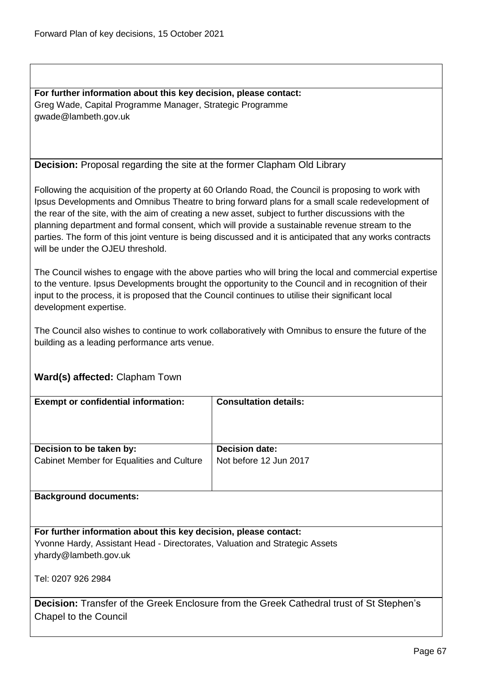**For further information about this key decision, please contact:** Greg Wade, Capital Programme Manager, Strategic Programme gwade@lambeth.gov.uk

### **Decision:** Proposal regarding the site at the former Clapham Old Library

Following the acquisition of the property at 60 Orlando Road, the Council is proposing to work with Ipsus Developments and Omnibus Theatre to bring forward plans for a small scale redevelopment of the rear of the site, with the aim of creating a new asset, subject to further discussions with the planning department and formal consent, which will provide a sustainable revenue stream to the parties. The form of this joint venture is being discussed and it is anticipated that any works contracts will be under the OJEU threshold.

The Council wishes to engage with the above parties who will bring the local and commercial expertise to the venture. Ipsus Developments brought the opportunity to the Council and in recognition of their input to the process, it is proposed that the Council continues to utilise their significant local development expertise.

The Council also wishes to continue to work collaboratively with Omnibus to ensure the future of the building as a leading performance arts venue.

## **Ward(s) affected:** Clapham Town

| <b>Exempt or confidential information:</b> | <b>Consultation details:</b> |
|--------------------------------------------|------------------------------|
|                                            |                              |
|                                            |                              |
|                                            |                              |
|                                            |                              |
|                                            |                              |
|                                            |                              |
| Decision to be taken by:                   | <b>Decision date:</b>        |
| Cabinet Member for Equalities and Culture  | Not before 12 Jun 2017       |
|                                            |                              |
|                                            |                              |
|                                            |                              |
|                                            |                              |
| <b>Background documents:</b>               |                              |

**For further information about this key decision, please contact:** Yvonne Hardy, Assistant Head - Directorates, Valuation and Strategic Assets yhardy@lambeth.gov.uk

Tel: 0207 926 2984

**Decision:** Transfer of the Greek Enclosure from the Greek Cathedral trust of St Stephen's Chapel to the Council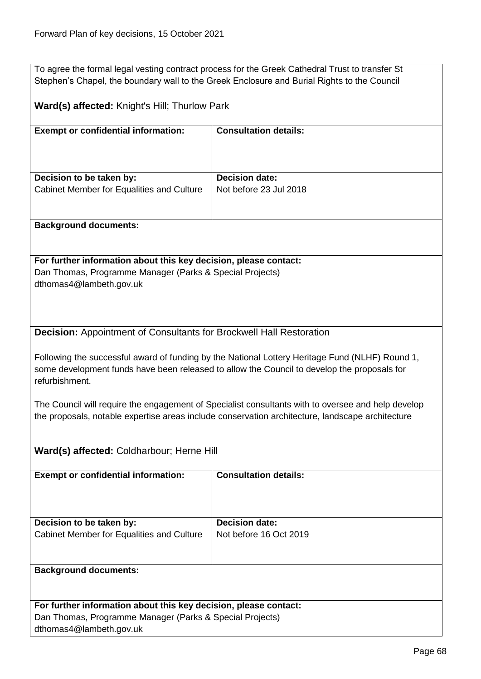To agree the formal legal vesting contract process for the Greek Cathedral Trust to transfer St Stephen's Chapel, the boundary wall to the Greek Enclosure and Burial Rights to the Council

**Ward(s) affected:** Knight's Hill; Thurlow Park

| <b>Exempt or confidential information:</b>                                                                                   | <b>Consultation details:</b>                                                                                                                                                                           |
|------------------------------------------------------------------------------------------------------------------------------|--------------------------------------------------------------------------------------------------------------------------------------------------------------------------------------------------------|
|                                                                                                                              |                                                                                                                                                                                                        |
|                                                                                                                              |                                                                                                                                                                                                        |
| Decision to be taken by:                                                                                                     | <b>Decision date:</b>                                                                                                                                                                                  |
| Cabinet Member for Equalities and Culture                                                                                    | Not before 23 Jul 2018                                                                                                                                                                                 |
|                                                                                                                              |                                                                                                                                                                                                        |
| <b>Background documents:</b>                                                                                                 |                                                                                                                                                                                                        |
|                                                                                                                              |                                                                                                                                                                                                        |
| For further information about this key decision, please contact:                                                             |                                                                                                                                                                                                        |
| Dan Thomas, Programme Manager (Parks & Special Projects)                                                                     |                                                                                                                                                                                                        |
| dthomas4@lambeth.gov.uk                                                                                                      |                                                                                                                                                                                                        |
|                                                                                                                              |                                                                                                                                                                                                        |
|                                                                                                                              |                                                                                                                                                                                                        |
| <b>Decision:</b> Appointment of Consultants for Brockwell Hall Restoration                                                   |                                                                                                                                                                                                        |
|                                                                                                                              |                                                                                                                                                                                                        |
|                                                                                                                              | Following the successful award of funding by the National Lottery Heritage Fund (NLHF) Round 1,                                                                                                        |
|                                                                                                                              | some development funds have been released to allow the Council to develop the proposals for                                                                                                            |
| refurbishment.                                                                                                               |                                                                                                                                                                                                        |
|                                                                                                                              |                                                                                                                                                                                                        |
|                                                                                                                              | The Council will require the engagement of Specialist consultants with to oversee and help develop<br>the proposals, notable expertise areas include conservation architecture, landscape architecture |
|                                                                                                                              |                                                                                                                                                                                                        |
|                                                                                                                              |                                                                                                                                                                                                        |
| Ward(s) affected: Coldharbour; Herne Hill                                                                                    |                                                                                                                                                                                                        |
| <b>Exempt or confidential information:</b>                                                                                   | <b>Consultation details:</b>                                                                                                                                                                           |
|                                                                                                                              |                                                                                                                                                                                                        |
|                                                                                                                              |                                                                                                                                                                                                        |
|                                                                                                                              |                                                                                                                                                                                                        |
| Decision to be taken by:                                                                                                     | <b>Decision date:</b>                                                                                                                                                                                  |
| Cabinet Member for Equalities and Culture                                                                                    | Not before 16 Oct 2019                                                                                                                                                                                 |
|                                                                                                                              |                                                                                                                                                                                                        |
| <b>Background documents:</b>                                                                                                 |                                                                                                                                                                                                        |
|                                                                                                                              |                                                                                                                                                                                                        |
|                                                                                                                              |                                                                                                                                                                                                        |
| For further information about this key decision, please contact:<br>Dan Thomas, Programme Manager (Parks & Special Projects) |                                                                                                                                                                                                        |
| dthomas4@lambeth.gov.uk                                                                                                      |                                                                                                                                                                                                        |
|                                                                                                                              |                                                                                                                                                                                                        |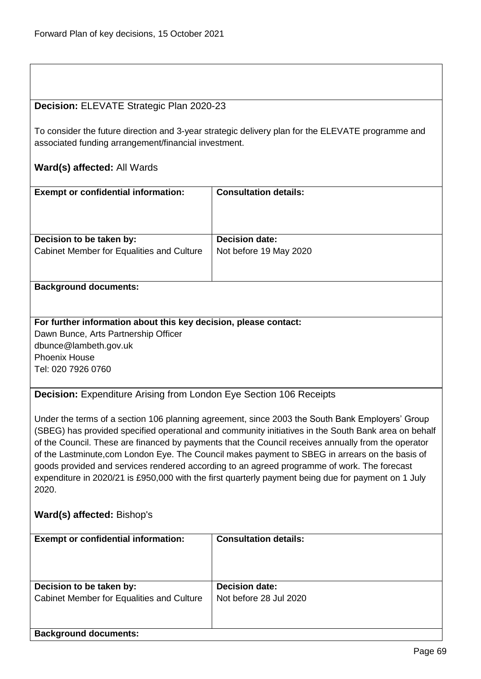### **Decision:** ELEVATE Strategic Plan 2020-23

To consider the future direction and 3-year strategic delivery plan for the ELEVATE programme and associated funding arrangement/financial investment.

### **Ward(s) affected:** All Wards

| <b>Exempt or confidential information:</b> | <b>Consultation details:</b> |
|--------------------------------------------|------------------------------|
| Decision to be taken by:                   | <b>Decision date:</b>        |
| Cabinet Member for Equalities and Culture  | Not before 19 May 2020       |

#### **Background documents:**

**For further information about this key decision, please contact:**

Dawn Bunce, Arts Partnership Officer dbunce@lambeth.gov.uk Phoenix House Tel: 020 7926 0760

**Decision:** Expenditure Arising from London Eye Section 106 Receipts

Under the terms of a section 106 planning agreement, since 2003 the South Bank Employers' Group (SBEG) has provided specified operational and community initiatives in the South Bank area on behalf of the Council. These are financed by payments that the Council receives annually from the operator of the Lastminute,com London Eye. The Council makes payment to SBEG in arrears on the basis of goods provided and services rendered according to an agreed programme of work. The forecast expenditure in 2020/21 is £950,000 with the first quarterly payment being due for payment on 1 July 2020.

## **Ward(s) affected:** Bishop's

| <b>Exempt or confidential information:</b>                            | <b>Consultation details:</b>                    |
|-----------------------------------------------------------------------|-------------------------------------------------|
| Decision to be taken by:<br>Cabinet Member for Equalities and Culture | <b>Decision date:</b><br>Not before 28 Jul 2020 |
| <b>Background documents:</b>                                          |                                                 |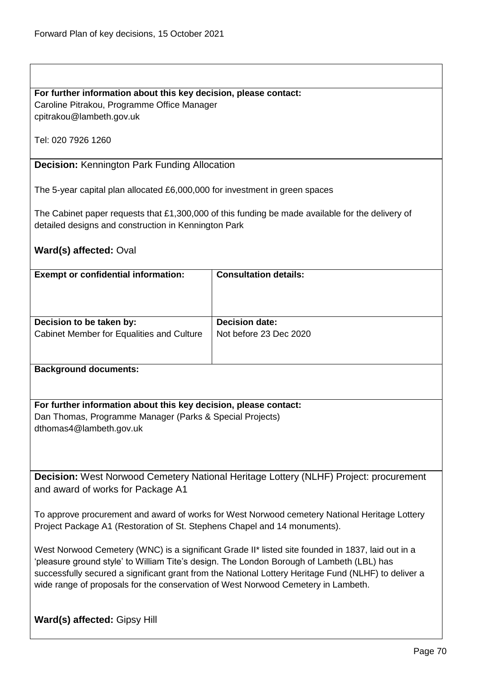## **For further information about this key decision, please contact:**

Caroline Pitrakou, Programme Office Manager cpitrakou@lambeth.gov.uk

Tel: 020 7926 1260

## **Decision:** Kennington Park Funding Allocation

The 5-year capital plan allocated £6,000,000 for investment in green spaces

The Cabinet paper requests that £1,300,000 of this funding be made available for the delivery of detailed designs and construction in Kennington Park

## **Ward(s) affected:** Oval

| <b>Exempt or confidential information:</b> | <b>Consultation details:</b> |
|--------------------------------------------|------------------------------|
| Decision to be taken by:                   | <b>Decision date:</b>        |
| Cabinet Member for Equalities and Culture  | Not before 23 Dec 2020       |

**Background documents:**

**For further information about this key decision, please contact:** Dan Thomas, Programme Manager (Parks & Special Projects) dthomas4@lambeth.gov.uk

**Decision:** West Norwood Cemetery National Heritage Lottery (NLHF) Project: procurement and award of works for Package A1

To approve procurement and award of works for West Norwood cemetery National Heritage Lottery Project Package A1 (Restoration of St. Stephens Chapel and 14 monuments).

West Norwood Cemetery (WNC) is a significant Grade II\* listed site founded in 1837, laid out in a 'pleasure ground style' to William Tite's design. The London Borough of Lambeth (LBL) has successfully secured a significant grant from the National Lottery Heritage Fund (NLHF) to deliver a wide range of proposals for the conservation of West Norwood Cemetery in Lambeth.

**Ward(s) affected:** Gipsy Hill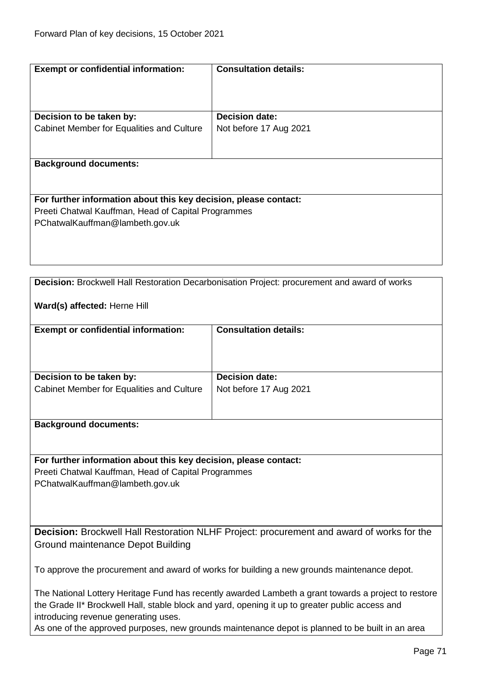| <b>Exempt or confidential information:</b>                       | <b>Consultation details:</b>                                                                 |
|------------------------------------------------------------------|----------------------------------------------------------------------------------------------|
|                                                                  |                                                                                              |
| Decision to be taken by:                                         | <b>Decision date:</b>                                                                        |
| Cabinet Member for Equalities and Culture                        | Not before 17 Aug 2021                                                                       |
|                                                                  |                                                                                              |
| <b>Background documents:</b>                                     |                                                                                              |
|                                                                  |                                                                                              |
| For further information about this key decision, please contact: |                                                                                              |
| Preeti Chatwal Kauffman, Head of Capital Programmes              |                                                                                              |
| PChatwalKauffman@lambeth.gov.uk                                  |                                                                                              |
|                                                                  |                                                                                              |
|                                                                  |                                                                                              |
|                                                                  |                                                                                              |
|                                                                  |                                                                                              |
|                                                                  | Decision: Brockwell Hall Restoration Decarbonisation Project: procurement and award of works |

## **Ward(s) affected:** Herne Hill

| <b>Exempt or confidential information:</b> | <b>Consultation details:</b> |
|--------------------------------------------|------------------------------|
| Decision to be taken by:                   | <b>Decision date:</b>        |
| Cabinet Member for Equalities and Culture  | Not before 17 Aug 2021       |
|                                            |                              |
|                                            |                              |

#### **Background documents:**

#### **For further information about this key decision, please contact:**

Preeti Chatwal Kauffman, Head of Capital Programmes PChatwalKauffman@lambeth.gov.uk

**Decision:** Brockwell Hall Restoration NLHF Project: procurement and award of works for the Ground maintenance Depot Building

To approve the procurement and award of works for building a new grounds maintenance depot.

The National Lottery Heritage Fund has recently awarded Lambeth a grant towards a project to restore the Grade II\* Brockwell Hall, stable block and yard, opening it up to greater public access and introducing revenue generating uses.

As one of the approved purposes, new grounds maintenance depot is planned to be built in an area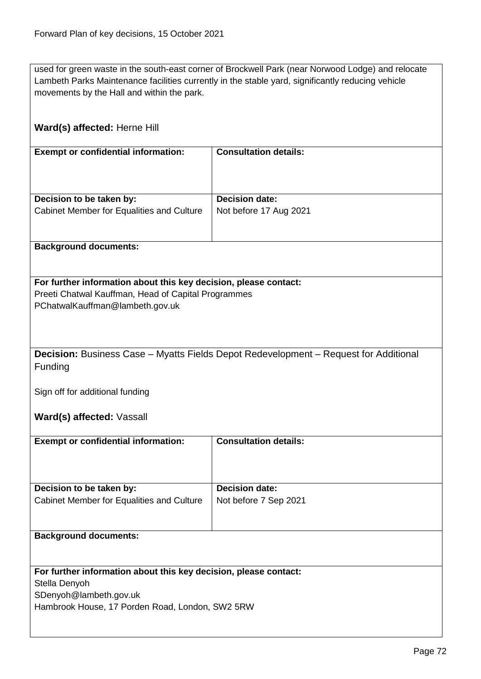used for green waste in the south-east corner of Brockwell Park (near Norwood Lodge) and relocate Lambeth Parks Maintenance facilities currently in the stable yard, significantly reducing vehicle movements by the Hall and within the park.

| Ward(s) affected: Herne Hill                                                                                                                                           |                                                |
|------------------------------------------------------------------------------------------------------------------------------------------------------------------------|------------------------------------------------|
| <b>Exempt or confidential information:</b>                                                                                                                             | <b>Consultation details:</b>                   |
| Decision to be taken by:                                                                                                                                               | <b>Decision date:</b>                          |
| Cabinet Member for Equalities and Culture                                                                                                                              | Not before 17 Aug 2021                         |
| <b>Background documents:</b>                                                                                                                                           |                                                |
| For further information about this key decision, please contact:<br>Preeti Chatwal Kauffman, Head of Capital Programmes<br>PChatwalKauffman@lambeth.gov.uk             |                                                |
| <b>Decision:</b> Business Case – Myatts Fields Depot Redevelopment – Request for Additional<br>Funding<br>Sign off for additional funding<br>Ward(s) affected: Vassall |                                                |
| <b>Exempt or confidential information:</b>                                                                                                                             | <b>Consultation details:</b>                   |
| Decision to be taken by:<br>Cabinet Member for Equalities and Culture                                                                                                  | <b>Decision date:</b><br>Not before 7 Sep 2021 |
|                                                                                                                                                                        |                                                |
| <b>Background documents:</b>                                                                                                                                           |                                                |
| For further information about this key decision, please contact:<br>Stella Denyoh<br>SDenyoh@lambeth.gov.uk<br>Hambrook House, 17 Porden Road, London, SW2 5RW         |                                                |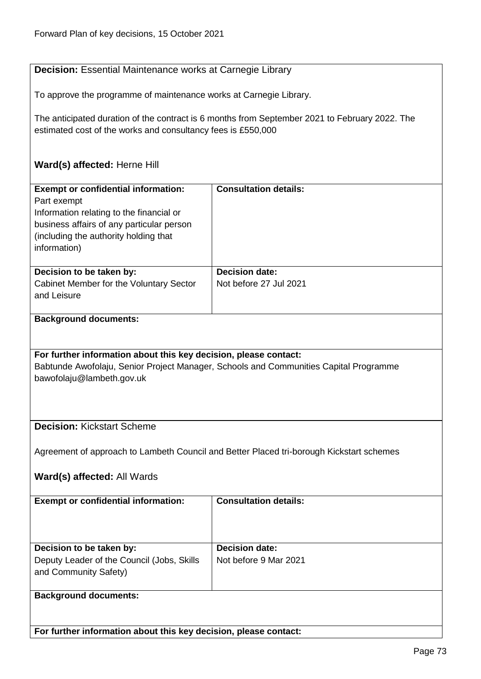| <b>Decision:</b> Essential Maintenance works at Carnegie Library                                                                                                                                            |                                                                                                |
|-------------------------------------------------------------------------------------------------------------------------------------------------------------------------------------------------------------|------------------------------------------------------------------------------------------------|
| To approve the programme of maintenance works at Carnegie Library.                                                                                                                                          |                                                                                                |
| estimated cost of the works and consultancy fees is £550,000                                                                                                                                                | The anticipated duration of the contract is 6 months from September 2021 to February 2022. The |
| Ward(s) affected: Herne Hill                                                                                                                                                                                |                                                                                                |
| <b>Exempt or confidential information:</b><br>Part exempt<br>Information relating to the financial or<br>business affairs of any particular person<br>(including the authority holding that<br>information) | <b>Consultation details:</b>                                                                   |
| Decision to be taken by:<br>Cabinet Member for the Voluntary Sector<br>and Leisure                                                                                                                          | <b>Decision date:</b><br>Not before 27 Jul 2021                                                |
| <b>Background documents:</b>                                                                                                                                                                                |                                                                                                |
| For further information about this key decision, please contact:<br>bawofolaju@lambeth.gov.uk                                                                                                               | Babtunde Awofolaju, Senior Project Manager, Schools and Communities Capital Programme          |
| <b>Decision: Kickstart Scheme</b>                                                                                                                                                                           |                                                                                                |
| Ward(s) affected: All Wards                                                                                                                                                                                 | Agreement of approach to Lambeth Council and Better Placed tri-borough Kickstart schemes       |
| <b>Exempt or confidential information:</b>                                                                                                                                                                  | <b>Consultation details:</b>                                                                   |
| Decision to be taken by:<br>Deputy Leader of the Council (Jobs, Skills<br>and Community Safety)                                                                                                             | <b>Decision date:</b><br>Not before 9 Mar 2021                                                 |
| <b>Background documents:</b>                                                                                                                                                                                |                                                                                                |

**For further information about this key decision, please contact:**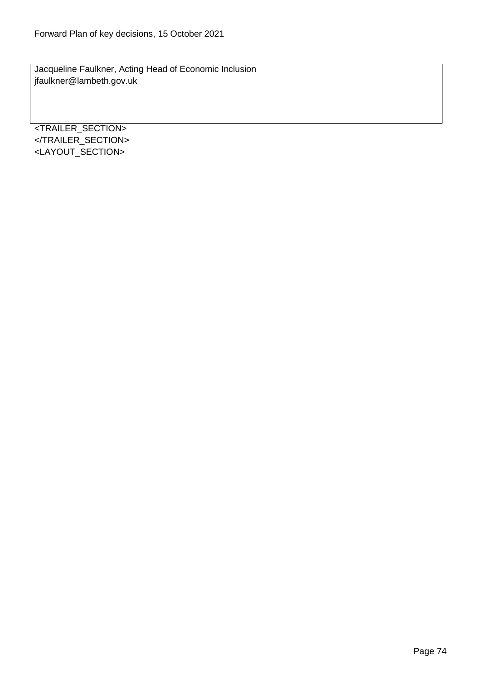Jacqueline Faulkner, Acting Head of Economic Inclusion jfaulkner@lambeth.gov.uk

<TRAILER\_SECTION> </TRAILER\_SECTION> <LAYOUT\_SECTION>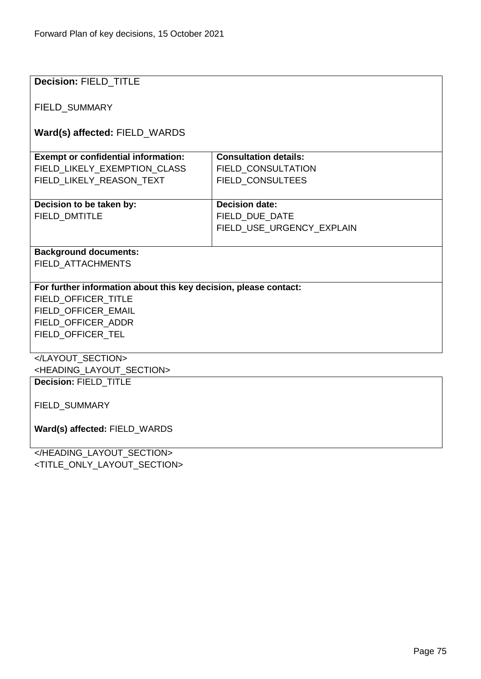| <b>Decision: FIELD TITLE</b>                                     |                              |  |
|------------------------------------------------------------------|------------------------------|--|
|                                                                  |                              |  |
|                                                                  |                              |  |
| <b>FIELD SUMMARY</b>                                             |                              |  |
|                                                                  |                              |  |
| Ward(s) affected: FIELD_WARDS                                    |                              |  |
| <b>Exempt or confidential information:</b>                       | <b>Consultation details:</b> |  |
| FIELD_LIKELY_EXEMPTION_CLASS                                     | FIELD_CONSULTATION           |  |
| FIELD LIKELY REASON TEXT                                         | FIELD_CONSULTEES             |  |
|                                                                  |                              |  |
| Decision to be taken by:                                         | <b>Decision date:</b>        |  |
| <b>FIELD DMTITLE</b>                                             | FIELD DUE DATE               |  |
|                                                                  | FIELD_USE_URGENCY_EXPLAIN    |  |
|                                                                  |                              |  |
| <b>Background documents:</b>                                     |                              |  |
| FIELD ATTACHMENTS                                                |                              |  |
|                                                                  |                              |  |
| For further information about this key decision, please contact: |                              |  |
| FIELD OFFICER TITLE                                              |                              |  |
| FIELD OFFICER EMAIL                                              |                              |  |
| FIELD_OFFICER_ADDR                                               |                              |  |
| FIELD_OFFICER_TEL                                                |                              |  |
|                                                                  |                              |  |
|                                                                  |                              |  |
| <heading layout="" section=""></heading>                         |                              |  |
| Decision: FIELD_TITLE                                            |                              |  |
|                                                                  |                              |  |
| FIELD_SUMMARY                                                    |                              |  |
|                                                                  |                              |  |
| Ward(s) affected: FIELD_WARDS                                    |                              |  |
|                                                                  |                              |  |
| JUEANNIA LAVALIT CEATIAN.                                        |                              |  |

</HEADING\_LAYOUT\_SECTION> <TITLE\_ONLY\_LAYOUT\_SECTION>